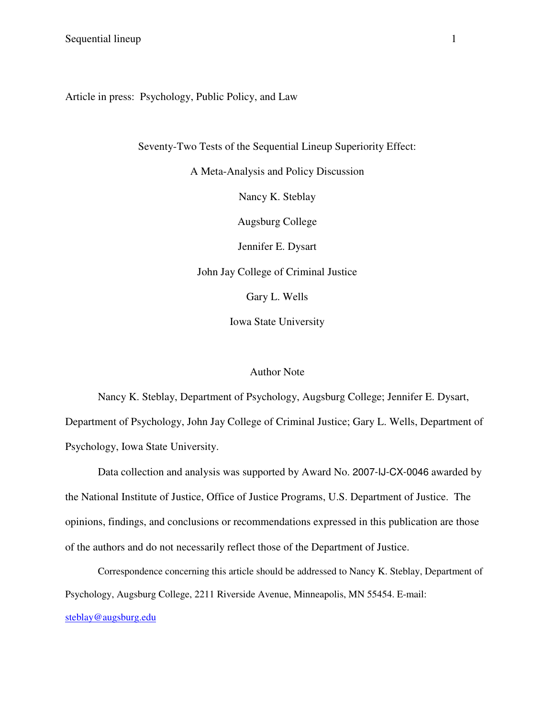# Article in press: Psychology, Public Policy, and Law

Seventy-Two Tests of the Sequential Lineup Superiority Effect:

A Meta-Analysis and Policy Discussion

Nancy K. Steblay

Augsburg College

Jennifer E. Dysart

John Jay College of Criminal Justice

Gary L. Wells

Iowa State University

### Author Note

Nancy K. Steblay, Department of Psychology, Augsburg College; Jennifer E. Dysart, Department of Psychology, John Jay College of Criminal Justice; Gary L. Wells, Department of Psychology, Iowa State University.

Data collection and analysis was supported by Award No. 2007-IJ-CX-0046 awarded by the National Institute of Justice, Office of Justice Programs, U.S. Department of Justice. The opinions, findings, and conclusions or recommendations expressed in this publication are those of the authors and do not necessarily reflect those of the Department of Justice.

Correspondence concerning this article should be addressed to Nancy K. Steblay, Department of Psychology, Augsburg College, 2211 Riverside Avenue, Minneapolis, MN 55454. E-mail: steblay@augsburg.edu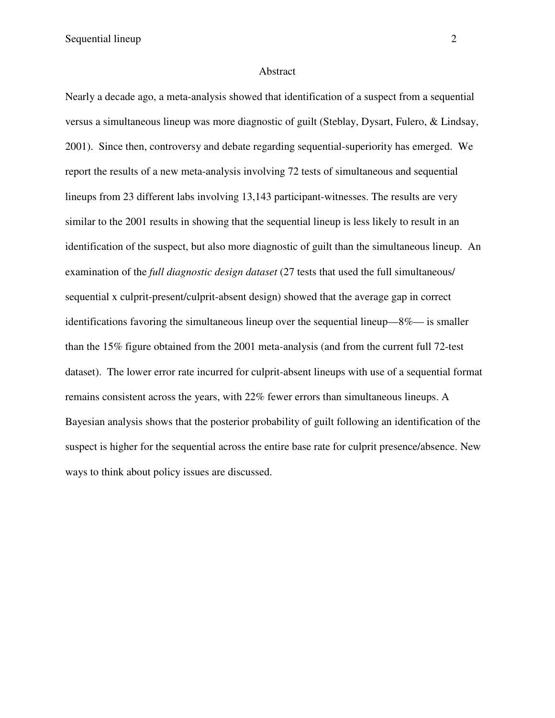#### Abstract

Nearly a decade ago, a meta-analysis showed that identification of a suspect from a sequential versus a simultaneous lineup was more diagnostic of guilt (Steblay, Dysart, Fulero, & Lindsay, 2001). Since then, controversy and debate regarding sequential-superiority has emerged. We report the results of a new meta-analysis involving 72 tests of simultaneous and sequential lineups from 23 different labs involving 13,143 participant-witnesses. The results are very similar to the 2001 results in showing that the sequential lineup is less likely to result in an identification of the suspect, but also more diagnostic of guilt than the simultaneous lineup. An examination of the *full diagnostic design dataset* (27 tests that used the full simultaneous/ sequential x culprit-present/culprit-absent design) showed that the average gap in correct identifications favoring the simultaneous lineup over the sequential lineup—8%— is smaller than the 15% figure obtained from the 2001 meta-analysis (and from the current full 72-test dataset). The lower error rate incurred for culprit-absent lineups with use of a sequential format remains consistent across the years, with 22% fewer errors than simultaneous lineups. A Bayesian analysis shows that the posterior probability of guilt following an identification of the suspect is higher for the sequential across the entire base rate for culprit presence/absence. New ways to think about policy issues are discussed.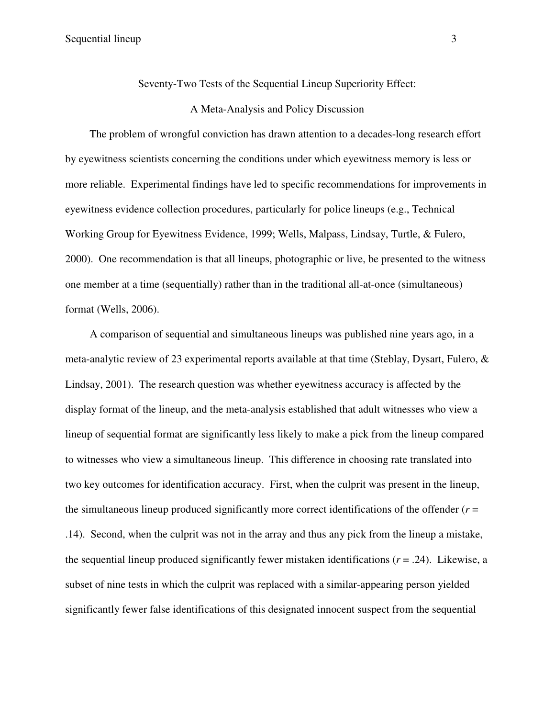Seventy-Two Tests of the Sequential Lineup Superiority Effect:

## A Meta-Analysis and Policy Discussion

The problem of wrongful conviction has drawn attention to a decades-long research effort by eyewitness scientists concerning the conditions under which eyewitness memory is less or more reliable. Experimental findings have led to specific recommendations for improvements in eyewitness evidence collection procedures, particularly for police lineups (e.g., Technical Working Group for Eyewitness Evidence, 1999; Wells, Malpass, Lindsay, Turtle, & Fulero, 2000). One recommendation is that all lineups, photographic or live, be presented to the witness one member at a time (sequentially) rather than in the traditional all-at-once (simultaneous) format (Wells, 2006).

A comparison of sequential and simultaneous lineups was published nine years ago, in a meta-analytic review of 23 experimental reports available at that time (Steblay, Dysart, Fulero, & Lindsay, 2001). The research question was whether eyewitness accuracy is affected by the display format of the lineup, and the meta-analysis established that adult witnesses who view a lineup of sequential format are significantly less likely to make a pick from the lineup compared to witnesses who view a simultaneous lineup. This difference in choosing rate translated into two key outcomes for identification accuracy. First, when the culprit was present in the lineup, the simultaneous lineup produced significantly more correct identifications of the offender  $(r =$ .14). Second, when the culprit was not in the array and thus any pick from the lineup a mistake, the sequential lineup produced significantly fewer mistaken identifications  $(r = .24)$ . Likewise, a subset of nine tests in which the culprit was replaced with a similar-appearing person yielded significantly fewer false identifications of this designated innocent suspect from the sequential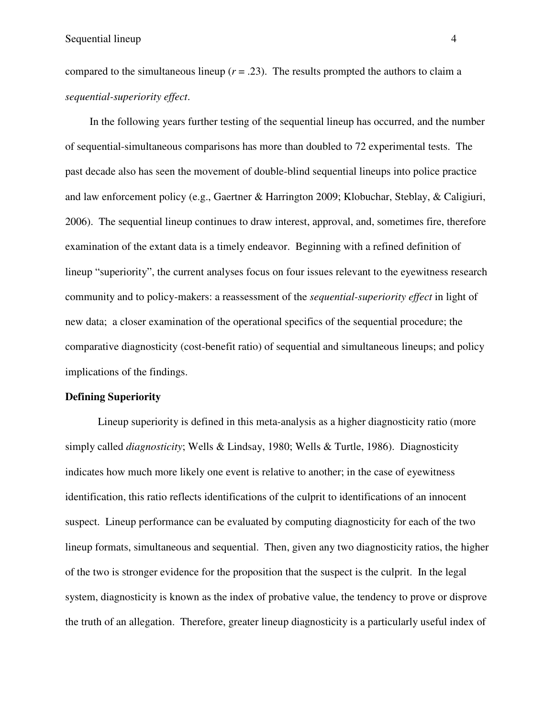compared to the simultaneous lineup  $(r = .23)$ . The results prompted the authors to claim a *sequential-superiority effect*.

In the following years further testing of the sequential lineup has occurred, and the number of sequential-simultaneous comparisons has more than doubled to 72 experimental tests. The past decade also has seen the movement of double-blind sequential lineups into police practice and law enforcement policy (e.g., Gaertner & Harrington 2009; Klobuchar, Steblay, & Caligiuri, 2006). The sequential lineup continues to draw interest, approval, and, sometimes fire, therefore examination of the extant data is a timely endeavor. Beginning with a refined definition of lineup "superiority", the current analyses focus on four issues relevant to the eyewitness research community and to policy-makers: a reassessment of the *sequential-superiority effect* in light of new data; a closer examination of the operational specifics of the sequential procedure; the comparative diagnosticity (cost-benefit ratio) of sequential and simultaneous lineups; and policy implications of the findings.

#### **Defining Superiority**

 Lineup superiority is defined in this meta-analysis as a higher diagnosticity ratio (more simply called *diagnosticity*; Wells & Lindsay, 1980; Wells & Turtle, 1986). Diagnosticity indicates how much more likely one event is relative to another; in the case of eyewitness identification, this ratio reflects identifications of the culprit to identifications of an innocent suspect. Lineup performance can be evaluated by computing diagnosticity for each of the two lineup formats, simultaneous and sequential. Then, given any two diagnosticity ratios, the higher of the two is stronger evidence for the proposition that the suspect is the culprit. In the legal system, diagnosticity is known as the index of probative value, the tendency to prove or disprove the truth of an allegation. Therefore, greater lineup diagnosticity is a particularly useful index of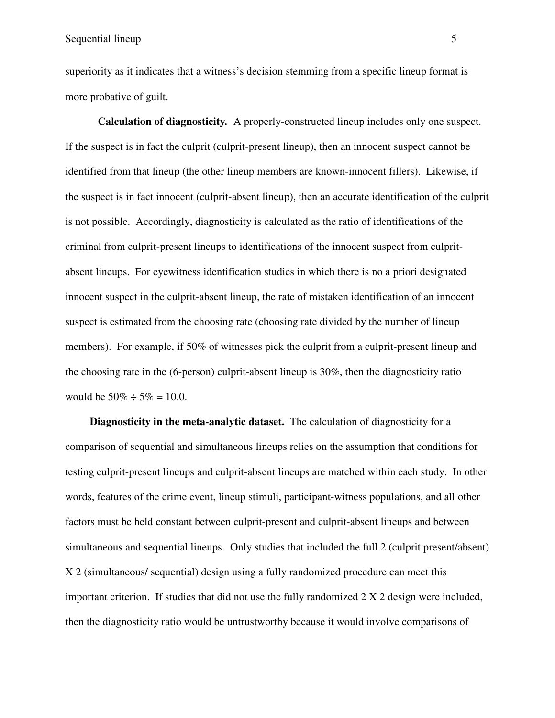superiority as it indicates that a witness's decision stemming from a specific lineup format is more probative of guilt.

**Calculation of diagnosticity***.* A properly-constructed lineup includes only one suspect. If the suspect is in fact the culprit (culprit-present lineup), then an innocent suspect cannot be identified from that lineup (the other lineup members are known-innocent fillers). Likewise, if the suspect is in fact innocent (culprit-absent lineup), then an accurate identification of the culprit is not possible. Accordingly, diagnosticity is calculated as the ratio of identifications of the criminal from culprit-present lineups to identifications of the innocent suspect from culpritabsent lineups. For eyewitness identification studies in which there is no a priori designated innocent suspect in the culprit-absent lineup, the rate of mistaken identification of an innocent suspect is estimated from the choosing rate (choosing rate divided by the number of lineup members). For example, if 50% of witnesses pick the culprit from a culprit-present lineup and the choosing rate in the (6-person) culprit-absent lineup is 30%, then the diagnosticity ratio would be  $50\% \div 5\% = 10.0$ .

**Diagnosticity in the meta-analytic dataset.** The calculation of diagnosticity for a comparison of sequential and simultaneous lineups relies on the assumption that conditions for testing culprit-present lineups and culprit-absent lineups are matched within each study. In other words, features of the crime event, lineup stimuli, participant-witness populations, and all other factors must be held constant between culprit-present and culprit-absent lineups and between simultaneous and sequential lineups. Only studies that included the full 2 (culprit present/absent) X 2 (simultaneous/ sequential) design using a fully randomized procedure can meet this important criterion. If studies that did not use the fully randomized 2 X 2 design were included, then the diagnosticity ratio would be untrustworthy because it would involve comparisons of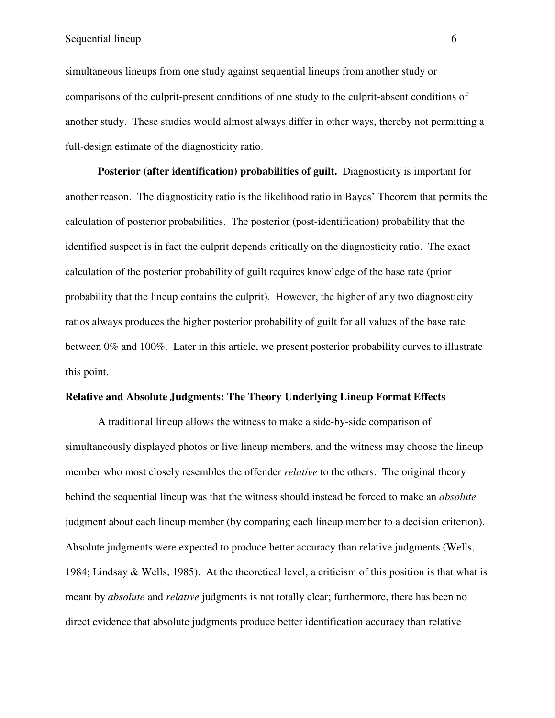simultaneous lineups from one study against sequential lineups from another study or comparisons of the culprit-present conditions of one study to the culprit-absent conditions of another study. These studies would almost always differ in other ways, thereby not permitting a full-design estimate of the diagnosticity ratio.

 **Posterior (after identification) probabilities of guilt.** Diagnosticity is important for another reason. The diagnosticity ratio is the likelihood ratio in Bayes' Theorem that permits the calculation of posterior probabilities. The posterior (post-identification) probability that the identified suspect is in fact the culprit depends critically on the diagnosticity ratio. The exact calculation of the posterior probability of guilt requires knowledge of the base rate (prior probability that the lineup contains the culprit). However, the higher of any two diagnosticity ratios always produces the higher posterior probability of guilt for all values of the base rate between 0% and 100%. Later in this article, we present posterior probability curves to illustrate this point.

### **Relative and Absolute Judgments: The Theory Underlying Lineup Format Effects**

 A traditional lineup allows the witness to make a side-by-side comparison of simultaneously displayed photos or live lineup members, and the witness may choose the lineup member who most closely resembles the offender *relative* to the others. The original theory behind the sequential lineup was that the witness should instead be forced to make an *absolute* judgment about each lineup member (by comparing each lineup member to a decision criterion). Absolute judgments were expected to produce better accuracy than relative judgments (Wells, 1984; Lindsay & Wells, 1985). At the theoretical level, a criticism of this position is that what is meant by *absolute* and *relative* judgments is not totally clear; furthermore, there has been no direct evidence that absolute judgments produce better identification accuracy than relative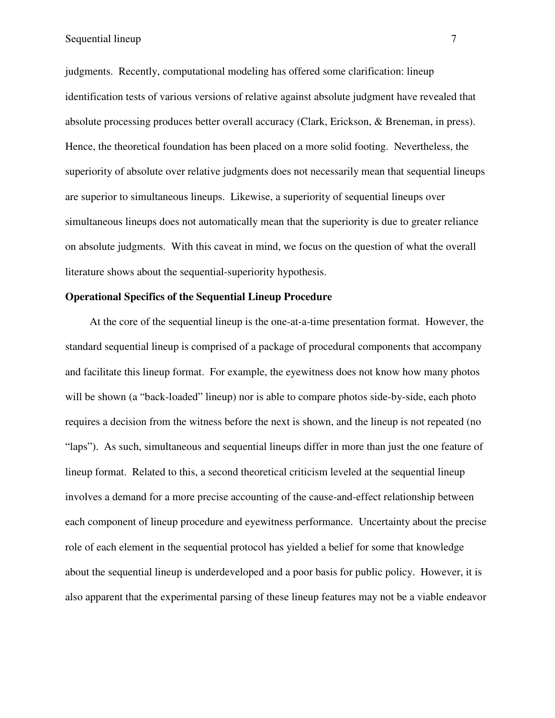judgments. Recently, computational modeling has offered some clarification: lineup identification tests of various versions of relative against absolute judgment have revealed that absolute processing produces better overall accuracy (Clark, Erickson, & Breneman, in press). Hence, the theoretical foundation has been placed on a more solid footing. Nevertheless, the superiority of absolute over relative judgments does not necessarily mean that sequential lineups are superior to simultaneous lineups. Likewise, a superiority of sequential lineups over simultaneous lineups does not automatically mean that the superiority is due to greater reliance on absolute judgments. With this caveat in mind, we focus on the question of what the overall literature shows about the sequential-superiority hypothesis.

# **Operational Specifics of the Sequential Lineup Procedure**

At the core of the sequential lineup is the one-at-a-time presentation format. However, the standard sequential lineup is comprised of a package of procedural components that accompany and facilitate this lineup format. For example, the eyewitness does not know how many photos will be shown (a "back-loaded" lineup) nor is able to compare photos side-by-side, each photo requires a decision from the witness before the next is shown, and the lineup is not repeated (no "laps"). As such, simultaneous and sequential lineups differ in more than just the one feature of lineup format. Related to this, a second theoretical criticism leveled at the sequential lineup involves a demand for a more precise accounting of the cause-and-effect relationship between each component of lineup procedure and eyewitness performance. Uncertainty about the precise role of each element in the sequential protocol has yielded a belief for some that knowledge about the sequential lineup is underdeveloped and a poor basis for public policy. However, it is also apparent that the experimental parsing of these lineup features may not be a viable endeavor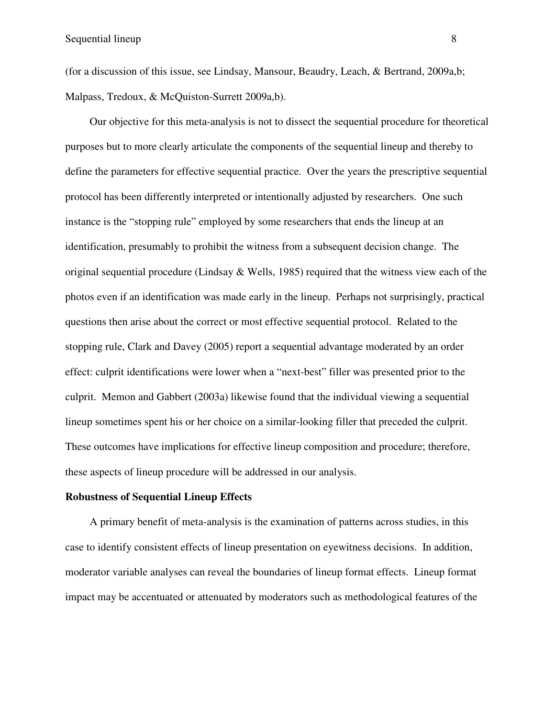(for a discussion of this issue, see Lindsay, Mansour, Beaudry, Leach, & Bertrand, 2009a,b; Malpass, Tredoux, & McQuiston-Surrett 2009a,b).

Our objective for this meta-analysis is not to dissect the sequential procedure for theoretical purposes but to more clearly articulate the components of the sequential lineup and thereby to define the parameters for effective sequential practice. Over the years the prescriptive sequential protocol has been differently interpreted or intentionally adjusted by researchers. One such instance is the "stopping rule" employed by some researchers that ends the lineup at an identification, presumably to prohibit the witness from a subsequent decision change. The original sequential procedure (Lindsay & Wells, 1985) required that the witness view each of the photos even if an identification was made early in the lineup. Perhaps not surprisingly, practical questions then arise about the correct or most effective sequential protocol. Related to the stopping rule, Clark and Davey (2005) report a sequential advantage moderated by an order effect: culprit identifications were lower when a "next-best" filler was presented prior to the culprit. Memon and Gabbert (2003a) likewise found that the individual viewing a sequential lineup sometimes spent his or her choice on a similar-looking filler that preceded the culprit. These outcomes have implications for effective lineup composition and procedure; therefore, these aspects of lineup procedure will be addressed in our analysis.

### **Robustness of Sequential Lineup Effects**

A primary benefit of meta-analysis is the examination of patterns across studies, in this case to identify consistent effects of lineup presentation on eyewitness decisions. In addition, moderator variable analyses can reveal the boundaries of lineup format effects. Lineup format impact may be accentuated or attenuated by moderators such as methodological features of the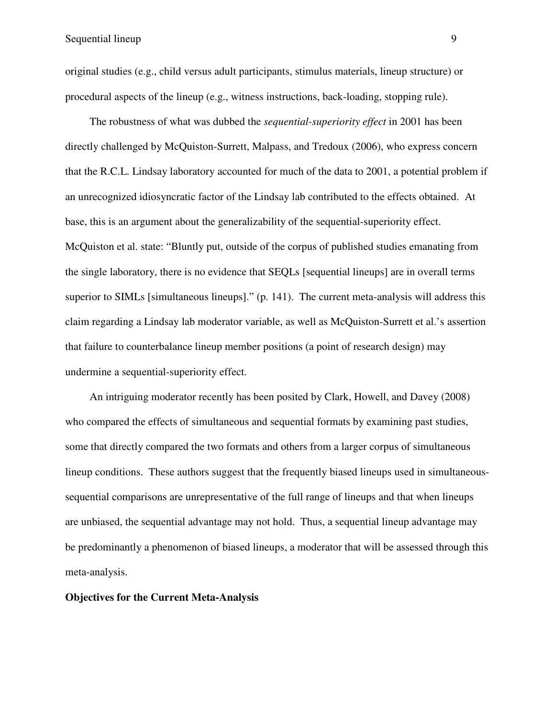original studies (e.g., child versus adult participants, stimulus materials, lineup structure) or procedural aspects of the lineup (e.g., witness instructions, back-loading, stopping rule).

The robustness of what was dubbed the *sequential-superiority effect* in 2001 has been directly challenged by McQuiston-Surrett, Malpass, and Tredoux (2006), who express concern that the R.C.L. Lindsay laboratory accounted for much of the data to 2001, a potential problem if an unrecognized idiosyncratic factor of the Lindsay lab contributed to the effects obtained. At base, this is an argument about the generalizability of the sequential-superiority effect. McQuiston et al. state: "Bluntly put, outside of the corpus of published studies emanating from the single laboratory, there is no evidence that SEQLs [sequential lineups] are in overall terms superior to SIMLs [simultaneous lineups]." (p. 141). The current meta-analysis will address this claim regarding a Lindsay lab moderator variable, as well as McQuiston-Surrett et al.'s assertion that failure to counterbalance lineup member positions (a point of research design) may undermine a sequential-superiority effect.

An intriguing moderator recently has been posited by Clark, Howell, and Davey (2008) who compared the effects of simultaneous and sequential formats by examining past studies, some that directly compared the two formats and others from a larger corpus of simultaneous lineup conditions. These authors suggest that the frequently biased lineups used in simultaneoussequential comparisons are unrepresentative of the full range of lineups and that when lineups are unbiased, the sequential advantage may not hold. Thus, a sequential lineup advantage may be predominantly a phenomenon of biased lineups, a moderator that will be assessed through this meta-analysis.

### **Objectives for the Current Meta-Analysis**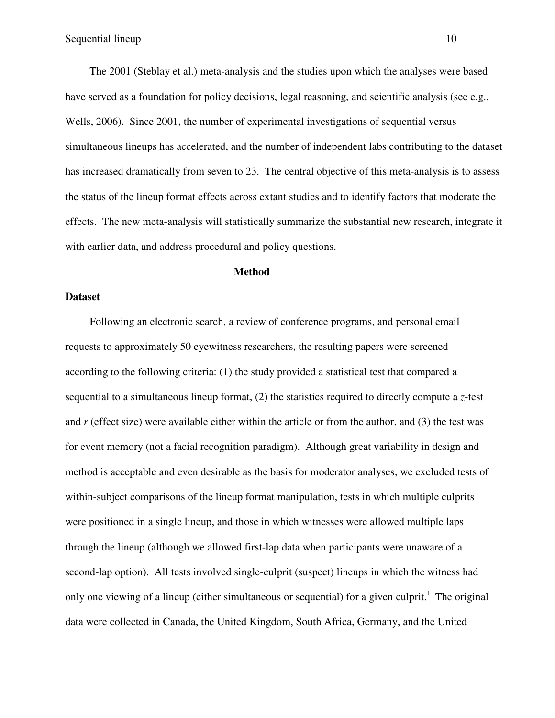The 2001 (Steblay et al.) meta-analysis and the studies upon which the analyses were based have served as a foundation for policy decisions, legal reasoning, and scientific analysis (see e.g., Wells, 2006). Since 2001, the number of experimental investigations of sequential versus simultaneous lineups has accelerated, and the number of independent labs contributing to the dataset has increased dramatically from seven to 23. The central objective of this meta-analysis is to assess the status of the lineup format effects across extant studies and to identify factors that moderate the effects. The new meta-analysis will statistically summarize the substantial new research, integrate it with earlier data, and address procedural and policy questions.

### **Method**

### **Dataset**

Following an electronic search, a review of conference programs, and personal email requests to approximately 50 eyewitness researchers, the resulting papers were screened according to the following criteria: (1) the study provided a statistical test that compared a sequential to a simultaneous lineup format, (2) the statistics required to directly compute a *z*-test and *r* (effect size) were available either within the article or from the author, and (3) the test was for event memory (not a facial recognition paradigm). Although great variability in design and method is acceptable and even desirable as the basis for moderator analyses, we excluded tests of within-subject comparisons of the lineup format manipulation, tests in which multiple culprits were positioned in a single lineup, and those in which witnesses were allowed multiple laps through the lineup (although we allowed first-lap data when participants were unaware of a second-lap option). All tests involved single-culprit (suspect) lineups in which the witness had only one viewing of a lineup (either simultaneous or sequential) for a given culprit.<sup>1</sup> The original data were collected in Canada, the United Kingdom, South Africa, Germany, and the United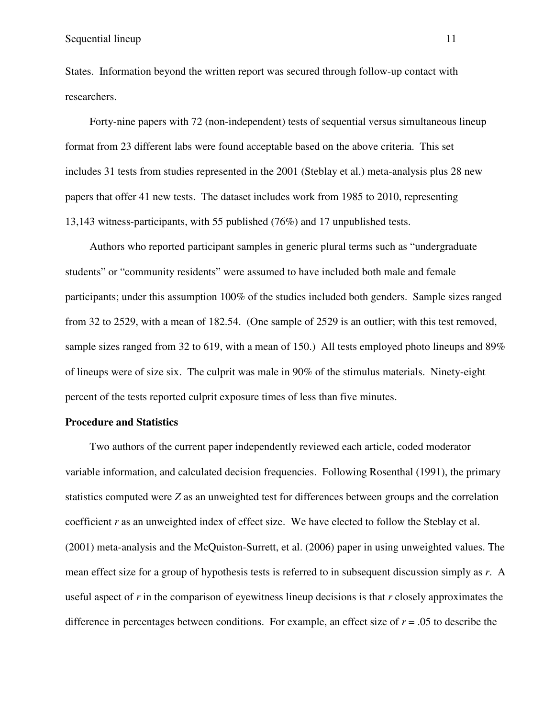States. Information beyond the written report was secured through follow-up contact with researchers.

Forty-nine papers with 72 (non-independent) tests of sequential versus simultaneous lineup format from 23 different labs were found acceptable based on the above criteria. This set includes 31 tests from studies represented in the 2001 (Steblay et al.) meta-analysis plus 28 new papers that offer 41 new tests. The dataset includes work from 1985 to 2010, representing 13,143 witness-participants, with 55 published (76%) and 17 unpublished tests.

Authors who reported participant samples in generic plural terms such as "undergraduate students" or "community residents" were assumed to have included both male and female participants; under this assumption 100% of the studies included both genders. Sample sizes ranged from 32 to 2529, with a mean of 182.54. (One sample of 2529 is an outlier; with this test removed, sample sizes ranged from 32 to 619, with a mean of 150.) All tests employed photo lineups and 89% of lineups were of size six. The culprit was male in 90% of the stimulus materials. Ninety-eight percent of the tests reported culprit exposure times of less than five minutes.

#### **Procedure and Statistics**

Two authors of the current paper independently reviewed each article, coded moderator variable information, and calculated decision frequencies. Following Rosenthal (1991), the primary statistics computed were *Z* as an unweighted test for differences between groups and the correlation coefficient *r* as an unweighted index of effect size. We have elected to follow the Steblay et al. (2001) meta-analysis and the McQuiston-Surrett, et al. (2006) paper in using unweighted values. The mean effect size for a group of hypothesis tests is referred to in subsequent discussion simply as *r*. A useful aspect of *r* in the comparison of eyewitness lineup decisions is that *r* closely approximates the difference in percentages between conditions. For example, an effect size of *r* = .05 to describe the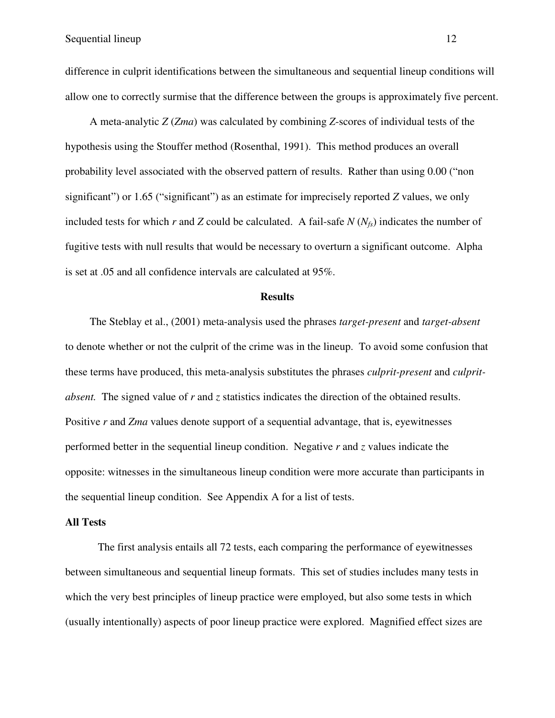difference in culprit identifications between the simultaneous and sequential lineup conditions will allow one to correctly surmise that the difference between the groups is approximately five percent.

A meta-analytic *Z* (*Zma*) was calculated by combining *Z*-scores of individual tests of the hypothesis using the Stouffer method (Rosenthal, 1991). This method produces an overall probability level associated with the observed pattern of results. Rather than using 0.00 ("non significant") or 1.65 ("significant") as an estimate for imprecisely reported *Z* values, we only included tests for which *r* and *Z* could be calculated. A fail-safe  $N(N_f)$  indicates the number of fugitive tests with null results that would be necessary to overturn a significant outcome. Alpha is set at .05 and all confidence intervals are calculated at 95%.

### **Results**

The Steblay et al., (2001) meta-analysis used the phrases *target-present* and *target-absent* to denote whether or not the culprit of the crime was in the lineup. To avoid some confusion that these terms have produced, this meta-analysis substitutes the phrases *culprit-present* and *culpritabsent.* The signed value of *r* and *z* statistics indicates the direction of the obtained results. Positive *r* and *Zma* values denote support of a sequential advantage, that is, eyewitnesses performed better in the sequential lineup condition. Negative *r* and *z* values indicate the opposite: witnesses in the simultaneous lineup condition were more accurate than participants in the sequential lineup condition. See Appendix A for a list of tests.

#### **All Tests**

The first analysis entails all 72 tests, each comparing the performance of eyewitnesses between simultaneous and sequential lineup formats. This set of studies includes many tests in which the very best principles of lineup practice were employed, but also some tests in which (usually intentionally) aspects of poor lineup practice were explored. Magnified effect sizes are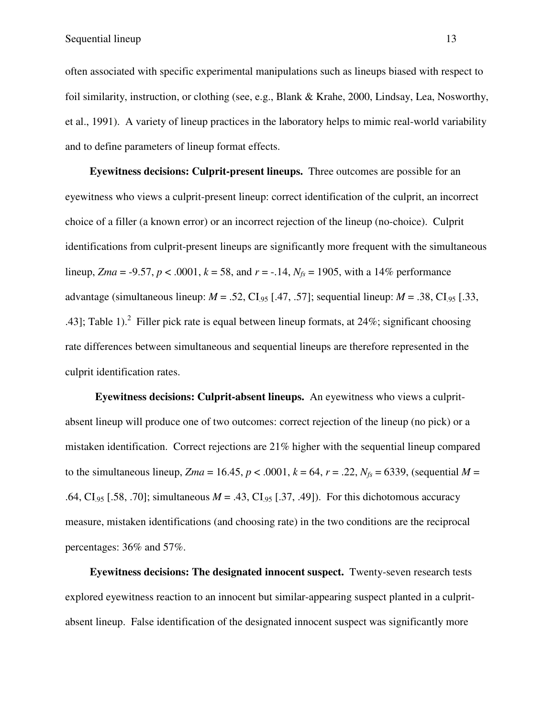often associated with specific experimental manipulations such as lineups biased with respect to foil similarity, instruction, or clothing (see, e.g., Blank & Krahe, 2000, Lindsay, Lea, Nosworthy, et al., 1991). A variety of lineup practices in the laboratory helps to mimic real-world variability and to define parameters of lineup format effects.

**Eyewitness decisions: Culprit-present lineups.** Three outcomes are possible for an eyewitness who views a culprit-present lineup: correct identification of the culprit, an incorrect choice of a filler (a known error) or an incorrect rejection of the lineup (no-choice). Culprit identifications from culprit-present lineups are significantly more frequent with the simultaneous lineup, *Zma* = -9.57, *p* < .0001, *k* = 58, and *r* = -.14, *Nfs* = 1905, with a 14% performance advantage (simultaneous lineup:  $M = .52$ , CI<sub>95</sub> [.47, .57]; sequential lineup:  $M = .38$ , CI<sub>95</sub> [.33, .43]; Table 1). <sup>2</sup> Filler pick rate is equal between lineup formats, at 24%; significant choosing rate differences between simultaneous and sequential lineups are therefore represented in the culprit identification rates.

 **Eyewitness decisions: Culprit-absent lineups.** An eyewitness who views a culpritabsent lineup will produce one of two outcomes: correct rejection of the lineup (no pick) or a mistaken identification. Correct rejections are 21% higher with the sequential lineup compared to the simultaneous lineup,  $Zma = 16.45$ ,  $p < .0001$ ,  $k = 64$ ,  $r = .22$ ,  $N_f = 6339$ , (sequential  $M =$ .64, CI<sub>95</sub> [.58, .70]; simultaneous  $M = .43$ , CI<sub>95</sub> [.37, .49]). For this dichotomous accuracy measure, mistaken identifications (and choosing rate) in the two conditions are the reciprocal percentages: 36% and 57%.

**Eyewitness decisions: The designated innocent suspect.** Twenty-seven research tests explored eyewitness reaction to an innocent but similar-appearing suspect planted in a culpritabsent lineup. False identification of the designated innocent suspect was significantly more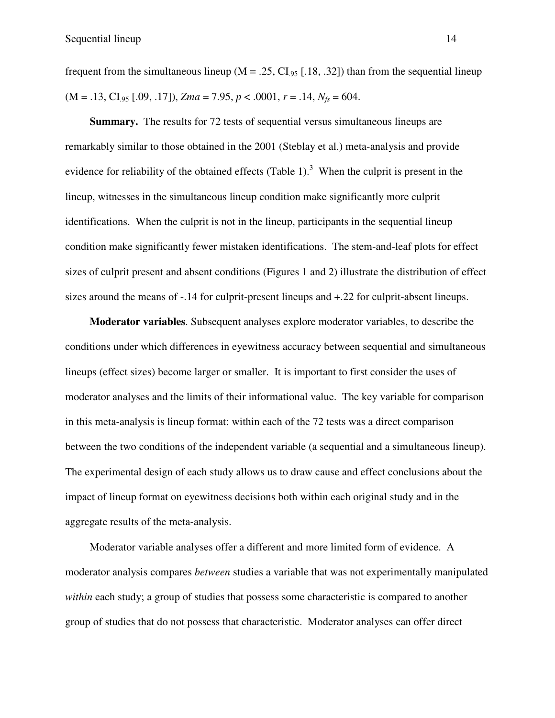frequent from the simultaneous lineup ( $M = .25$ , CI<sub>95</sub> [.18, .32]) than from the sequential lineup  $(M = .13, CI<sub>95</sub> [.09, .17]), Zma = 7.95, p < .0001, r = .14, N<sub>fs</sub> = 604.$ 

**Summary.**The results for 72 tests of sequential versus simultaneous lineups are remarkably similar to those obtained in the 2001 (Steblay et al.) meta-analysis and provide evidence for reliability of the obtained effects (Table 1).<sup>3</sup> When the culprit is present in the lineup, witnesses in the simultaneous lineup condition make significantly more culprit identifications. When the culprit is not in the lineup, participants in the sequential lineup condition make significantly fewer mistaken identifications. The stem-and-leaf plots for effect sizes of culprit present and absent conditions (Figures 1 and 2) illustrate the distribution of effect sizes around the means of -.14 for culprit-present lineups and +.22 for culprit-absent lineups.

**Moderator variables**. Subsequent analyses explore moderator variables, to describe the conditions under which differences in eyewitness accuracy between sequential and simultaneous lineups (effect sizes) become larger or smaller. It is important to first consider the uses of moderator analyses and the limits of their informational value. The key variable for comparison in this meta-analysis is lineup format: within each of the 72 tests was a direct comparison between the two conditions of the independent variable (a sequential and a simultaneous lineup). The experimental design of each study allows us to draw cause and effect conclusions about the impact of lineup format on eyewitness decisions both within each original study and in the aggregate results of the meta-analysis.

Moderator variable analyses offer a different and more limited form of evidence. A moderator analysis compares *between* studies a variable that was not experimentally manipulated *within* each study; a group of studies that possess some characteristic is compared to another group of studies that do not possess that characteristic. Moderator analyses can offer direct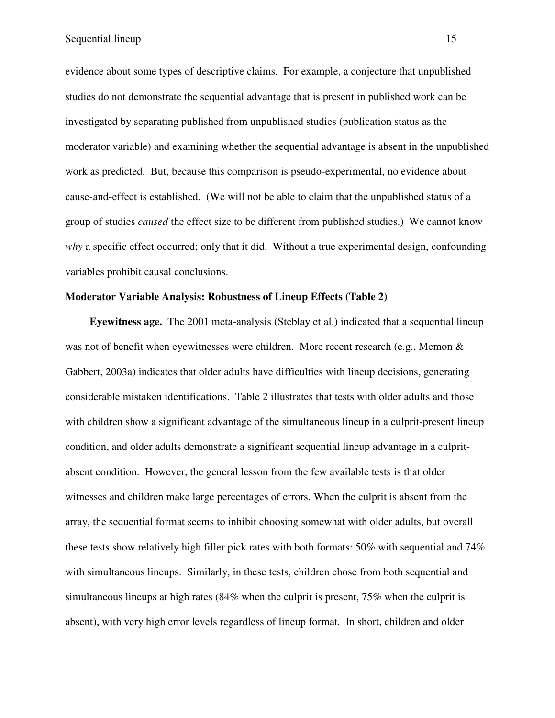evidence about some types of descriptive claims. For example, a conjecture that unpublished studies do not demonstrate the sequential advantage that is present in published work can be investigated by separating published from unpublished studies (publication status as the moderator variable) and examining whether the sequential advantage is absent in the unpublished work as predicted. But, because this comparison is pseudo-experimental, no evidence about cause-and-effect is established. (We will not be able to claim that the unpublished status of a group of studies *caused* the effect size to be different from published studies.) We cannot know *why* a specific effect occurred; only that it did. Without a true experimental design, confounding variables prohibit causal conclusions.

## **Moderator Variable Analysis: Robustness of Lineup Effects (Table 2)**

**Eyewitness age.** The 2001 meta-analysis (Steblay et al.) indicated that a sequential lineup was not of benefit when eyewitnesses were children. More recent research (e.g., Memon  $\&$ Gabbert, 2003a) indicates that older adults have difficulties with lineup decisions, generating considerable mistaken identifications. Table 2 illustrates that tests with older adults and those with children show a significant advantage of the simultaneous lineup in a culprit-present lineup condition, and older adults demonstrate a significant sequential lineup advantage in a culpritabsent condition. However, the general lesson from the few available tests is that older witnesses and children make large percentages of errors. When the culprit is absent from the array, the sequential format seems to inhibit choosing somewhat with older adults, but overall these tests show relatively high filler pick rates with both formats: 50% with sequential and 74% with simultaneous lineups. Similarly, in these tests, children chose from both sequential and simultaneous lineups at high rates (84% when the culprit is present, 75% when the culprit is absent), with very high error levels regardless of lineup format. In short, children and older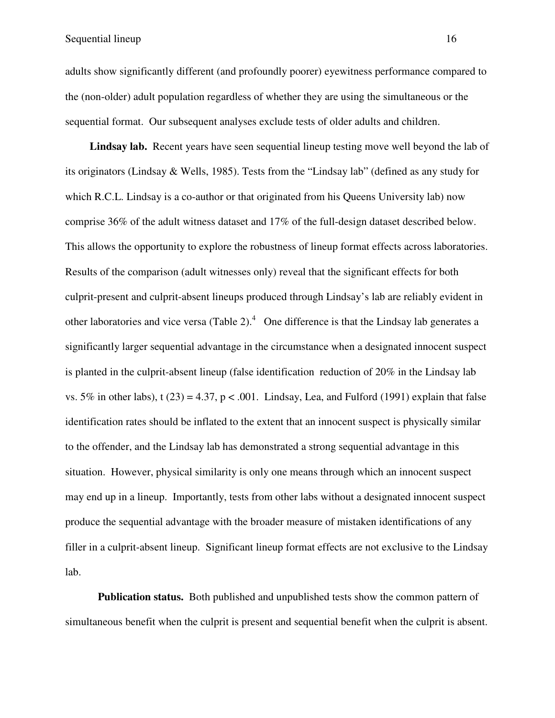adults show significantly different (and profoundly poorer) eyewitness performance compared to the (non-older) adult population regardless of whether they are using the simultaneous or the sequential format. Our subsequent analyses exclude tests of older adults and children.

**Lindsay lab.** Recent years have seen sequential lineup testing move well beyond the lab of its originators (Lindsay & Wells, 1985). Tests from the "Lindsay lab" (defined as any study for which R.C.L. Lindsay is a co-author or that originated from his Queens University lab) now comprise 36% of the adult witness dataset and 17% of the full-design dataset described below. This allows the opportunity to explore the robustness of lineup format effects across laboratories. Results of the comparison (adult witnesses only) reveal that the significant effects for both culprit-present and culprit-absent lineups produced through Lindsay's lab are reliably evident in other laboratories and vice versa (Table 2). $4$  One difference is that the Lindsay lab generates a significantly larger sequential advantage in the circumstance when a designated innocent suspect is planted in the culprit-absent lineup (false identification reduction of 20% in the Lindsay lab vs. 5% in other labs), t (23) = 4.37, p < .001. Lindsay, Lea, and Fulford (1991) explain that false identification rates should be inflated to the extent that an innocent suspect is physically similar to the offender, and the Lindsay lab has demonstrated a strong sequential advantage in this situation. However, physical similarity is only one means through which an innocent suspect may end up in a lineup. Importantly, tests from other labs without a designated innocent suspect produce the sequential advantage with the broader measure of mistaken identifications of any filler in a culprit-absent lineup. Significant lineup format effects are not exclusive to the Lindsay lab.

**Publication status.** Both published and unpublished tests show the common pattern of simultaneous benefit when the culprit is present and sequential benefit when the culprit is absent.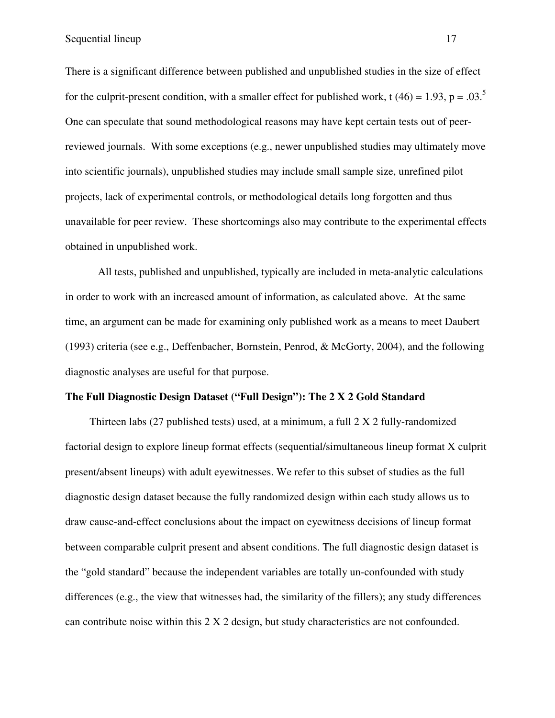There is a significant difference between published and unpublished studies in the size of effect for the culprit-present condition, with a smaller effect for published work, t (46) = 1.93, p = .03.<sup>5</sup> One can speculate that sound methodological reasons may have kept certain tests out of peerreviewed journals. With some exceptions (e.g., newer unpublished studies may ultimately move into scientific journals), unpublished studies may include small sample size, unrefined pilot projects, lack of experimental controls, or methodological details long forgotten and thus unavailable for peer review. These shortcomings also may contribute to the experimental effects obtained in unpublished work.

All tests, published and unpublished, typically are included in meta-analytic calculations in order to work with an increased amount of information, as calculated above. At the same time, an argument can be made for examining only published work as a means to meet Daubert (1993) criteria (see e.g., Deffenbacher, Bornstein, Penrod, & McGorty, 2004), and the following diagnostic analyses are useful for that purpose.

## **The Full Diagnostic Design Dataset ("Full Design"): The 2 X 2 Gold Standard**

Thirteen labs (27 published tests) used, at a minimum, a full 2 X 2 fully-randomized factorial design to explore lineup format effects (sequential/simultaneous lineup format X culprit present/absent lineups) with adult eyewitnesses. We refer to this subset of studies as the full diagnostic design dataset because the fully randomized design within each study allows us to draw cause-and-effect conclusions about the impact on eyewitness decisions of lineup format between comparable culprit present and absent conditions. The full diagnostic design dataset is the "gold standard" because the independent variables are totally un-confounded with study differences (e.g., the view that witnesses had, the similarity of the fillers); any study differences can contribute noise within this 2 X 2 design, but study characteristics are not confounded.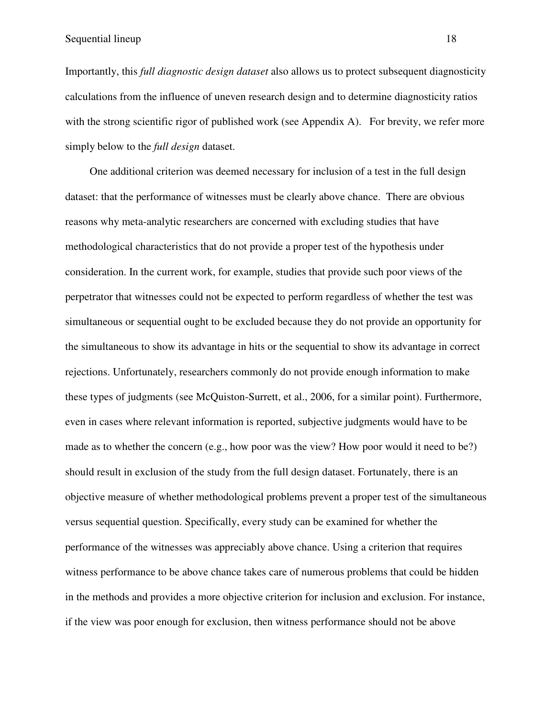Importantly, this *full diagnostic design dataset* also allows us to protect subsequent diagnosticity calculations from the influence of uneven research design and to determine diagnosticity ratios with the strong scientific rigor of published work (see Appendix A). For brevity, we refer more simply below to the *full design* dataset.

One additional criterion was deemed necessary for inclusion of a test in the full design dataset: that the performance of witnesses must be clearly above chance. There are obvious reasons why meta-analytic researchers are concerned with excluding studies that have methodological characteristics that do not provide a proper test of the hypothesis under consideration. In the current work, for example, studies that provide such poor views of the perpetrator that witnesses could not be expected to perform regardless of whether the test was simultaneous or sequential ought to be excluded because they do not provide an opportunity for the simultaneous to show its advantage in hits or the sequential to show its advantage in correct rejections. Unfortunately, researchers commonly do not provide enough information to make these types of judgments (see McQuiston-Surrett, et al., 2006, for a similar point). Furthermore, even in cases where relevant information is reported, subjective judgments would have to be made as to whether the concern (e.g., how poor was the view? How poor would it need to be?) should result in exclusion of the study from the full design dataset. Fortunately, there is an objective measure of whether methodological problems prevent a proper test of the simultaneous versus sequential question. Specifically, every study can be examined for whether the performance of the witnesses was appreciably above chance. Using a criterion that requires witness performance to be above chance takes care of numerous problems that could be hidden in the methods and provides a more objective criterion for inclusion and exclusion. For instance, if the view was poor enough for exclusion, then witness performance should not be above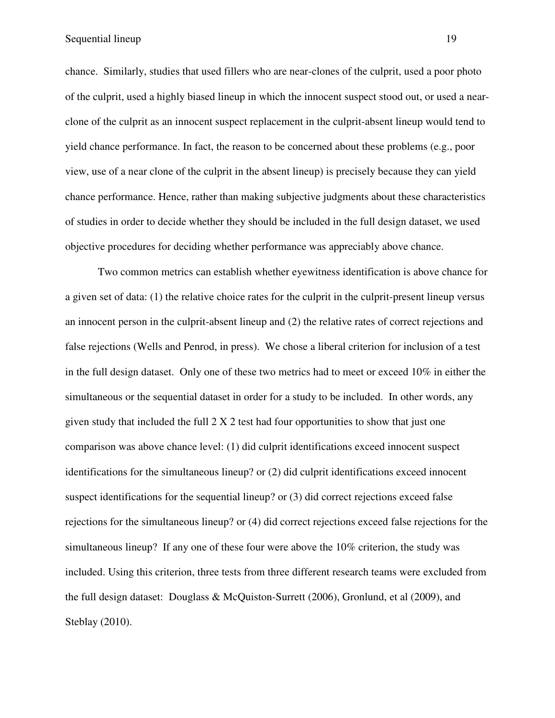chance. Similarly, studies that used fillers who are near-clones of the culprit, used a poor photo of the culprit, used a highly biased lineup in which the innocent suspect stood out, or used a nearclone of the culprit as an innocent suspect replacement in the culprit-absent lineup would tend to yield chance performance. In fact, the reason to be concerned about these problems (e.g., poor view, use of a near clone of the culprit in the absent lineup) is precisely because they can yield chance performance. Hence, rather than making subjective judgments about these characteristics of studies in order to decide whether they should be included in the full design dataset, we used objective procedures for deciding whether performance was appreciably above chance.

Two common metrics can establish whether eyewitness identification is above chance for a given set of data: (1) the relative choice rates for the culprit in the culprit-present lineup versus an innocent person in the culprit-absent lineup and (2) the relative rates of correct rejections and false rejections (Wells and Penrod, in press). We chose a liberal criterion for inclusion of a test in the full design dataset. Only one of these two metrics had to meet or exceed 10% in either the simultaneous or the sequential dataset in order for a study to be included. In other words, any given study that included the full  $2 \times 2$  test had four opportunities to show that just one comparison was above chance level: (1) did culprit identifications exceed innocent suspect identifications for the simultaneous lineup? or (2) did culprit identifications exceed innocent suspect identifications for the sequential lineup? or (3) did correct rejections exceed false rejections for the simultaneous lineup? or (4) did correct rejections exceed false rejections for the simultaneous lineup? If any one of these four were above the 10% criterion, the study was included. Using this criterion, three tests from three different research teams were excluded from the full design dataset: Douglass & McQuiston-Surrett (2006), Gronlund, et al (2009), and Steblay (2010).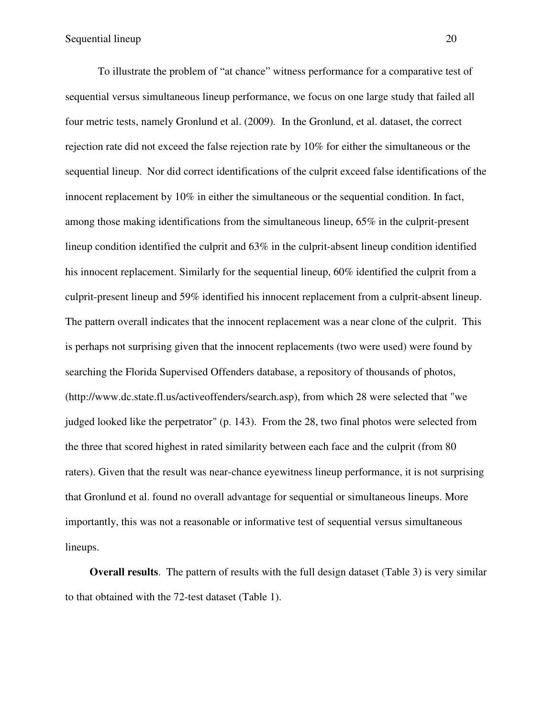To illustrate the problem of "at chance" witness performance for a comparative test of sequential versus simultaneous lineup performance, we focus on one large study that failed all four metric tests, namely Gronlund et al. (2009). In the Gronlund, et al. dataset, the correct rejection rate did not exceed the false rejection rate by 10% for either the simultaneous or the sequential lineup. Nor did correct identifications of the culprit exceed false identifications of the innocent replacement by 10% in either the simultaneous or the sequential condition. In fact, among those making identifications from the simultaneous lineup, 65% in the culprit-present lineup condition identified the culprit and 63% in the culprit-absent lineup condition identified his innocent replacement. Similarly for the sequential lineup, 60% identified the culprit from a culprit-present lineup and 59% identified his innocent replacement from a culprit-absent lineup. The pattern overall indicates that the innocent replacement was a near clone of the culprit. This is perhaps not surprising given that the innocent replacements (two were used) were found by searching the Florida Supervised Offenders database, a repository of thousands of photos, (http://www.dc.state.fl.us/activeoffenders/search.asp), from which 28 were selected that "we judged looked like the perpetrator" (p. 143). From the 28, two final photos were selected from the three that scored highest in rated similarity between each face and the culprit (from 80 raters). Given that the result was near-chance eyewitness lineup performance, it is not surprising that Gronlund et al. found no overall advantage for sequential or simultaneous lineups. More importantly, this was not a reasonable or informative test of sequential versus simultaneous lineups.

**Overall results**. The pattern of results with the full design dataset (Table 3) is very similar to that obtained with the 72-test dataset (Table 1).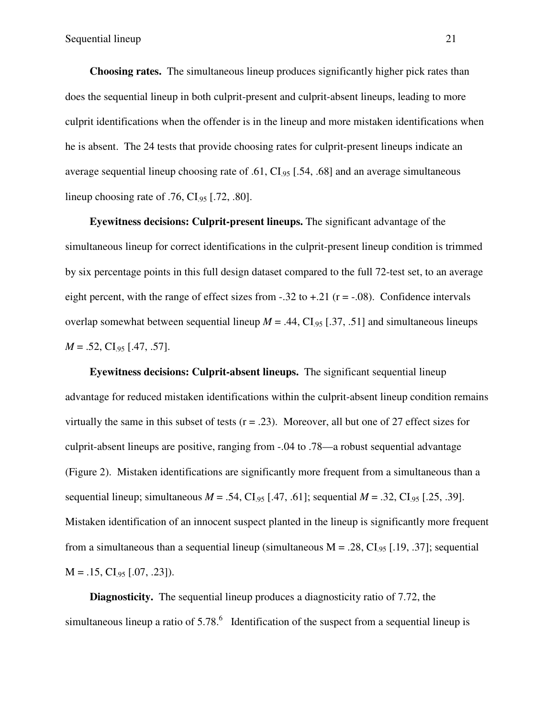**Choosing rates.** The simultaneous lineup produces significantly higher pick rates than does the sequential lineup in both culprit-present and culprit-absent lineups, leading to more culprit identifications when the offender is in the lineup and more mistaken identifications when he is absent. The 24 tests that provide choosing rates for culprit-present lineups indicate an average sequential lineup choosing rate of .61,  $CI_{.95}$  [.54, .68] and an average simultaneous lineup choosing rate of  $.76$ , CI<sub>95</sub> [.72, .80].

**Eyewitness decisions: Culprit-present lineups.** The significant advantage of the simultaneous lineup for correct identifications in the culprit-present lineup condition is trimmed by six percentage points in this full design dataset compared to the full 72-test set, to an average eight percent, with the range of effect sizes from  $-.32$  to  $+.21$  ( $r = -.08$ ). Confidence intervals overlap somewhat between sequential lineup  $M = .44$ , CI<sub>95</sub> [.37, .51] and simultaneous lineups  $M = .52$ , CI<sub>.95</sub> [.47, .57].

**Eyewitness decisions: Culprit-absent lineups.** The significant sequential lineup advantage for reduced mistaken identifications within the culprit-absent lineup condition remains virtually the same in this subset of tests  $(r = .23)$ . Moreover, all but one of 27 effect sizes for culprit-absent lineups are positive, ranging from -.04 to .78—a robust sequential advantage (Figure 2). Mistaken identifications are significantly more frequent from a simultaneous than a sequential lineup; simultaneous  $M = .54$ , CI<sub>95</sub> [.47, .61]; sequential  $M = .32$ , CI<sub>95</sub> [.25, .39]. Mistaken identification of an innocent suspect planted in the lineup is significantly more frequent from a simultaneous than a sequential lineup (simultaneous  $M = .28$ , CI<sub>95</sub> [.19, .37]; sequential  $M = .15, CI_{.95}$  [.07, .23]).

**Diagnosticity.** The sequential lineup produces a diagnosticity ratio of 7.72, the simultaneous lineup a ratio of  $5.78$ . Identification of the suspect from a sequential lineup is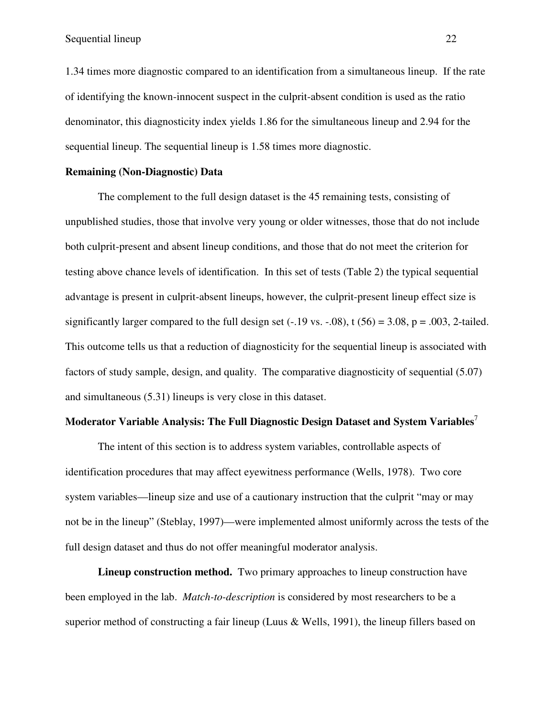1.34 times more diagnostic compared to an identification from a simultaneous lineup. If the rate of identifying the known-innocent suspect in the culprit-absent condition is used as the ratio denominator, this diagnosticity index yields 1.86 for the simultaneous lineup and 2.94 for the sequential lineup. The sequential lineup is 1.58 times more diagnostic.

## **Remaining (Non-Diagnostic) Data**

The complement to the full design dataset is the 45 remaining tests, consisting of unpublished studies, those that involve very young or older witnesses, those that do not include both culprit-present and absent lineup conditions, and those that do not meet the criterion for testing above chance levels of identification. In this set of tests (Table 2) the typical sequential advantage is present in culprit-absent lineups, however, the culprit-present lineup effect size is significantly larger compared to the full design set  $(-.19 \text{ vs. } -.08)$ , t  $(56) = 3.08$ , p = .003, 2-tailed. This outcome tells us that a reduction of diagnosticity for the sequential lineup is associated with factors of study sample, design, and quality. The comparative diagnosticity of sequential (5.07) and simultaneous (5.31) lineups is very close in this dataset.

## **Moderator Variable Analysis: The Full Diagnostic Design Dataset and System Variables**

The intent of this section is to address system variables, controllable aspects of identification procedures that may affect eyewitness performance (Wells, 1978). Two core system variables—lineup size and use of a cautionary instruction that the culprit "may or may not be in the lineup" (Steblay, 1997)—were implemented almost uniformly across the tests of the full design dataset and thus do not offer meaningful moderator analysis.

**Lineup construction method.** Two primary approaches to lineup construction have been employed in the lab. *Match-to-description* is considered by most researchers to be a superior method of constructing a fair lineup (Luus & Wells, 1991), the lineup fillers based on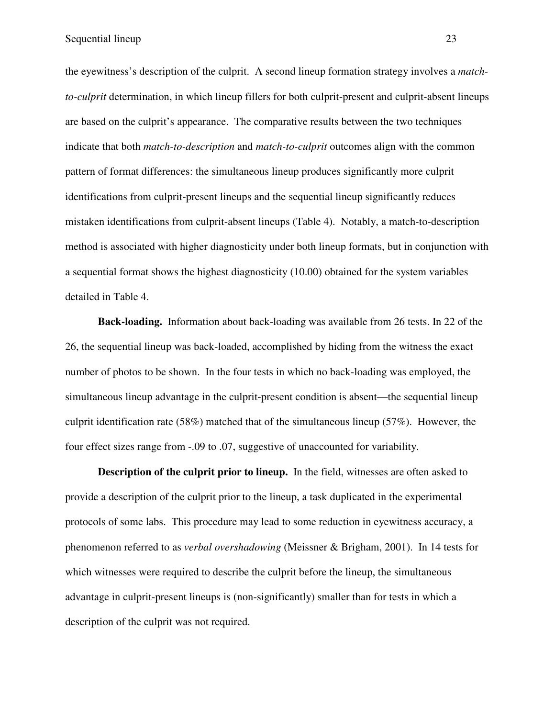the eyewitness's description of the culprit. A second lineup formation strategy involves a *matchto-culprit* determination, in which lineup fillers for both culprit-present and culprit-absent lineups are based on the culprit's appearance. The comparative results between the two techniques indicate that both *match-to-description* and *match-to-culprit* outcomes align with the common pattern of format differences: the simultaneous lineup produces significantly more culprit identifications from culprit-present lineups and the sequential lineup significantly reduces mistaken identifications from culprit-absent lineups (Table 4). Notably, a match-to-description method is associated with higher diagnosticity under both lineup formats, but in conjunction with a sequential format shows the highest diagnosticity (10.00) obtained for the system variables detailed in Table 4.

**Back-loading.** Information about back-loading was available from 26 tests. In 22 of the 26, the sequential lineup was back-loaded, accomplished by hiding from the witness the exact number of photos to be shown. In the four tests in which no back-loading was employed, the simultaneous lineup advantage in the culprit-present condition is absent—the sequential lineup culprit identification rate  $(58%)$  matched that of the simultaneous lineup  $(57%)$ . However, the four effect sizes range from -.09 to .07, suggestive of unaccounted for variability.

**Description of the culprit prior to lineup.** In the field, witnesses are often asked to provide a description of the culprit prior to the lineup, a task duplicated in the experimental protocols of some labs. This procedure may lead to some reduction in eyewitness accuracy, a phenomenon referred to as *verbal overshadowing* (Meissner & Brigham, 2001). In 14 tests for which witnesses were required to describe the culprit before the lineup, the simultaneous advantage in culprit-present lineups is (non-significantly) smaller than for tests in which a description of the culprit was not required.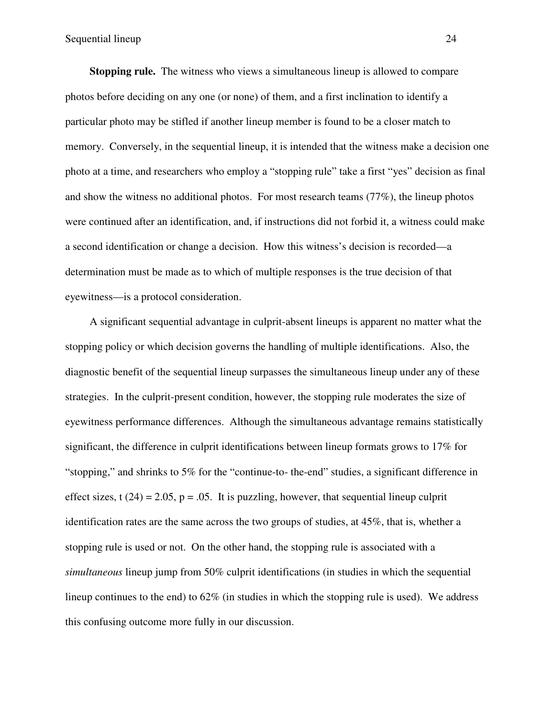**Stopping rule.** The witness who views a simultaneous lineup is allowed to compare photos before deciding on any one (or none) of them, and a first inclination to identify a particular photo may be stifled if another lineup member is found to be a closer match to memory. Conversely, in the sequential lineup, it is intended that the witness make a decision one photo at a time, and researchers who employ a "stopping rule" take a first "yes" decision as final and show the witness no additional photos. For most research teams (77%), the lineup photos were continued after an identification, and, if instructions did not forbid it, a witness could make a second identification or change a decision. How this witness's decision is recorded—a determination must be made as to which of multiple responses is the true decision of that eyewitness—is a protocol consideration.

A significant sequential advantage in culprit-absent lineups is apparent no matter what the stopping policy or which decision governs the handling of multiple identifications. Also, the diagnostic benefit of the sequential lineup surpasses the simultaneous lineup under any of these strategies. In the culprit-present condition, however, the stopping rule moderates the size of eyewitness performance differences. Although the simultaneous advantage remains statistically significant, the difference in culprit identifications between lineup formats grows to 17% for "stopping," and shrinks to 5% for the "continue-to- the-end" studies, a significant difference in effect sizes, t  $(24) = 2.05$ ,  $p = .05$ . It is puzzling, however, that sequential lineup culprit identification rates are the same across the two groups of studies, at 45%, that is, whether a stopping rule is used or not. On the other hand, the stopping rule is associated with a *simultaneous* lineup jump from 50% culprit identifications (in studies in which the sequential lineup continues to the end) to  $62\%$  (in studies in which the stopping rule is used). We address this confusing outcome more fully in our discussion.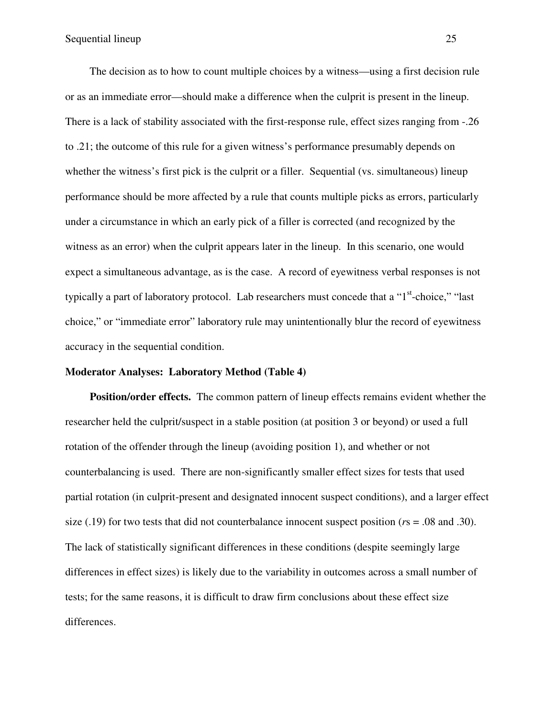The decision as to how to count multiple choices by a witness—using a first decision rule or as an immediate error—should make a difference when the culprit is present in the lineup. There is a lack of stability associated with the first-response rule, effect sizes ranging from -.26 to .21; the outcome of this rule for a given witness's performance presumably depends on whether the witness's first pick is the culprit or a filler. Sequential (vs. simultaneous) lineup performance should be more affected by a rule that counts multiple picks as errors, particularly under a circumstance in which an early pick of a filler is corrected (and recognized by the witness as an error) when the culprit appears later in the lineup. In this scenario, one would expect a simultaneous advantage, as is the case. A record of eyewitness verbal responses is not typically a part of laboratory protocol. Lab researchers must concede that a " $1<sup>st</sup>$ -choice," "last choice," or "immediate error" laboratory rule may unintentionally blur the record of eyewitness accuracy in the sequential condition.

### **Moderator Analyses: Laboratory Method (Table 4)**

**Position/order effects.** The common pattern of lineup effects remains evident whether the researcher held the culprit/suspect in a stable position (at position 3 or beyond) or used a full rotation of the offender through the lineup (avoiding position 1), and whether or not counterbalancing is used. There are non-significantly smaller effect sizes for tests that used partial rotation (in culprit-present and designated innocent suspect conditions), and a larger effect size (.19) for two tests that did not counterbalance innocent suspect position (*r*s = .08 and .30). The lack of statistically significant differences in these conditions (despite seemingly large differences in effect sizes) is likely due to the variability in outcomes across a small number of tests; for the same reasons, it is difficult to draw firm conclusions about these effect size differences.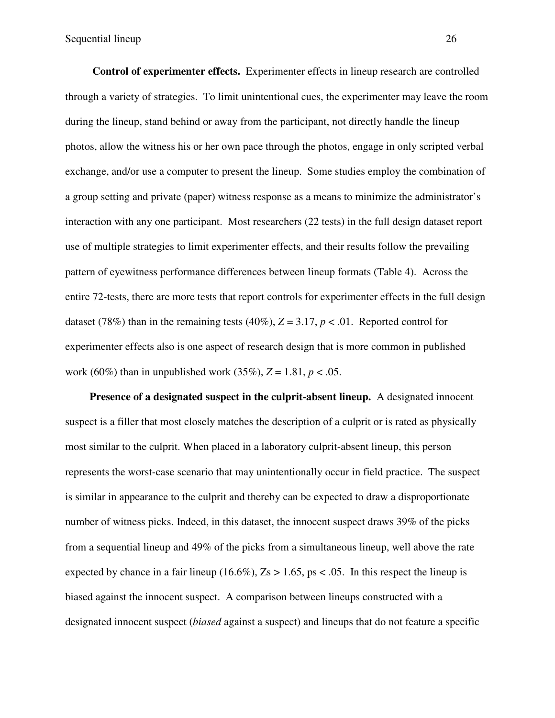**Control of experimenter effects.** Experimenter effects in lineup research are controlled through a variety of strategies. To limit unintentional cues, the experimenter may leave the room during the lineup, stand behind or away from the participant, not directly handle the lineup photos, allow the witness his or her own pace through the photos, engage in only scripted verbal exchange, and/or use a computer to present the lineup. Some studies employ the combination of a group setting and private (paper) witness response as a means to minimize the administrator's interaction with any one participant. Most researchers (22 tests) in the full design dataset report use of multiple strategies to limit experimenter effects, and their results follow the prevailing pattern of eyewitness performance differences between lineup formats (Table 4). Across the entire 72-tests, there are more tests that report controls for experimenter effects in the full design dataset (78%) than in the remaining tests (40%),  $Z = 3.17$ ,  $p < .01$ . Reported control for experimenter effects also is one aspect of research design that is more common in published work (60%) than in unpublished work (35%),  $Z = 1.81$ ,  $p < .05$ .

**Presence of a designated suspect in the culprit-absent lineup.** A designated innocent suspect is a filler that most closely matches the description of a culprit or is rated as physically most similar to the culprit. When placed in a laboratory culprit-absent lineup, this person represents the worst-case scenario that may unintentionally occur in field practice. The suspect is similar in appearance to the culprit and thereby can be expected to draw a disproportionate number of witness picks. Indeed, in this dataset, the innocent suspect draws 39% of the picks from a sequential lineup and 49% of the picks from a simultaneous lineup, well above the rate expected by chance in a fair lineup (16.6%),  $Z_s > 1.65$ , ps < .05. In this respect the lineup is biased against the innocent suspect. A comparison between lineups constructed with a designated innocent suspect (*biased* against a suspect) and lineups that do not feature a specific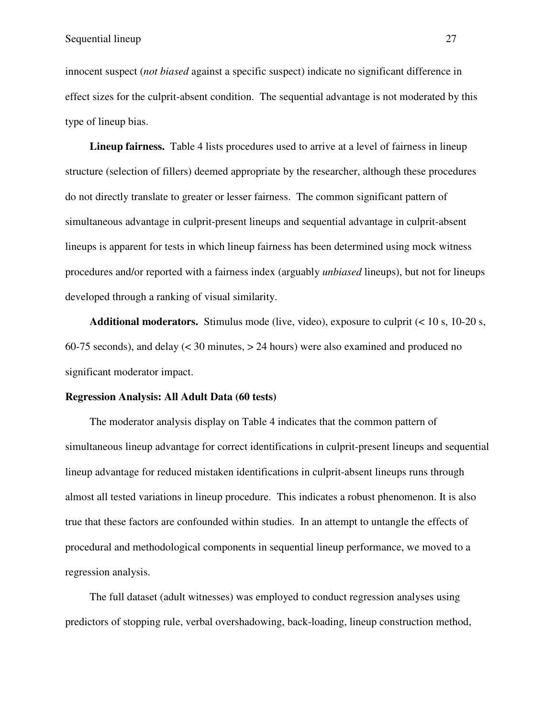innocent suspect (*not biased* against a specific suspect) indicate no significant difference in effect sizes for the culprit-absent condition. The sequential advantage is not moderated by this type of lineup bias.

**Lineup fairness.** Table 4 lists procedures used to arrive at a level of fairness in lineup structure (selection of fillers) deemed appropriate by the researcher, although these procedures do not directly translate to greater or lesser fairness. The common significant pattern of simultaneous advantage in culprit-present lineups and sequential advantage in culprit-absent lineups is apparent for tests in which lineup fairness has been determined using mock witness procedures and/or reported with a fairness index (arguably *unbiased* lineups), but not for lineups developed through a ranking of visual similarity.

**Additional moderators.** Stimulus mode (live, video), exposure to culprit (< 10 s, 10-20 s, 60-75 seconds), and delay (< 30 minutes, > 24 hours) were also examined and produced no significant moderator impact.

## **Regression Analysis: All Adult Data (60 tests)**

The moderator analysis display on Table 4 indicates that the common pattern of simultaneous lineup advantage for correct identifications in culprit-present lineups and sequential lineup advantage for reduced mistaken identifications in culprit-absent lineups runs through almost all tested variations in lineup procedure. This indicates a robust phenomenon. It is also true that these factors are confounded within studies. In an attempt to untangle the effects of procedural and methodological components in sequential lineup performance, we moved to a regression analysis.

The full dataset (adult witnesses) was employed to conduct regression analyses using predictors of stopping rule, verbal overshadowing, back-loading, lineup construction method,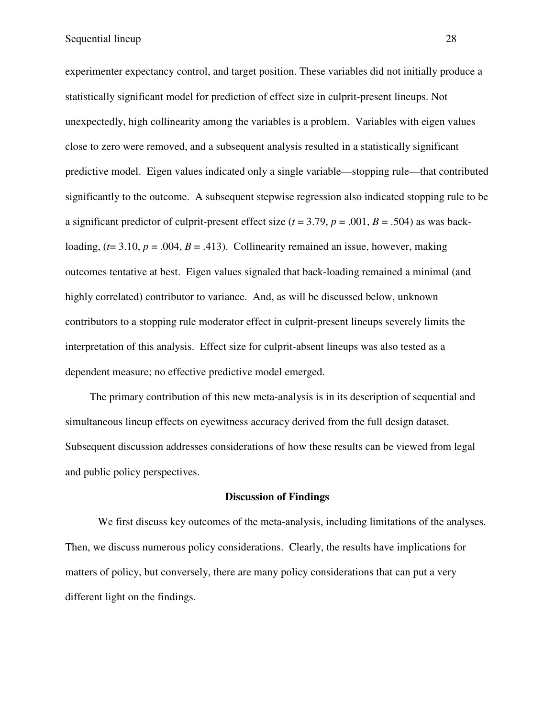experimenter expectancy control, and target position. These variables did not initially produce a statistically significant model for prediction of effect size in culprit-present lineups. Not unexpectedly, high collinearity among the variables is a problem. Variables with eigen values close to zero were removed, and a subsequent analysis resulted in a statistically significant predictive model. Eigen values indicated only a single variable—stopping rule—that contributed significantly to the outcome. A subsequent stepwise regression also indicated stopping rule to be a significant predictor of culprit-present effect size  $(t = 3.79, p = .001, B = .504)$  as was backloading,  $(t= 3.10, p = .004, B = .413)$ . Collinearity remained an issue, however, making outcomes tentative at best. Eigen values signaled that back-loading remained a minimal (and highly correlated) contributor to variance. And, as will be discussed below, unknown contributors to a stopping rule moderator effect in culprit-present lineups severely limits the interpretation of this analysis. Effect size for culprit-absent lineups was also tested as a dependent measure; no effective predictive model emerged.

The primary contribution of this new meta-analysis is in its description of sequential and simultaneous lineup effects on eyewitness accuracy derived from the full design dataset. Subsequent discussion addresses considerations of how these results can be viewed from legal and public policy perspectives.

### **Discussion of Findings**

We first discuss key outcomes of the meta-analysis, including limitations of the analyses. Then, we discuss numerous policy considerations. Clearly, the results have implications for matters of policy, but conversely, there are many policy considerations that can put a very different light on the findings.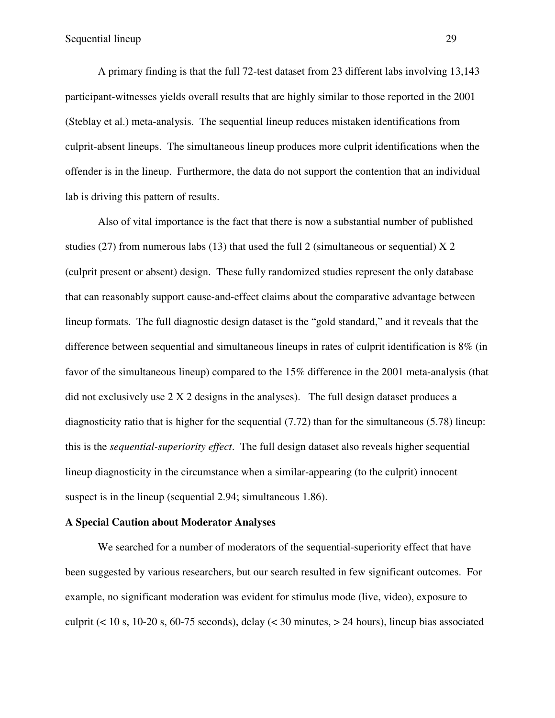A primary finding is that the full 72-test dataset from 23 different labs involving 13,143 participant-witnesses yields overall results that are highly similar to those reported in the 2001 (Steblay et al.) meta-analysis. The sequential lineup reduces mistaken identifications from culprit-absent lineups. The simultaneous lineup produces more culprit identifications when the offender is in the lineup. Furthermore, the data do not support the contention that an individual lab is driving this pattern of results.

Also of vital importance is the fact that there is now a substantial number of published studies (27) from numerous labs (13) that used the full 2 (simultaneous or sequential)  $X$  2 (culprit present or absent) design. These fully randomized studies represent the only database that can reasonably support cause-and-effect claims about the comparative advantage between lineup formats. The full diagnostic design dataset is the "gold standard," and it reveals that the difference between sequential and simultaneous lineups in rates of culprit identification is 8% (in favor of the simultaneous lineup) compared to the 15% difference in the 2001 meta-analysis (that did not exclusively use 2 X 2 designs in the analyses). The full design dataset produces a diagnosticity ratio that is higher for the sequential (7.72) than for the simultaneous (5.78) lineup: this is the *sequential-superiority effect*. The full design dataset also reveals higher sequential lineup diagnosticity in the circumstance when a similar-appearing (to the culprit) innocent suspect is in the lineup (sequential 2.94; simultaneous 1.86).

### **A Special Caution about Moderator Analyses**

We searched for a number of moderators of the sequential-superiority effect that have been suggested by various researchers, but our search resulted in few significant outcomes. For example, no significant moderation was evident for stimulus mode (live, video), exposure to culprit ( $<$  10 s, 10-20 s, 60-75 seconds), delay ( $<$  30 minutes,  $>$  24 hours), lineup bias associated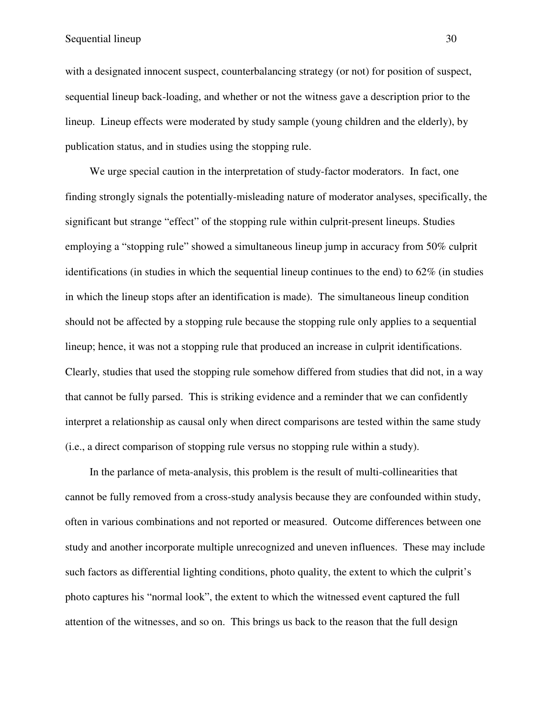with a designated innocent suspect, counterbalancing strategy (or not) for position of suspect, sequential lineup back-loading, and whether or not the witness gave a description prior to the lineup. Lineup effects were moderated by study sample (young children and the elderly), by publication status, and in studies using the stopping rule.

We urge special caution in the interpretation of study-factor moderators. In fact, one finding strongly signals the potentially-misleading nature of moderator analyses, specifically, the significant but strange "effect" of the stopping rule within culprit-present lineups. Studies employing a "stopping rule" showed a simultaneous lineup jump in accuracy from 50% culprit identifications (in studies in which the sequential lineup continues to the end) to  $62\%$  (in studies in which the lineup stops after an identification is made). The simultaneous lineup condition should not be affected by a stopping rule because the stopping rule only applies to a sequential lineup; hence, it was not a stopping rule that produced an increase in culprit identifications. Clearly, studies that used the stopping rule somehow differed from studies that did not, in a way that cannot be fully parsed. This is striking evidence and a reminder that we can confidently interpret a relationship as causal only when direct comparisons are tested within the same study (i.e., a direct comparison of stopping rule versus no stopping rule within a study).

In the parlance of meta-analysis, this problem is the result of multi-collinearities that cannot be fully removed from a cross-study analysis because they are confounded within study, often in various combinations and not reported or measured. Outcome differences between one study and another incorporate multiple unrecognized and uneven influences. These may include such factors as differential lighting conditions, photo quality, the extent to which the culprit's photo captures his "normal look", the extent to which the witnessed event captured the full attention of the witnesses, and so on. This brings us back to the reason that the full design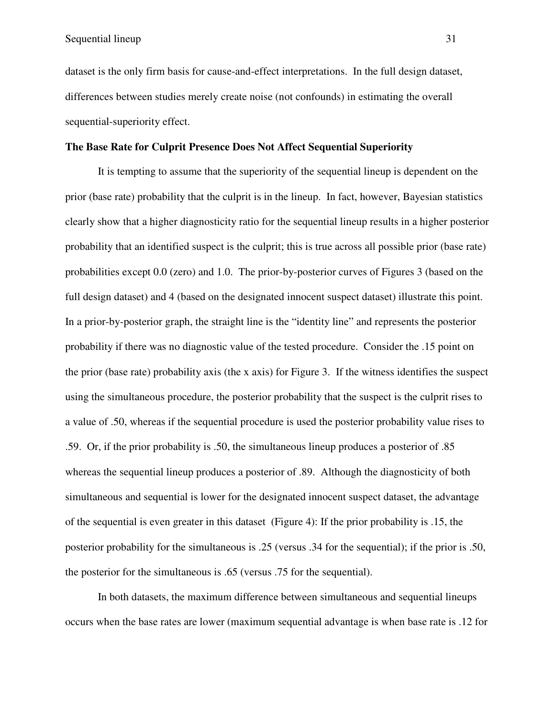dataset is the only firm basis for cause-and-effect interpretations. In the full design dataset, differences between studies merely create noise (not confounds) in estimating the overall sequential-superiority effect.

### **The Base Rate for Culprit Presence Does Not Affect Sequential Superiority**

It is tempting to assume that the superiority of the sequential lineup is dependent on the prior (base rate) probability that the culprit is in the lineup. In fact, however, Bayesian statistics clearly show that a higher diagnosticity ratio for the sequential lineup results in a higher posterior probability that an identified suspect is the culprit; this is true across all possible prior (base rate) probabilities except 0.0 (zero) and 1.0. The prior-by-posterior curves of Figures 3 (based on the full design dataset) and 4 (based on the designated innocent suspect dataset) illustrate this point. In a prior-by-posterior graph, the straight line is the "identity line" and represents the posterior probability if there was no diagnostic value of the tested procedure. Consider the .15 point on the prior (base rate) probability axis (the x axis) for Figure 3. If the witness identifies the suspect using the simultaneous procedure, the posterior probability that the suspect is the culprit rises to a value of .50, whereas if the sequential procedure is used the posterior probability value rises to .59. Or, if the prior probability is .50, the simultaneous lineup produces a posterior of .85 whereas the sequential lineup produces a posterior of .89. Although the diagnosticity of both simultaneous and sequential is lower for the designated innocent suspect dataset, the advantage of the sequential is even greater in this dataset (Figure 4): If the prior probability is .15, the posterior probability for the simultaneous is .25 (versus .34 for the sequential); if the prior is .50, the posterior for the simultaneous is .65 (versus .75 for the sequential).

In both datasets, the maximum difference between simultaneous and sequential lineups occurs when the base rates are lower (maximum sequential advantage is when base rate is .12 for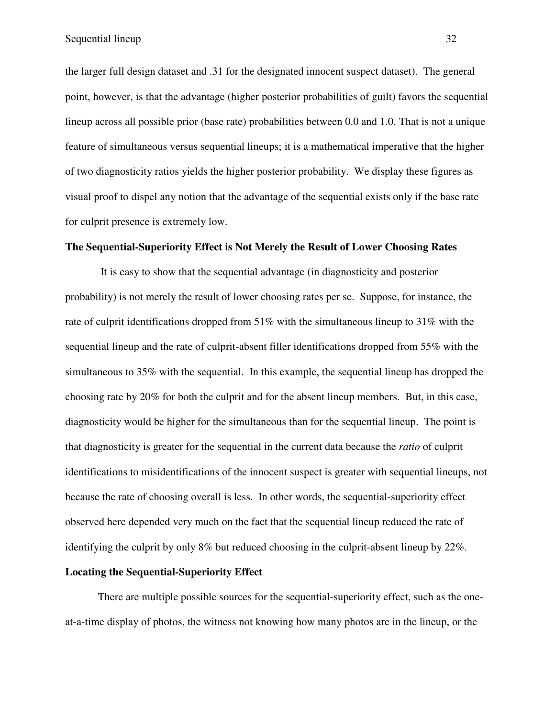the larger full design dataset and .31 for the designated innocent suspect dataset). The general point, however, is that the advantage (higher posterior probabilities of guilt) favors the sequential lineup across all possible prior (base rate) probabilities between 0.0 and 1.0. That is not a unique feature of simultaneous versus sequential lineups; it is a mathematical imperative that the higher of two diagnosticity ratios yields the higher posterior probability. We display these figures as visual proof to dispel any notion that the advantage of the sequential exists only if the base rate for culprit presence is extremely low.

### **The Sequential-Superiority Effect is Not Merely the Result of Lower Choosing Rates**

It is easy to show that the sequential advantage (in diagnosticity and posterior probability) is not merely the result of lower choosing rates per se. Suppose, for instance, the rate of culprit identifications dropped from 51% with the simultaneous lineup to 31% with the sequential lineup and the rate of culprit-absent filler identifications dropped from 55% with the simultaneous to 35% with the sequential. In this example, the sequential lineup has dropped the choosing rate by 20% for both the culprit and for the absent lineup members. But, in this case, diagnosticity would be higher for the simultaneous than for the sequential lineup. The point is that diagnosticity is greater for the sequential in the current data because the *ratio* of culprit identifications to misidentifications of the innocent suspect is greater with sequential lineups, not because the rate of choosing overall is less. In other words, the sequential-superiority effect observed here depended very much on the fact that the sequential lineup reduced the rate of identifying the culprit by only 8% but reduced choosing in the culprit-absent lineup by 22%.

## **Locating the Sequential-Superiority Effect**

There are multiple possible sources for the sequential-superiority effect, such as the oneat-a-time display of photos, the witness not knowing how many photos are in the lineup, or the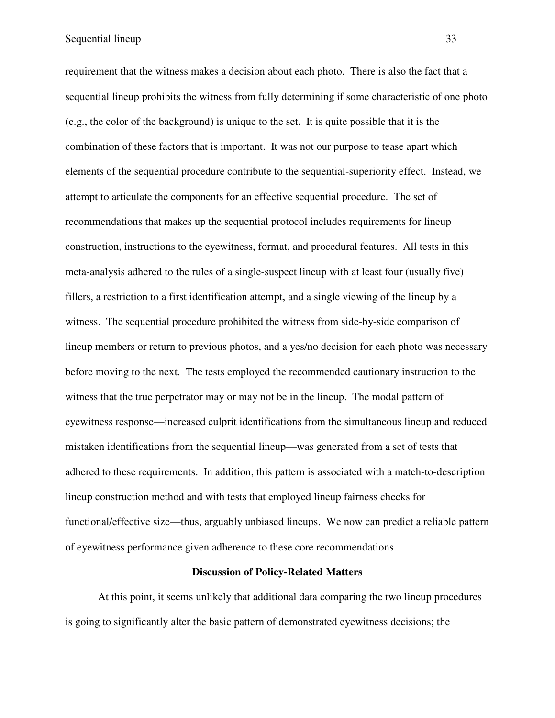requirement that the witness makes a decision about each photo. There is also the fact that a sequential lineup prohibits the witness from fully determining if some characteristic of one photo (e.g., the color of the background) is unique to the set. It is quite possible that it is the combination of these factors that is important. It was not our purpose to tease apart which elements of the sequential procedure contribute to the sequential-superiority effect. Instead, we attempt to articulate the components for an effective sequential procedure. The set of recommendations that makes up the sequential protocol includes requirements for lineup construction, instructions to the eyewitness, format, and procedural features. All tests in this meta-analysis adhered to the rules of a single-suspect lineup with at least four (usually five) fillers, a restriction to a first identification attempt, and a single viewing of the lineup by a witness. The sequential procedure prohibited the witness from side-by-side comparison of lineup members or return to previous photos, and a yes/no decision for each photo was necessary before moving to the next. The tests employed the recommended cautionary instruction to the witness that the true perpetrator may or may not be in the lineup. The modal pattern of eyewitness response—increased culprit identifications from the simultaneous lineup and reduced mistaken identifications from the sequential lineup—was generated from a set of tests that adhered to these requirements. In addition, this pattern is associated with a match-to-description lineup construction method and with tests that employed lineup fairness checks for functional/effective size—thus, arguably unbiased lineups. We now can predict a reliable pattern of eyewitness performance given adherence to these core recommendations.

### **Discussion of Policy-Related Matters**

At this point, it seems unlikely that additional data comparing the two lineup procedures is going to significantly alter the basic pattern of demonstrated eyewitness decisions; the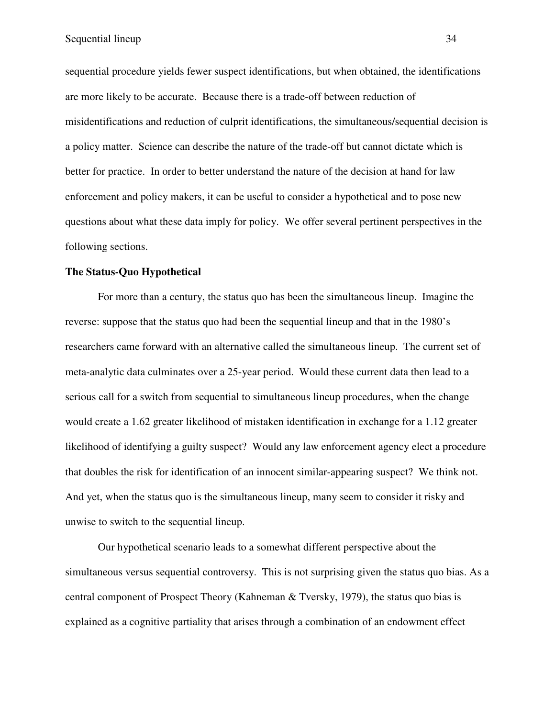sequential procedure yields fewer suspect identifications, but when obtained, the identifications are more likely to be accurate. Because there is a trade-off between reduction of misidentifications and reduction of culprit identifications, the simultaneous/sequential decision is a policy matter. Science can describe the nature of the trade-off but cannot dictate which is better for practice. In order to better understand the nature of the decision at hand for law enforcement and policy makers, it can be useful to consider a hypothetical and to pose new questions about what these data imply for policy. We offer several pertinent perspectives in the following sections.

### **The Status-Quo Hypothetical**

For more than a century, the status quo has been the simultaneous lineup. Imagine the reverse: suppose that the status quo had been the sequential lineup and that in the 1980's researchers came forward with an alternative called the simultaneous lineup. The current set of meta-analytic data culminates over a 25-year period. Would these current data then lead to a serious call for a switch from sequential to simultaneous lineup procedures, when the change would create a 1.62 greater likelihood of mistaken identification in exchange for a 1.12 greater likelihood of identifying a guilty suspect? Would any law enforcement agency elect a procedure that doubles the risk for identification of an innocent similar-appearing suspect? We think not. And yet, when the status quo is the simultaneous lineup, many seem to consider it risky and unwise to switch to the sequential lineup.

Our hypothetical scenario leads to a somewhat different perspective about the simultaneous versus sequential controversy. This is not surprising given the status quo bias. As a central component of Prospect Theory (Kahneman & Tversky, 1979), the status quo bias is explained as a cognitive partiality that arises through a combination of an endowment effect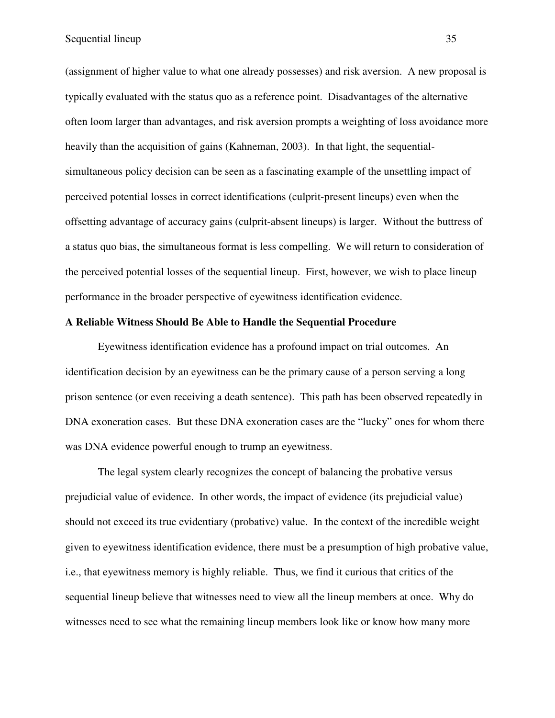(assignment of higher value to what one already possesses) and risk aversion. A new proposal is typically evaluated with the status quo as a reference point. Disadvantages of the alternative often loom larger than advantages, and risk aversion prompts a weighting of loss avoidance more heavily than the acquisition of gains (Kahneman, 2003). In that light, the sequentialsimultaneous policy decision can be seen as a fascinating example of the unsettling impact of perceived potential losses in correct identifications (culprit-present lineups) even when the offsetting advantage of accuracy gains (culprit-absent lineups) is larger. Without the buttress of a status quo bias, the simultaneous format is less compelling. We will return to consideration of the perceived potential losses of the sequential lineup. First, however, we wish to place lineup performance in the broader perspective of eyewitness identification evidence.

## **A Reliable Witness Should Be Able to Handle the Sequential Procedure**

 Eyewitness identification evidence has a profound impact on trial outcomes. An identification decision by an eyewitness can be the primary cause of a person serving a long prison sentence (or even receiving a death sentence). This path has been observed repeatedly in DNA exoneration cases. But these DNA exoneration cases are the "lucky" ones for whom there was DNA evidence powerful enough to trump an eyewitness.

The legal system clearly recognizes the concept of balancing the probative versus prejudicial value of evidence. In other words, the impact of evidence (its prejudicial value) should not exceed its true evidentiary (probative) value. In the context of the incredible weight given to eyewitness identification evidence, there must be a presumption of high probative value, i.e., that eyewitness memory is highly reliable. Thus, we find it curious that critics of the sequential lineup believe that witnesses need to view all the lineup members at once. Why do witnesses need to see what the remaining lineup members look like or know how many more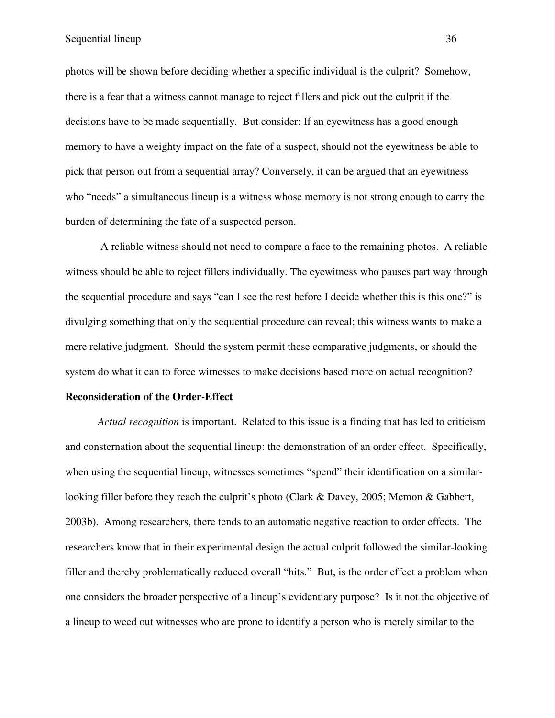photos will be shown before deciding whether a specific individual is the culprit? Somehow, there is a fear that a witness cannot manage to reject fillers and pick out the culprit if the decisions have to be made sequentially. But consider: If an eyewitness has a good enough memory to have a weighty impact on the fate of a suspect, should not the eyewitness be able to pick that person out from a sequential array? Conversely, it can be argued that an eyewitness who "needs" a simultaneous lineup is a witness whose memory is not strong enough to carry the burden of determining the fate of a suspected person.

 A reliable witness should not need to compare a face to the remaining photos. A reliable witness should be able to reject fillers individually. The eyewitness who pauses part way through the sequential procedure and says "can I see the rest before I decide whether this is this one?" is divulging something that only the sequential procedure can reveal; this witness wants to make a mere relative judgment. Should the system permit these comparative judgments, or should the system do what it can to force witnesses to make decisions based more on actual recognition?

## **Reconsideration of the Order-Effect**

*Actual recognition* is important. Related to this issue is a finding that has led to criticism and consternation about the sequential lineup: the demonstration of an order effect. Specifically, when using the sequential lineup, witnesses sometimes "spend" their identification on a similarlooking filler before they reach the culprit's photo (Clark & Davey, 2005; Memon & Gabbert, 2003b). Among researchers, there tends to an automatic negative reaction to order effects. The researchers know that in their experimental design the actual culprit followed the similar-looking filler and thereby problematically reduced overall "hits." But, is the order effect a problem when one considers the broader perspective of a lineup's evidentiary purpose? Is it not the objective of a lineup to weed out witnesses who are prone to identify a person who is merely similar to the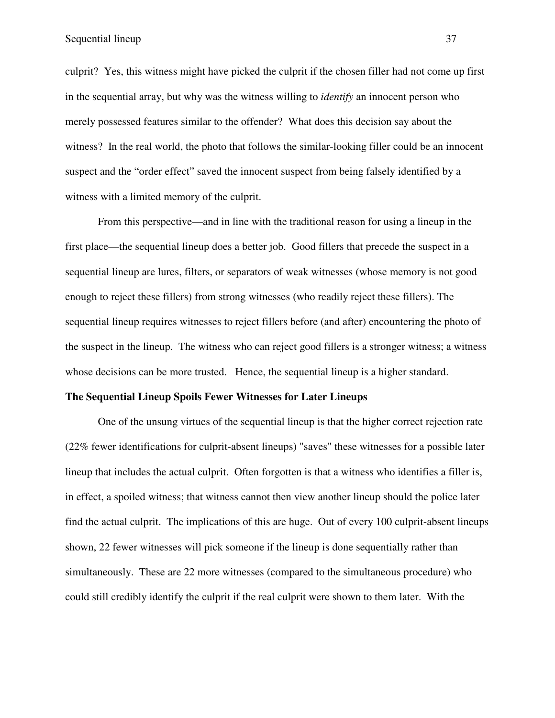culprit? Yes, this witness might have picked the culprit if the chosen filler had not come up first in the sequential array, but why was the witness willing to *identify* an innocent person who merely possessed features similar to the offender? What does this decision say about the witness? In the real world, the photo that follows the similar-looking filler could be an innocent suspect and the "order effect" saved the innocent suspect from being falsely identified by a witness with a limited memory of the culprit.

From this perspective—and in line with the traditional reason for using a lineup in the first place—the sequential lineup does a better job. Good fillers that precede the suspect in a sequential lineup are lures, filters, or separators of weak witnesses (whose memory is not good enough to reject these fillers) from strong witnesses (who readily reject these fillers). The sequential lineup requires witnesses to reject fillers before (and after) encountering the photo of the suspect in the lineup. The witness who can reject good fillers is a stronger witness; a witness whose decisions can be more trusted. Hence, the sequential lineup is a higher standard.

#### **The Sequential Lineup Spoils Fewer Witnesses for Later Lineups**

One of the unsung virtues of the sequential lineup is that the higher correct rejection rate (22% fewer identifications for culprit-absent lineups) "saves" these witnesses for a possible later lineup that includes the actual culprit. Often forgotten is that a witness who identifies a filler is, in effect, a spoiled witness; that witness cannot then view another lineup should the police later find the actual culprit. The implications of this are huge. Out of every 100 culprit-absent lineups shown, 22 fewer witnesses will pick someone if the lineup is done sequentially rather than simultaneously. These are 22 more witnesses (compared to the simultaneous procedure) who could still credibly identify the culprit if the real culprit were shown to them later. With the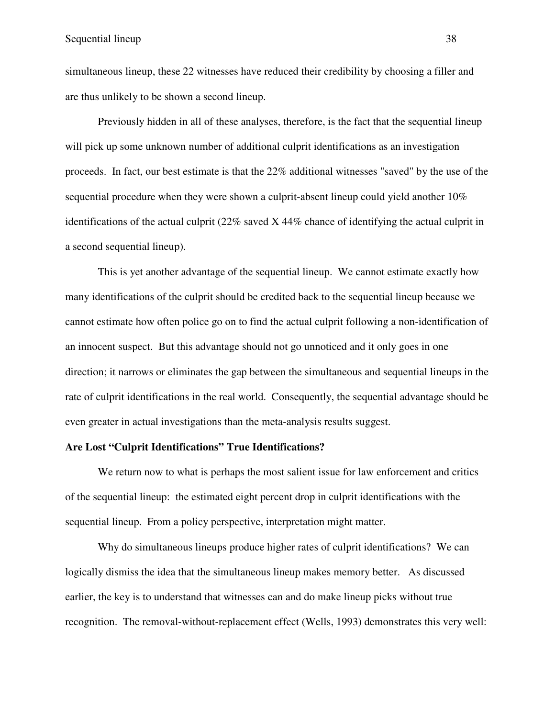simultaneous lineup, these 22 witnesses have reduced their credibility by choosing a filler and are thus unlikely to be shown a second lineup.

 Previously hidden in all of these analyses, therefore, is the fact that the sequential lineup will pick up some unknown number of additional culprit identifications as an investigation proceeds. In fact, our best estimate is that the 22% additional witnesses "saved" by the use of the sequential procedure when they were shown a culprit-absent lineup could yield another 10% identifications of the actual culprit (22% saved X 44% chance of identifying the actual culprit in a second sequential lineup).

 This is yet another advantage of the sequential lineup. We cannot estimate exactly how many identifications of the culprit should be credited back to the sequential lineup because we cannot estimate how often police go on to find the actual culprit following a non-identification of an innocent suspect. But this advantage should not go unnoticed and it only goes in one direction; it narrows or eliminates the gap between the simultaneous and sequential lineups in the rate of culprit identifications in the real world. Consequently, the sequential advantage should be even greater in actual investigations than the meta-analysis results suggest.

#### **Are Lost "Culprit Identifications" True Identifications?**

We return now to what is perhaps the most salient issue for law enforcement and critics of the sequential lineup: the estimated eight percent drop in culprit identifications with the sequential lineup. From a policy perspective, interpretation might matter.

Why do simultaneous lineups produce higher rates of culprit identifications? We can logically dismiss the idea that the simultaneous lineup makes memory better. As discussed earlier, the key is to understand that witnesses can and do make lineup picks without true recognition. The removal-without-replacement effect (Wells, 1993) demonstrates this very well: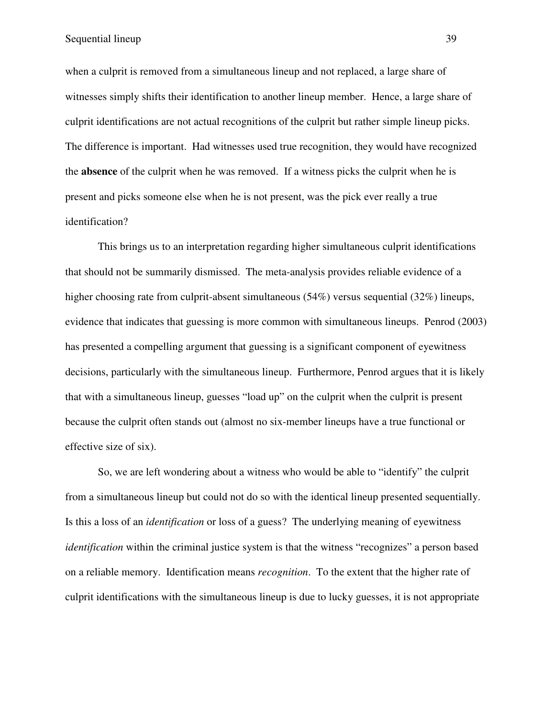when a culprit is removed from a simultaneous lineup and not replaced, a large share of witnesses simply shifts their identification to another lineup member. Hence, a large share of culprit identifications are not actual recognitions of the culprit but rather simple lineup picks. The difference is important. Had witnesses used true recognition, they would have recognized the **absence** of the culprit when he was removed. If a witness picks the culprit when he is present and picks someone else when he is not present, was the pick ever really a true identification?

This brings us to an interpretation regarding higher simultaneous culprit identifications that should not be summarily dismissed. The meta-analysis provides reliable evidence of a higher choosing rate from culprit-absent simultaneous (54%) versus sequential (32%) lineups, evidence that indicates that guessing is more common with simultaneous lineups. Penrod (2003) has presented a compelling argument that guessing is a significant component of eyewitness decisions, particularly with the simultaneous lineup. Furthermore, Penrod argues that it is likely that with a simultaneous lineup, guesses "load up" on the culprit when the culprit is present because the culprit often stands out (almost no six-member lineups have a true functional or effective size of six).

So, we are left wondering about a witness who would be able to "identify" the culprit from a simultaneous lineup but could not do so with the identical lineup presented sequentially. Is this a loss of an *identification* or loss of a guess? The underlying meaning of eyewitness *identification* within the criminal justice system is that the witness "recognizes" a person based on a reliable memory. Identification means *recognition*. To the extent that the higher rate of culprit identifications with the simultaneous lineup is due to lucky guesses, it is not appropriate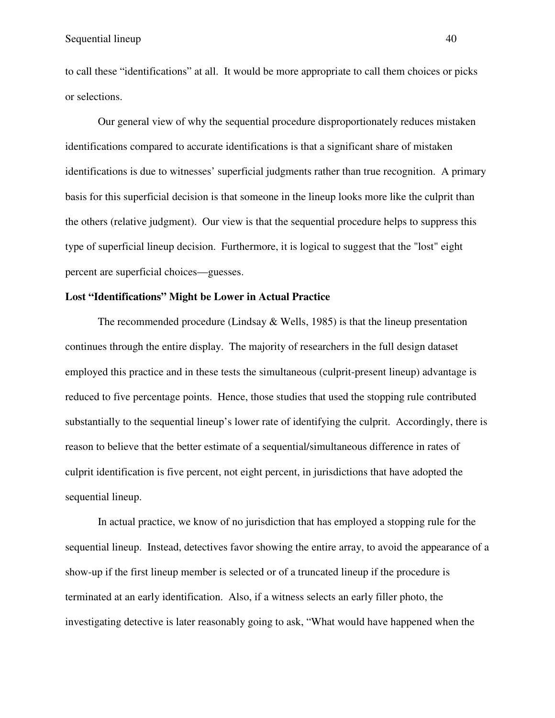to call these "identifications" at all. It would be more appropriate to call them choices or picks or selections.

Our general view of why the sequential procedure disproportionately reduces mistaken identifications compared to accurate identifications is that a significant share of mistaken identifications is due to witnesses' superficial judgments rather than true recognition. A primary basis for this superficial decision is that someone in the lineup looks more like the culprit than the others (relative judgment). Our view is that the sequential procedure helps to suppress this type of superficial lineup decision. Furthermore, it is logical to suggest that the "lost" eight percent are superficial choices—guesses.

### **Lost "Identifications" Might be Lower in Actual Practice**

The recommended procedure (Lindsay  $&$  Wells, 1985) is that the lineup presentation continues through the entire display. The majority of researchers in the full design dataset employed this practice and in these tests the simultaneous (culprit-present lineup) advantage is reduced to five percentage points. Hence, those studies that used the stopping rule contributed substantially to the sequential lineup's lower rate of identifying the culprit. Accordingly, there is reason to believe that the better estimate of a sequential/simultaneous difference in rates of culprit identification is five percent, not eight percent, in jurisdictions that have adopted the sequential lineup.

In actual practice, we know of no jurisdiction that has employed a stopping rule for the sequential lineup. Instead, detectives favor showing the entire array, to avoid the appearance of a show-up if the first lineup member is selected or of a truncated lineup if the procedure is terminated at an early identification. Also, if a witness selects an early filler photo, the investigating detective is later reasonably going to ask, "What would have happened when the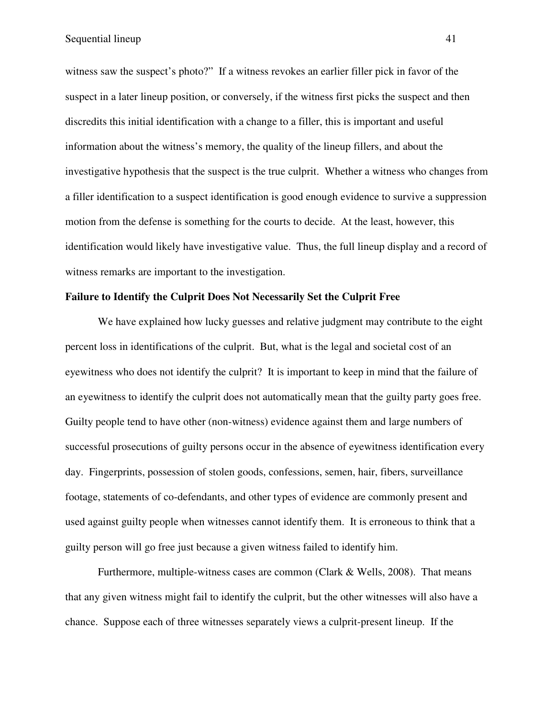Sequential lineup 41

witness saw the suspect's photo?" If a witness revokes an earlier filler pick in favor of the suspect in a later lineup position, or conversely, if the witness first picks the suspect and then discredits this initial identification with a change to a filler, this is important and useful information about the witness's memory, the quality of the lineup fillers, and about the investigative hypothesis that the suspect is the true culprit. Whether a witness who changes from a filler identification to a suspect identification is good enough evidence to survive a suppression motion from the defense is something for the courts to decide. At the least, however, this identification would likely have investigative value. Thus, the full lineup display and a record of witness remarks are important to the investigation.

#### **Failure to Identify the Culprit Does Not Necessarily Set the Culprit Free**

We have explained how lucky guesses and relative judgment may contribute to the eight percent loss in identifications of the culprit. But, what is the legal and societal cost of an eyewitness who does not identify the culprit? It is important to keep in mind that the failure of an eyewitness to identify the culprit does not automatically mean that the guilty party goes free. Guilty people tend to have other (non-witness) evidence against them and large numbers of successful prosecutions of guilty persons occur in the absence of eyewitness identification every day. Fingerprints, possession of stolen goods, confessions, semen, hair, fibers, surveillance footage, statements of co-defendants, and other types of evidence are commonly present and used against guilty people when witnesses cannot identify them. It is erroneous to think that a guilty person will go free just because a given witness failed to identify him.

Furthermore, multiple-witness cases are common (Clark  $&$  Wells, 2008). That means that any given witness might fail to identify the culprit, but the other witnesses will also have a chance. Suppose each of three witnesses separately views a culprit-present lineup. If the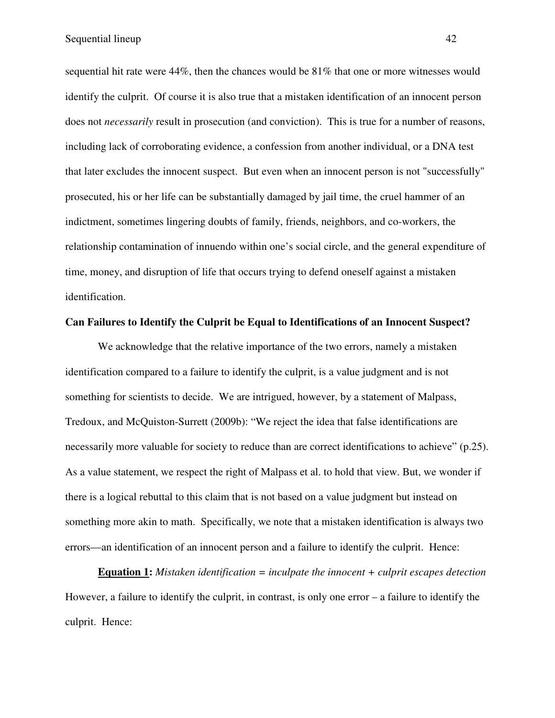sequential hit rate were 44%, then the chances would be 81% that one or more witnesses would identify the culprit. Of course it is also true that a mistaken identification of an innocent person does not *necessarily* result in prosecution (and conviction). This is true for a number of reasons, including lack of corroborating evidence, a confession from another individual, or a DNA test that later excludes the innocent suspect. But even when an innocent person is not "successfully" prosecuted, his or her life can be substantially damaged by jail time, the cruel hammer of an indictment, sometimes lingering doubts of family, friends, neighbors, and co-workers, the relationship contamination of innuendo within one's social circle, and the general expenditure of time, money, and disruption of life that occurs trying to defend oneself against a mistaken identification.

#### **Can Failures to Identify the Culprit be Equal to Identifications of an Innocent Suspect?**

We acknowledge that the relative importance of the two errors, namely a mistaken identification compared to a failure to identify the culprit, is a value judgment and is not something for scientists to decide. We are intrigued, however, by a statement of Malpass, Tredoux, and McQuiston-Surrett (2009b): "We reject the idea that false identifications are necessarily more valuable for society to reduce than are correct identifications to achieve" (p.25). As a value statement, we respect the right of Malpass et al. to hold that view. But, we wonder if there is a logical rebuttal to this claim that is not based on a value judgment but instead on something more akin to math. Specifically, we note that a mistaken identification is always two errors—an identification of an innocent person and a failure to identify the culprit. Hence:

**Equation 1:** *Mistaken identification = inculpate the innocent + culprit escapes detection*  However, a failure to identify the culprit, in contrast, is only one error – a failure to identify the culprit. Hence: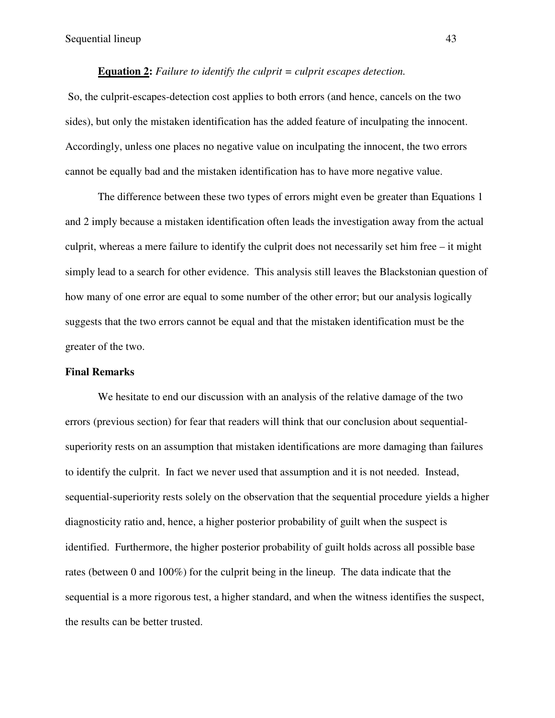#### **Equation 2:** *Failure to identify the culprit = culprit escapes detection.*

 So, the culprit-escapes-detection cost applies to both errors (and hence, cancels on the two sides), but only the mistaken identification has the added feature of inculpating the innocent. Accordingly, unless one places no negative value on inculpating the innocent, the two errors cannot be equally bad and the mistaken identification has to have more negative value.

The difference between these two types of errors might even be greater than Equations 1 and 2 imply because a mistaken identification often leads the investigation away from the actual culprit, whereas a mere failure to identify the culprit does not necessarily set him free – it might simply lead to a search for other evidence. This analysis still leaves the Blackstonian question of how many of one error are equal to some number of the other error; but our analysis logically suggests that the two errors cannot be equal and that the mistaken identification must be the greater of the two.

#### **Final Remarks**

We hesitate to end our discussion with an analysis of the relative damage of the two errors (previous section) for fear that readers will think that our conclusion about sequentialsuperiority rests on an assumption that mistaken identifications are more damaging than failures to identify the culprit. In fact we never used that assumption and it is not needed. Instead, sequential-superiority rests solely on the observation that the sequential procedure yields a higher diagnosticity ratio and, hence, a higher posterior probability of guilt when the suspect is identified. Furthermore, the higher posterior probability of guilt holds across all possible base rates (between 0 and 100%) for the culprit being in the lineup. The data indicate that the sequential is a more rigorous test, a higher standard, and when the witness identifies the suspect, the results can be better trusted.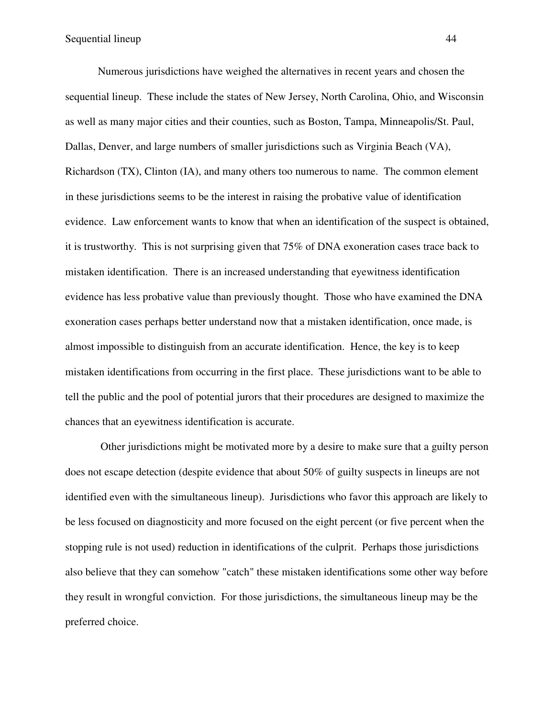Numerous jurisdictions have weighed the alternatives in recent years and chosen the sequential lineup. These include the states of New Jersey, North Carolina, Ohio, and Wisconsin as well as many major cities and their counties, such as Boston, Tampa, Minneapolis/St. Paul, Dallas, Denver, and large numbers of smaller jurisdictions such as Virginia Beach (VA), Richardson (TX), Clinton (IA), and many others too numerous to name. The common element in these jurisdictions seems to be the interest in raising the probative value of identification evidence. Law enforcement wants to know that when an identification of the suspect is obtained, it is trustworthy. This is not surprising given that 75% of DNA exoneration cases trace back to mistaken identification. There is an increased understanding that eyewitness identification evidence has less probative value than previously thought. Those who have examined the DNA exoneration cases perhaps better understand now that a mistaken identification, once made, is almost impossible to distinguish from an accurate identification. Hence, the key is to keep mistaken identifications from occurring in the first place. These jurisdictions want to be able to tell the public and the pool of potential jurors that their procedures are designed to maximize the chances that an eyewitness identification is accurate.

 Other jurisdictions might be motivated more by a desire to make sure that a guilty person does not escape detection (despite evidence that about 50% of guilty suspects in lineups are not identified even with the simultaneous lineup). Jurisdictions who favor this approach are likely to be less focused on diagnosticity and more focused on the eight percent (or five percent when the stopping rule is not used) reduction in identifications of the culprit. Perhaps those jurisdictions also believe that they can somehow "catch" these mistaken identifications some other way before they result in wrongful conviction. For those jurisdictions, the simultaneous lineup may be the preferred choice.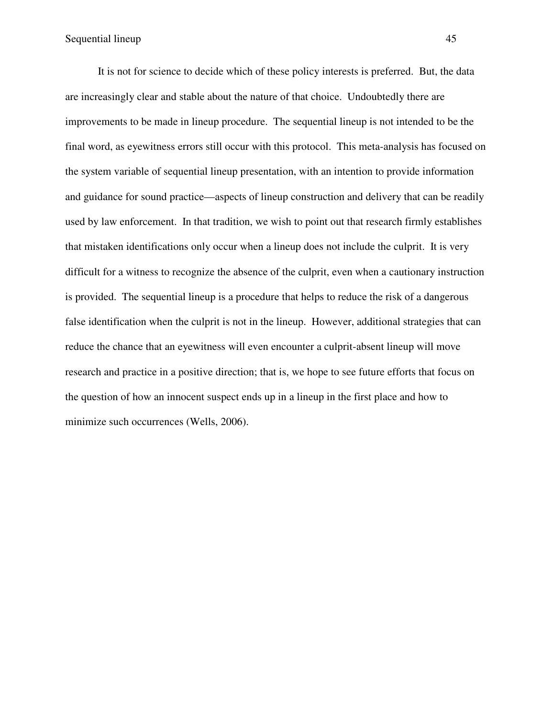It is not for science to decide which of these policy interests is preferred. But, the data are increasingly clear and stable about the nature of that choice. Undoubtedly there are improvements to be made in lineup procedure. The sequential lineup is not intended to be the final word, as eyewitness errors still occur with this protocol. This meta-analysis has focused on the system variable of sequential lineup presentation, with an intention to provide information and guidance for sound practice—aspects of lineup construction and delivery that can be readily used by law enforcement. In that tradition, we wish to point out that research firmly establishes that mistaken identifications only occur when a lineup does not include the culprit. It is very difficult for a witness to recognize the absence of the culprit, even when a cautionary instruction is provided. The sequential lineup is a procedure that helps to reduce the risk of a dangerous false identification when the culprit is not in the lineup. However, additional strategies that can reduce the chance that an eyewitness will even encounter a culprit-absent lineup will move research and practice in a positive direction; that is, we hope to see future efforts that focus on the question of how an innocent suspect ends up in a lineup in the first place and how to minimize such occurrences (Wells, 2006).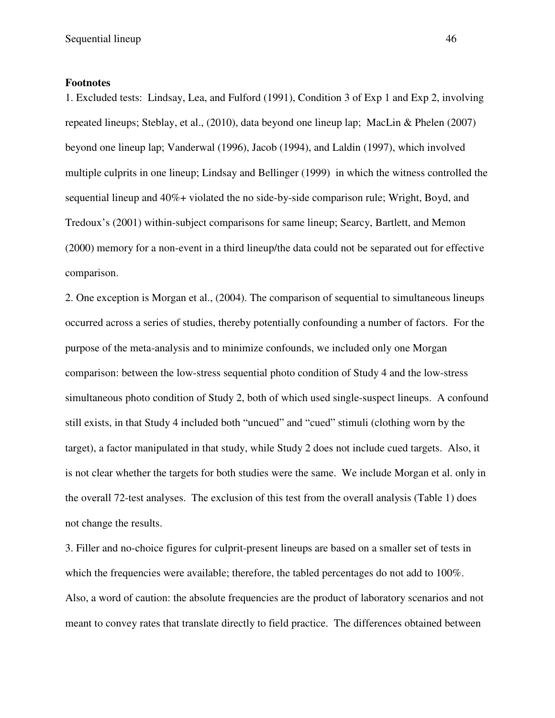#### **Footnotes**

1. Excluded tests: Lindsay, Lea, and Fulford (1991), Condition 3 of Exp 1 and Exp 2, involving repeated lineups; Steblay, et al., (2010), data beyond one lineup lap; MacLin & Phelen (2007) beyond one lineup lap; Vanderwal (1996), Jacob (1994), and Laldin (1997), which involved multiple culprits in one lineup; Lindsay and Bellinger (1999) in which the witness controlled the sequential lineup and 40%+ violated the no side-by-side comparison rule; Wright, Boyd, and Tredoux's (2001) within-subject comparisons for same lineup; Searcy, Bartlett, and Memon (2000) memory for a non-event in a third lineup/the data could not be separated out for effective comparison.

2. One exception is Morgan et al., (2004). The comparison of sequential to simultaneous lineups occurred across a series of studies, thereby potentially confounding a number of factors. For the purpose of the meta-analysis and to minimize confounds, we included only one Morgan comparison: between the low-stress sequential photo condition of Study 4 and the low-stress simultaneous photo condition of Study 2, both of which used single-suspect lineups. A confound still exists, in that Study 4 included both "uncued" and "cued" stimuli (clothing worn by the target), a factor manipulated in that study, while Study 2 does not include cued targets. Also, it is not clear whether the targets for both studies were the same. We include Morgan et al. only in the overall 72-test analyses. The exclusion of this test from the overall analysis (Table 1) does not change the results.

3. Filler and no-choice figures for culprit-present lineups are based on a smaller set of tests in which the frequencies were available; therefore, the tabled percentages do not add to 100%. Also, a word of caution: the absolute frequencies are the product of laboratory scenarios and not meant to convey rates that translate directly to field practice. The differences obtained between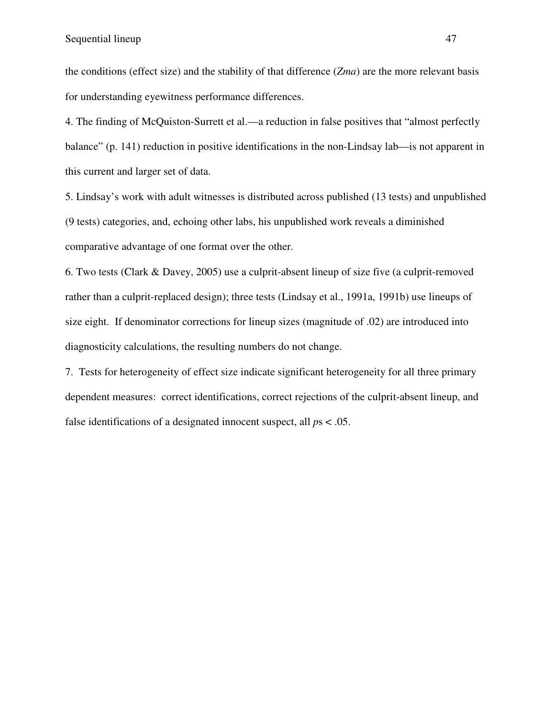the conditions (effect size) and the stability of that difference (*Zma*) are the more relevant basis for understanding eyewitness performance differences.

4. The finding of McQuiston-Surrett et al.—a reduction in false positives that "almost perfectly balance" (p. 141) reduction in positive identifications in the non-Lindsay lab—is not apparent in this current and larger set of data.

5. Lindsay's work with adult witnesses is distributed across published (13 tests) and unpublished (9 tests) categories, and, echoing other labs, his unpublished work reveals a diminished comparative advantage of one format over the other.

6. Two tests (Clark & Davey, 2005) use a culprit-absent lineup of size five (a culprit-removed rather than a culprit-replaced design); three tests (Lindsay et al., 1991a, 1991b) use lineups of size eight. If denominator corrections for lineup sizes (magnitude of .02) are introduced into diagnosticity calculations, the resulting numbers do not change.

7. Tests for heterogeneity of effect size indicate significant heterogeneity for all three primary dependent measures: correct identifications, correct rejections of the culprit-absent lineup, and false identifications of a designated innocent suspect, all *p*s < .05.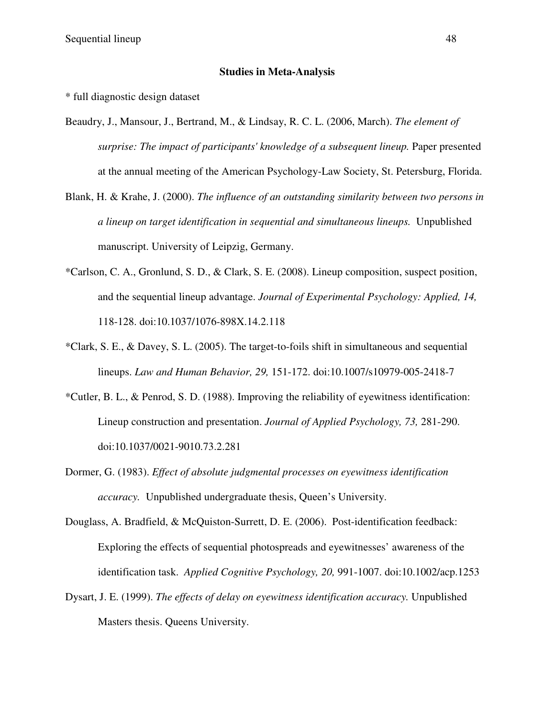#### **Studies in Meta-Analysis**

\* full diagnostic design dataset

- Beaudry, J., Mansour, J., Bertrand, M., & Lindsay, R. C. L. (2006, March). *The element of surprise: The impact of participants' knowledge of a subsequent lineup.* Paper presented at the annual meeting of the American Psychology-Law Society, St. Petersburg, Florida.
- Blank, H. & Krahe, J. (2000). *The influence of an outstanding similarity between two persons in a lineup on target identification in sequential and simultaneous lineups.* Unpublished manuscript. University of Leipzig, Germany.
- \*Carlson, C. A., Gronlund, S. D., & Clark, S. E. (2008). Lineup composition, suspect position, and the sequential lineup advantage. *Journal of Experimental Psychology: Applied, 14,*  118-128. doi:10.1037/1076-898X.14.2.118
- \*Clark, S. E., & Davey, S. L. (2005). The target-to-foils shift in simultaneous and sequential lineups. *Law and Human Behavior, 29,* 151-172. doi:10.1007/s10979-005-2418-7
- \*Cutler, B. L., & Penrod, S. D. (1988). Improving the reliability of eyewitness identification: Lineup construction and presentation. *Journal of Applied Psychology, 73,* 281-290. doi:10.1037/0021-9010.73.2.281
- Dormer, G. (1983). *Effect of absolute judgmental processes on eyewitness identification accuracy.* Unpublished undergraduate thesis, Queen's University.
- Douglass, A. Bradfield, & McQuiston-Surrett, D. E. (2006). Post-identification feedback: Exploring the effects of sequential photospreads and eyewitnesses' awareness of the identification task. *Applied Cognitive Psychology, 20,* 991-1007. doi:10.1002/acp.1253
- Dysart, J. E. (1999). *The effects of delay on eyewitness identification accuracy.* Unpublished Masters thesis. Queens University.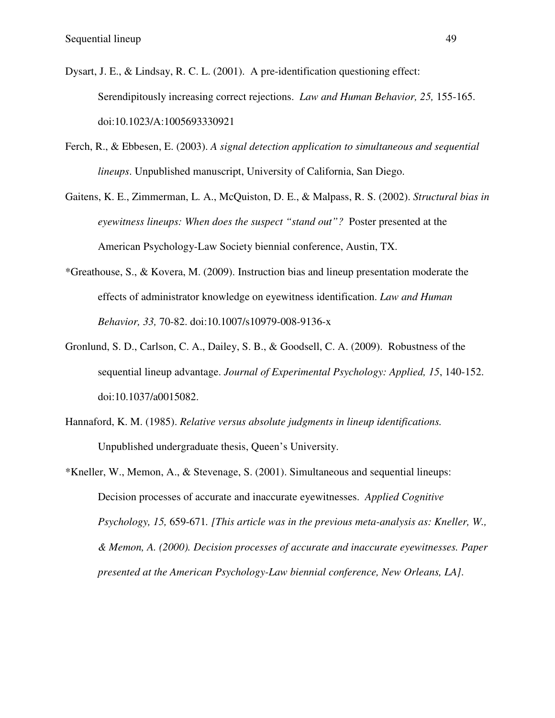- Dysart, J. E., & Lindsay, R. C. L. (2001). A pre-identification questioning effect: Serendipitously increasing correct rejections. *Law and Human Behavior, 25,* 155-165. doi:10.1023/A:1005693330921
- Ferch, R., & Ebbesen, E. (2003). *A signal detection application to simultaneous and sequential lineups*. Unpublished manuscript, University of California, San Diego.
- Gaitens, K. E., Zimmerman, L. A., McQuiston, D. E., & Malpass, R. S. (2002). *Structural bias in eyewitness lineups: When does the suspect "stand out"?* Poster presented at the American Psychology-Law Society biennial conference, Austin, TX.
- \*Greathouse, S., & Kovera, M. (2009). Instruction bias and lineup presentation moderate the effects of administrator knowledge on eyewitness identification. *Law and Human Behavior, 33,* 70-82. doi:10.1007/s10979-008-9136-x
- Gronlund, S. D., Carlson, C. A., Dailey, S. B., & Goodsell, C. A. (2009). Robustness of the sequential lineup advantage. *Journal of Experimental Psychology: Applied, 15*, 140-152. doi:10.1037/a0015082.
- Hannaford, K. M. (1985). *Relative versus absolute judgments in lineup identifications.* Unpublished undergraduate thesis, Queen's University.
- \*Kneller, W., Memon, A., & Stevenage, S. (2001). Simultaneous and sequential lineups: Decision processes of accurate and inaccurate eyewitnesses. *Applied Cognitive Psychology, 15,* 659-671*. [This article was in the previous meta-analysis as: Kneller, W., & Memon, A. (2000). Decision processes of accurate and inaccurate eyewitnesses. Paper presented at the American Psychology-Law biennial conference, New Orleans, LA].*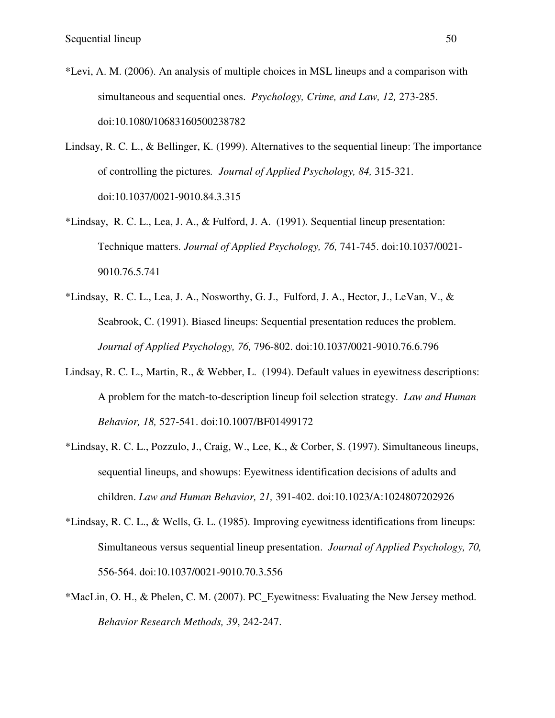- \*Levi, A. M. (2006). An analysis of multiple choices in MSL lineups and a comparison with simultaneous and sequential ones. *Psychology, Crime, and Law, 12,* 273-285. doi:10.1080/10683160500238782
- Lindsay, R. C. L., & Bellinger, K. (1999). Alternatives to the sequential lineup: The importance of controlling the pictures*. Journal of Applied Psychology, 84,* 315-321. doi:10.1037/0021-9010.84.3.315
- \*Lindsay, R. C. L., Lea, J. A., & Fulford, J. A. (1991). Sequential lineup presentation: Technique matters. *Journal of Applied Psychology, 76,* 741-745. doi:10.1037/0021- 9010.76.5.741
- \*Lindsay, R. C. L., Lea, J. A., Nosworthy, G. J., Fulford, J. A., Hector, J., LeVan, V., & Seabrook, C. (1991). Biased lineups: Sequential presentation reduces the problem. *Journal of Applied Psychology, 76,* 796-802. doi:10.1037/0021-9010.76.6.796
- Lindsay, R. C. L., Martin, R., & Webber, L. (1994). Default values in eyewitness descriptions: A problem for the match-to-description lineup foil selection strategy. *Law and Human Behavior, 18,* 527-541. doi:10.1007/BF01499172
- \*Lindsay, R. C. L., Pozzulo, J., Craig, W., Lee, K., & Corber, S. (1997). Simultaneous lineups, sequential lineups, and showups: Eyewitness identification decisions of adults and children. *Law and Human Behavior, 21,* 391-402. doi:10.1023/A:1024807202926
- \*Lindsay, R. C. L., & Wells, G. L. (1985). Improving eyewitness identifications from lineups: Simultaneous versus sequential lineup presentation. *Journal of Applied Psychology, 70,* 556-564. doi:10.1037/0021-9010.70.3.556
- \*MacLin, O. H., & Phelen, C. M. (2007). PC\_Eyewitness: Evaluating the New Jersey method. *Behavior Research Methods, 39*, 242-247.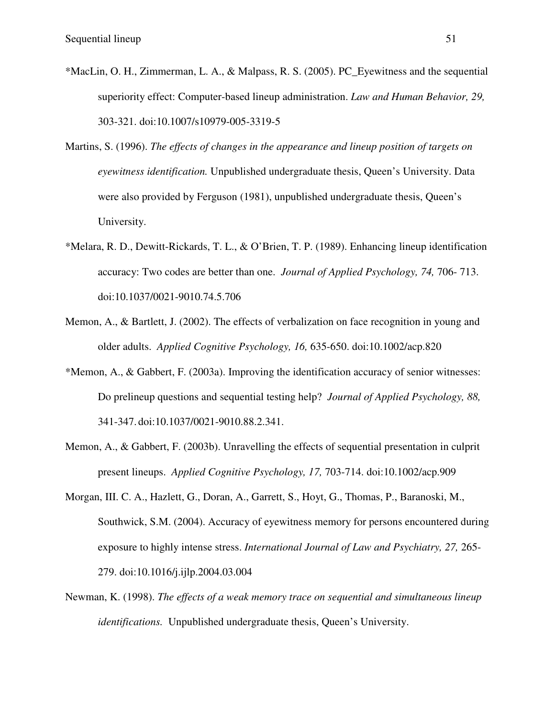- \*MacLin, O. H., Zimmerman, L. A., & Malpass, R. S. (2005). PC\_Eyewitness and the sequential superiority effect: Computer-based lineup administration. *Law and Human Behavior, 29,*  303-321. doi:10.1007/s10979-005-3319-5
- Martins, S. (1996). *The effects of changes in the appearance and lineup position of targets on eyewitness identification.* Unpublished undergraduate thesis, Queen's University. Data were also provided by Ferguson (1981), unpublished undergraduate thesis, Queen's University.
- \*Melara, R. D., Dewitt-Rickards, T. L., & O'Brien, T. P. (1989). Enhancing lineup identification accuracy: Two codes are better than one. *Journal of Applied Psychology, 74,* 706- 713. doi:10.1037/0021-9010.74.5.706
- Memon, A., & Bartlett, J. (2002). The effects of verbalization on face recognition in young and older adults. *Applied Cognitive Psychology, 16,* 635-650. doi:10.1002/acp.820
- \*Memon, A., & Gabbert, F. (2003a). Improving the identification accuracy of senior witnesses: Do prelineup questions and sequential testing help? *Journal of Applied Psychology, 88,*  341-347. doi:10.1037/0021-9010.88.2.341.
- Memon, A., & Gabbert, F. (2003b). Unravelling the effects of sequential presentation in culprit present lineups. *Applied Cognitive Psychology, 17,* 703-714. doi:10.1002/acp.909
- Morgan, III. C. A., Hazlett, G., Doran, A., Garrett, S., Hoyt, G., Thomas, P., Baranoski, M., Southwick, S.M. (2004). Accuracy of eyewitness memory for persons encountered during exposure to highly intense stress. *International Journal of Law and Psychiatry, 27,* 265- 279. doi:10.1016/j.ijlp.2004.03.004
- Newman, K. (1998). *The effects of a weak memory trace on sequential and simultaneous lineup identifications.* Unpublished undergraduate thesis, Queen's University.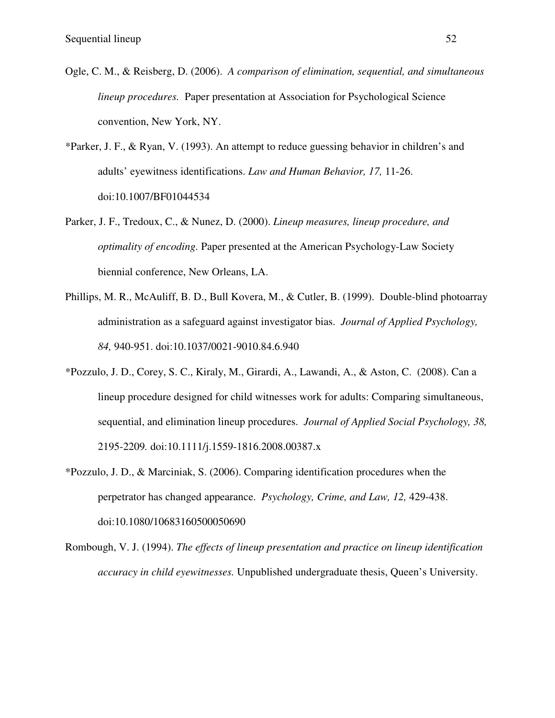- Ogle, C. M., & Reisberg, D. (2006). *A comparison of elimination, sequential, and simultaneous lineup procedures.* Paper presentation at Association for Psychological Science convention, New York, NY.
- \*Parker, J. F., & Ryan, V. (1993). An attempt to reduce guessing behavior in children's and adults' eyewitness identifications. *Law and Human Behavior, 17,* 11-26. doi:10.1007/BF01044534
- Parker, J. F., Tredoux, C., & Nunez, D. (2000). *Lineup measures, lineup procedure, and optimality of encoding.* Paper presented at the American Psychology-Law Society biennial conference, New Orleans, LA.
- Phillips, M. R., McAuliff, B. D., Bull Kovera, M., & Cutler, B. (1999). Double-blind photoarray administration as a safeguard against investigator bias. *Journal of Applied Psychology, 84,* 940-951. doi:10.1037/0021-9010.84.6.940
- \*Pozzulo, J. D., Corey, S. C., Kiraly, M., Girardi, A., Lawandi, A., & Aston, C. (2008). Can a lineup procedure designed for child witnesses work for adults: Comparing simultaneous, sequential, and elimination lineup procedures. *Journal of Applied Social Psychology, 38,*  2195-2209*.* doi:10.1111/j.1559-1816.2008.00387.x
- \*Pozzulo, J. D., & Marciniak, S. (2006). Comparing identification procedures when the perpetrator has changed appearance. *Psychology, Crime, and Law, 12,* 429-438. doi:10.1080/10683160500050690
- Rombough, V. J. (1994). *The effects of lineup presentation and practice on lineup identification accuracy in child eyewitnesses.* Unpublished undergraduate thesis, Queen's University.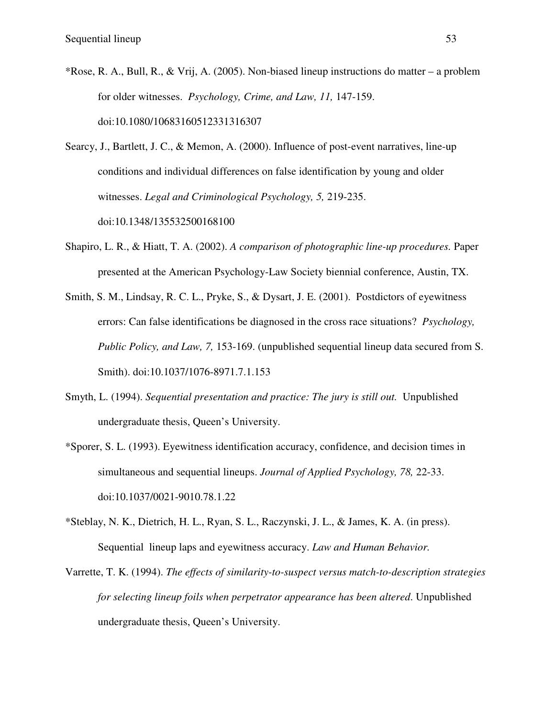\*Rose, R. A., Bull, R., & Vrij, A. (2005). Non-biased lineup instructions do matter – a problem for older witnesses. *Psychology, Crime, and Law, 11,* 147-159. doi:10.1080/10683160512331316307

Searcy, J., Bartlett, J. C., & Memon, A. (2000). Influence of post-event narratives, line-up conditions and individual differences on false identification by young and older witnesses. *Legal and Criminological Psychology, 5,* 219-235. doi:10.1348/135532500168100

- Shapiro, L. R., & Hiatt, T. A. (2002). *A comparison of photographic line-up procedures.* Paper presented at the American Psychology-Law Society biennial conference, Austin, TX.
- Smith, S. M., Lindsay, R. C. L., Pryke, S., & Dysart, J. E. (2001). Postdictors of eyewitness errors: Can false identifications be diagnosed in the cross race situations? *Psychology, Public Policy, and Law, 7,* 153-169. (unpublished sequential lineup data secured from S. Smith). doi:10.1037/1076-8971.7.1.153
- Smyth, L. (1994). *Sequential presentation and practice: The jury is still out.* Unpublished undergraduate thesis, Queen's University.
- \*Sporer, S. L. (1993). Eyewitness identification accuracy, confidence, and decision times in simultaneous and sequential lineups. *Journal of Applied Psychology, 78,* 22-33. doi:10.1037/0021-9010.78.1.22
- \*Steblay, N. K., Dietrich, H. L., Ryan, S. L., Raczynski, J. L., & James, K. A. (in press). Sequential lineup laps and eyewitness accuracy. *Law and Human Behavior.*
- Varrette, T. K. (1994). *The effects of similarity-to-suspect versus match-to-description strategies for selecting lineup foils when perpetrator appearance has been altered*. Unpublished undergraduate thesis, Queen's University.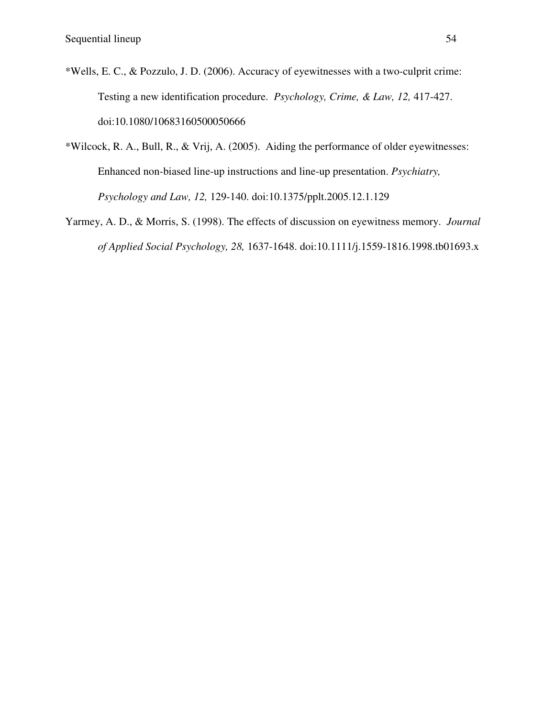- \*Wells, E. C., & Pozzulo, J. D. (2006). Accuracy of eyewitnesses with a two-culprit crime: Testing a new identification procedure. *Psychology, Crime, & Law, 12,* 417-427. doi:10.1080/10683160500050666
- \*Wilcock, R. A., Bull, R., & Vrij, A. (2005). Aiding the performance of older eyewitnesses: Enhanced non-biased line-up instructions and line-up presentation. *Psychiatry, Psychology and Law, 12,* 129-140. doi:10.1375/pplt.2005.12.1.129
- Yarmey, A. D., & Morris, S. (1998). The effects of discussion on eyewitness memory. *Journal of Applied Social Psychology, 28,* 1637-1648. doi:10.1111/j.1559-1816.1998.tb01693.x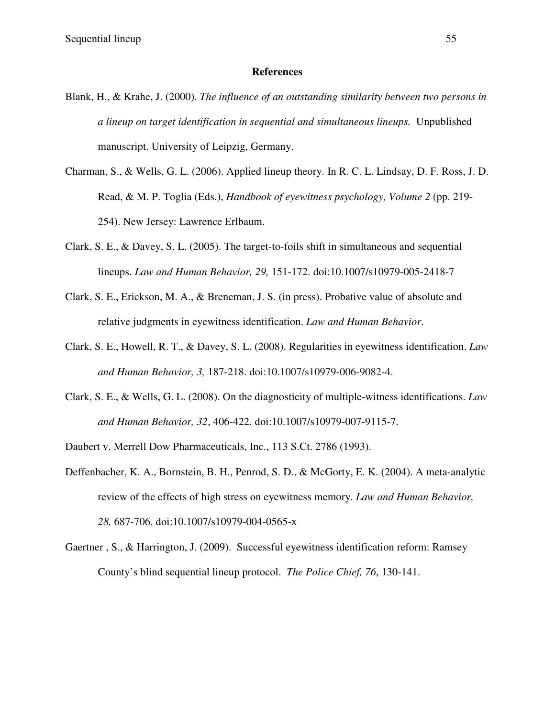#### **References**

- Blank, H., & Krahe, J. (2000). *The influence of an outstanding similarity between two persons in a lineup on target identification in sequential and simultaneous lineups.* Unpublished manuscript. University of Leipzig, Germany.
- Charman, S., & Wells, G. L. (2006). Applied lineup theory. In R. C. L. Lindsay, D. F. Ross, J. D. Read, & M. P. Toglia (Eds.), *Handbook of eyewitness psychology, Volume 2* (pp. 219- 254). New Jersey: Lawrence Erlbaum.
- Clark, S. E., & Davey, S. L. (2005). The target-to-foils shift in simultaneous and sequential lineups. *Law and Human Behavior, 29,* 151-172. doi:10.1007/s10979-005-2418-7
- Clark, S. E., Erickson, M. A., & Breneman, J. S. (in press). Probative value of absolute and relative judgments in eyewitness identification. *Law and Human Behavior*.
- Clark, S. E., Howell, R. T., & Davey, S. L. (2008). Regularities in eyewitness identification. *Law and Human Behavior, 3,* 187-218. doi:10.1007/s10979-006-9082-4.
- Clark, S. E., & Wells, G. L. (2008). On the diagnosticity of multiple-witness identifications. *Law and Human Behavior, 32*, 406-422. doi:10.1007/s10979-007-9115-7.

Daubert v. Merrell Dow Pharmaceuticals, Inc., 113 S.Ct. 2786 (1993).

- Deffenbacher, K. A., Bornstein, B. H., Penrod, S. D., & McGorty, E. K. (2004). A meta-analytic review of the effects of high stress on eyewitness memory. *Law and Human Behavior, 28,* 687-706. doi:10.1007/s10979-004-0565-x
- Gaertner , S., & Harrington, J. (2009). Successful eyewitness identification reform: Ramsey County's blind sequential lineup protocol. *The Police Chief, 76*, 130-141.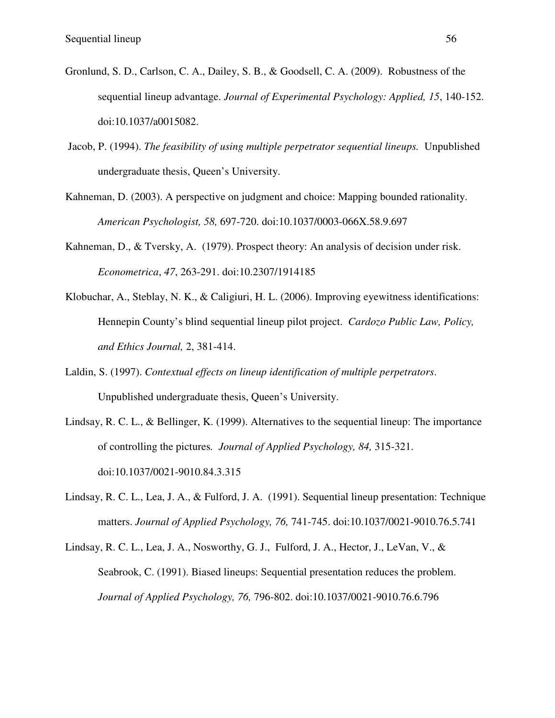- Gronlund, S. D., Carlson, C. A., Dailey, S. B., & Goodsell, C. A. (2009). Robustness of the sequential lineup advantage. *Journal of Experimental Psychology: Applied, 15*, 140-152. doi:10.1037/a0015082.
- Jacob, P. (1994). *The feasibility of using multiple perpetrator sequential lineups.* Unpublished undergraduate thesis, Queen's University.
- Kahneman, D. (2003). A perspective on judgment and choice: Mapping bounded rationality. *American Psychologist, 58,* 697-720. doi:10.1037/0003-066X.58.9.697
- Kahneman, D., & Tversky, A. (1979). Prospect theory: An analysis of decision under risk. *Econometrica*, *47*, 263-291. doi:10.2307/1914185
- Klobuchar, A., Steblay, N. K., & Caligiuri, H. L. (2006). Improving eyewitness identifications: Hennepin County's blind sequential lineup pilot project. *Cardozo Public Law, Policy, and Ethics Journal,* 2, 381-414.
- Laldin, S. (1997). *Contextual effects on lineup identification of multiple perpetrators*. Unpublished undergraduate thesis, Queen's University.
- Lindsay, R. C. L., & Bellinger, K. (1999). Alternatives to the sequential lineup: The importance of controlling the pictures*. Journal of Applied Psychology, 84,* 315-321. doi:10.1037/0021-9010.84.3.315
- Lindsay, R. C. L., Lea, J. A., & Fulford, J. A. (1991). Sequential lineup presentation: Technique matters. *Journal of Applied Psychology, 76,* 741-745. doi:10.1037/0021-9010.76.5.741
- Lindsay, R. C. L., Lea, J. A., Nosworthy, G. J., Fulford, J. A., Hector, J., LeVan, V., & Seabrook, C. (1991). Biased lineups: Sequential presentation reduces the problem. *Journal of Applied Psychology, 76,* 796-802. doi:10.1037/0021-9010.76.6.796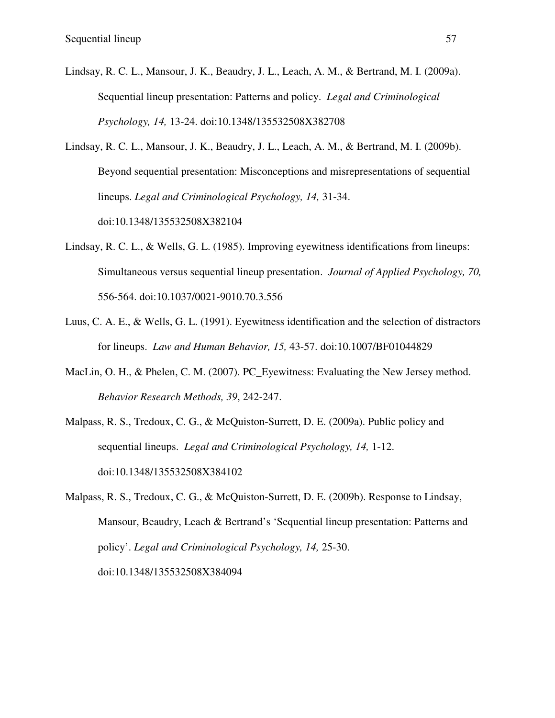- Lindsay, R. C. L., Mansour, J. K., Beaudry, J. L., Leach, A. M., & Bertrand, M. I. (2009a). Sequential lineup presentation: Patterns and policy. *Legal and Criminological Psychology, 14,* 13-24. doi:10.1348/135532508X382708
- Lindsay, R. C. L., Mansour, J. K., Beaudry, J. L., Leach, A. M., & Bertrand, M. I. (2009b). Beyond sequential presentation: Misconceptions and misrepresentations of sequential lineups. *Legal and Criminological Psychology, 14,* 31-34. doi:10.1348/135532508X382104
- Lindsay, R. C. L., & Wells, G. L. (1985). Improving eyewitness identifications from lineups: Simultaneous versus sequential lineup presentation. *Journal of Applied Psychology, 70,* 556-564. doi:10.1037/0021-9010.70.3.556
- Luus, C. A. E., & Wells, G. L. (1991). Eyewitness identification and the selection of distractors for lineups. *Law and Human Behavior, 15,* 43-57. doi:10.1007/BF01044829
- MacLin, O. H., & Phelen, C. M. (2007). PC\_Eyewitness: Evaluating the New Jersey method. *Behavior Research Methods, 39*, 242-247.
- Malpass, R. S., Tredoux, C. G., & McQuiston-Surrett, D. E. (2009a). Public policy and sequential lineups. *Legal and Criminological Psychology, 14,* 1-12. doi:10.1348/135532508X384102
- Malpass, R. S., Tredoux, C. G., & McQuiston-Surrett, D. E. (2009b). Response to Lindsay, Mansour, Beaudry, Leach & Bertrand's 'Sequential lineup presentation: Patterns and policy'. *Legal and Criminological Psychology, 14,* 25-30. doi:10.1348/135532508X384094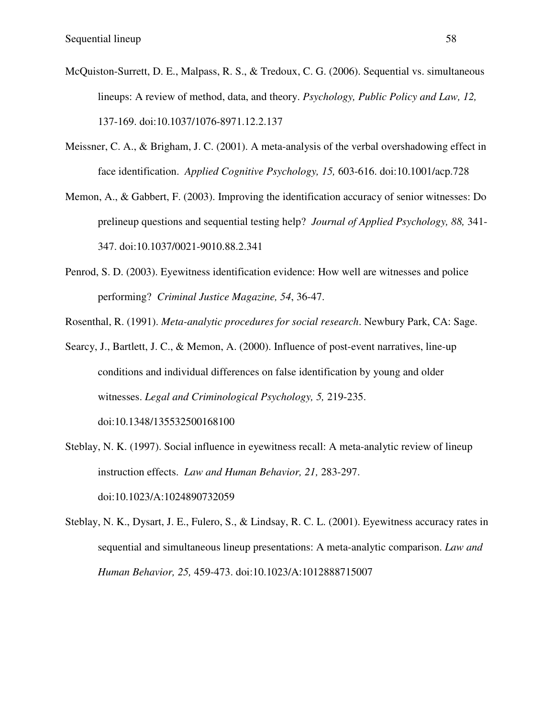- McQuiston-Surrett, D. E., Malpass, R. S., & Tredoux, C. G. (2006). Sequential vs. simultaneous lineups: A review of method, data, and theory. *Psychology, Public Policy and Law, 12,* 137-169. doi:10.1037/1076-8971.12.2.137
- Meissner, C. A., & Brigham, J. C. (2001). A meta-analysis of the verbal overshadowing effect in face identification. *Applied Cognitive Psychology, 15,* 603-616. doi:10.1001/acp.728
- Memon, A., & Gabbert, F. (2003). Improving the identification accuracy of senior witnesses: Do prelineup questions and sequential testing help? *Journal of Applied Psychology, 88,* 341- 347. doi:10.1037/0021-9010.88.2.341
- Penrod, S. D. (2003). Eyewitness identification evidence: How well are witnesses and police performing? *Criminal Justice Magazine, 54*, 36-47.
- Rosenthal, R. (1991). *Meta-analytic procedures for social research*. Newbury Park, CA: Sage.
- Searcy, J., Bartlett, J. C., & Memon, A. (2000). Influence of post-event narratives, line-up conditions and individual differences on false identification by young and older witnesses. *Legal and Criminological Psychology, 5,* 219-235.

doi:10.1348/135532500168100

- Steblay, N. K. (1997). Social influence in eyewitness recall: A meta-analytic review of lineup instruction effects. *Law and Human Behavior, 21,* 283-297. doi:10.1023/A:1024890732059
- Steblay, N. K., Dysart, J. E., Fulero, S., & Lindsay, R. C. L. (2001). Eyewitness accuracy rates in sequential and simultaneous lineup presentations: A meta-analytic comparison. *Law and Human Behavior, 25,* 459-473. doi:10.1023/A:1012888715007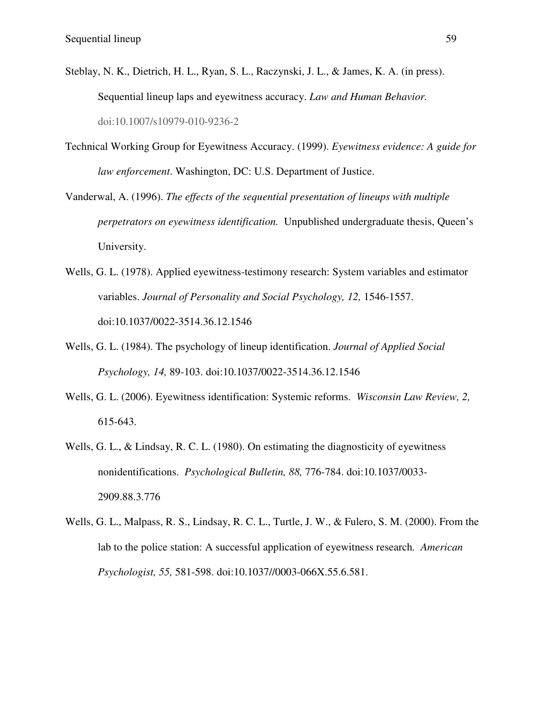- Steblay, N. K., Dietrich, H. L., Ryan, S. L., Raczynski, J. L., & James, K. A. (in press). Sequential lineup laps and eyewitness accuracy. *Law and Human Behavior.* doi:10.1007/s10979-010-9236-2
- Technical Working Group for Eyewitness Accuracy. (1999). *Eyewitness evidence: A guide for law enforcement*. Washington, DC: U.S. Department of Justice.
- Vanderwal, A. (1996). *The effects of the sequential presentation of lineups with multiple perpetrators on eyewitness identification.* Unpublished undergraduate thesis, Queen's University.
- Wells, G. L. (1978). Applied eyewitness-testimony research: System variables and estimator variables. *Journal of Personality and Social Psychology, 12,* 1546-1557. doi:10.1037/0022-3514.36.12.1546
- Wells, G. L. (1984). The psychology of lineup identification. *Journal of Applied Social Psychology, 14,* 89-103. doi:10.1037/0022-3514.36.12.1546
- Wells, G. L. (2006). Eyewitness identification: Systemic reforms. *Wisconsin Law Review, 2,*  615-643.
- Wells, G. L., & Lindsay, R. C. L. (1980). On estimating the diagnosticity of eyewitness nonidentifications. *Psychological Bulletin, 88,* 776-784. doi:10.1037/0033- 2909.88.3.776
- Wells, G. L., Malpass, R. S., Lindsay, R. C. L., Turtle, J. W., & Fulero, S. M. (2000). From the lab to the police station: A successful application of eyewitness research*. American Psychologist, 55, 581-598. doi:10.1037//0003-066X.55.6.581.*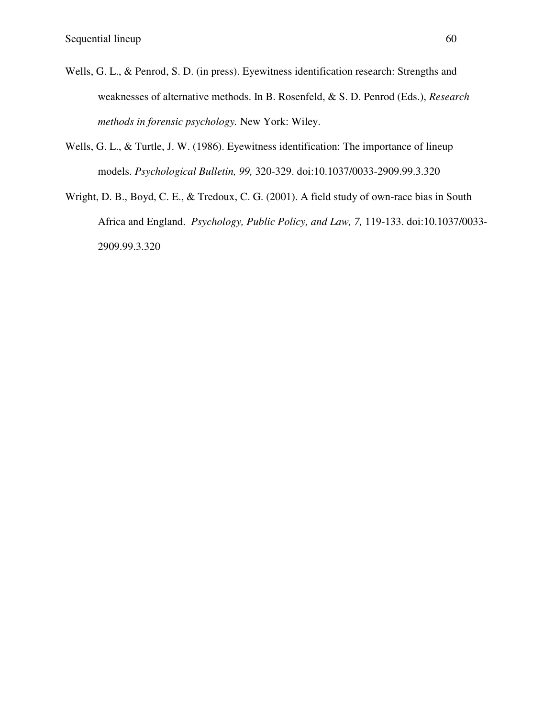- Wells, G. L., & Penrod, S. D. (in press). Eyewitness identification research: Strengths and weaknesses of alternative methods. In B. Rosenfeld, & S. D. Penrod (Eds.), *Research methods in forensic psychology.* New York: Wiley.
- Wells, G. L., & Turtle, J. W. (1986). Eyewitness identification: The importance of lineup models. *Psychological Bulletin, 99,* 320-329. doi:10.1037/0033-2909.99.3.320
- Wright, D. B., Boyd, C. E., & Tredoux, C. G. (2001). A field study of own-race bias in South Africa and England. *Psychology, Public Policy, and Law, 7,* 119-133. doi:10.1037/0033- 2909.99.3.320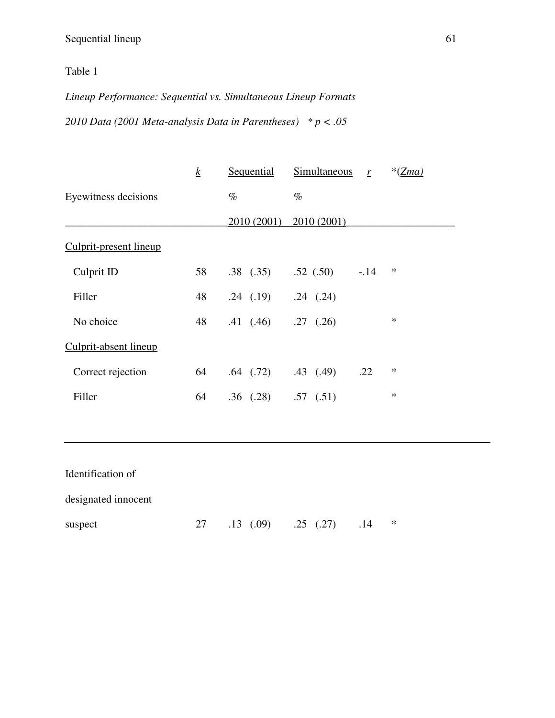# Table 1

*Lineup Performance: Sequential vs. Simultaneous Lineup Formats* 

*2010 Data (2001 Meta-analysis Data in Parentheses) \* p < .05*

|                        | $\boldsymbol{k}$ | Sequential                  | Simultaneous $r$ |        | $*(Zma)$ |
|------------------------|------------------|-----------------------------|------------------|--------|----------|
| Eyewitness decisions   |                  | $\%$                        | $\%$             |        |          |
|                        |                  | 2010 (2001)                 | 2010 (2001)      |        |          |
| Culprit-present lineup |                  |                             |                  |        |          |
| Culprit ID             | 58               | $.38$ $(.35)$               | .52(.50)         | $-.14$ | $\ast$   |
| Filler                 | 48               | $.24$ $(.19)$ $.24$ $(.24)$ |                  |        |          |
| No choice              | 48               | .41(.46)                    | $.27$ $(.26)$    |        | $\ast$   |
| Culprit-absent lineup  |                  |                             |                  |        |          |
| Correct rejection      | 64               | $.64$ $(.72)$               | $.43$ $(.49)$    | .22    | $\ast$   |
| Filler                 | 64               | $.36$ $(.28)$ $.57$ $(.51)$ |                  |        | $\ast$   |
|                        |                  |                             |                  |        |          |

| Identification of   |                        |     |   |
|---------------------|------------------------|-----|---|
| designated innocent |                        |     |   |
| suspect             | 27 .13 (.09) .25 (.27) | .14 | ∗ |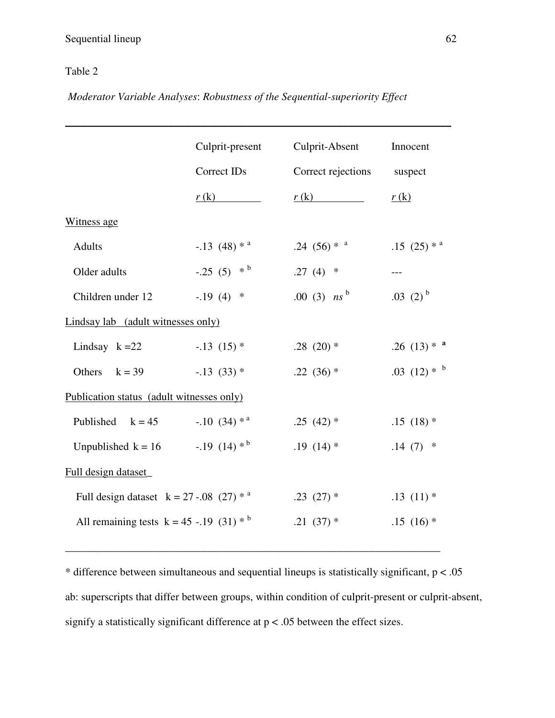### Table 2

 *Moderator Variable Analyses*: *Robustness of the Sequential-superiority Effect*

|                                                      | Culprit-present           | Culprit-Absent            | Innocent                  |
|------------------------------------------------------|---------------------------|---------------------------|---------------------------|
|                                                      | Correct IDs               | Correct rejections        | suspect                   |
|                                                      | r(k)                      | r(k)                      | r(k)                      |
| Witness age                                          |                           |                           |                           |
| <b>Adults</b>                                        | $-.13(48)*^a$             | .24 $(56) *$ <sup>*</sup> | $.15(25)*^{\mathrm{a}}$   |
| Older adults                                         | $-.25(5)$ * <sup>b</sup>  | $.27(4)$ *                | $---$                     |
| Children under 12                                    | $-.19(4)$ *               | .00 (3) $ns^b$            | .03 $(2)^{b}$             |
| Lindsay lab (adult witnesses only)                   |                           |                           |                           |
| Lindsay $k = 22$                                     | $-13(15)$ *               | .28 $(20)$ *              | .26 $(13) *$ <sup>*</sup> |
| Others<br>$k = 39$                                   | $-.13(33)*$               | .22 $(36)$ *              | .03 $(12) *$ <sup>b</sup> |
| Publication status (adult witnesses only)            |                           |                           |                           |
| Published<br>$k = 45$                                | $-.10(34) *$ <sup>a</sup> | $.25(42)$ *               | $.15(18)*$                |
| Unpublished k = 16 $-.19$ (14) <sup>*b</sup>         |                           | $.19(14)$ *               | $.14(7)$ *                |
| Full design dataset_                                 |                           |                           |                           |
| Full design dataset $k = 27 - .08$ (27) <sup>*</sup> |                           | $.23(27)*$                | $.13(11)*$                |
| All remaining tests $k = 45$ -.19 (31) <sup>*</sup>  |                           | $.21(37)*$                | $.15(16)$ *               |
|                                                      |                           |                           |                           |

\* difference between simultaneous and sequential lineups is statistically significant,  $p < .05$ ab: superscripts that differ between groups, within condition of culprit-present or culprit-absent, signify a statistically significant difference at p < .05 between the effect sizes.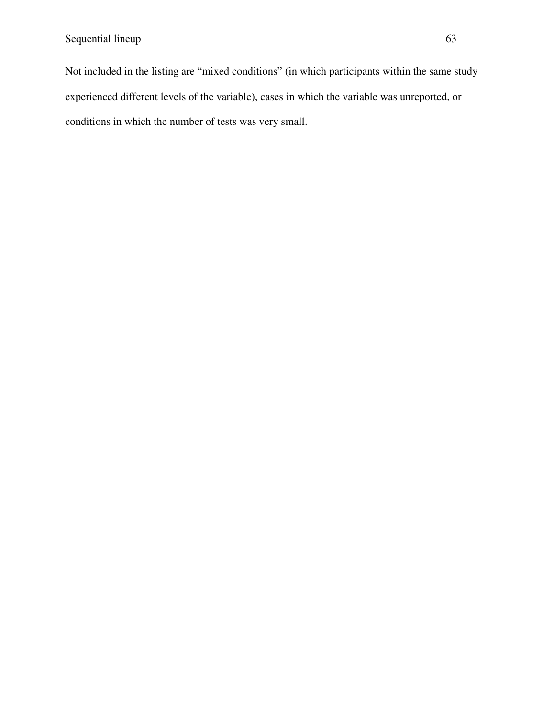Not included in the listing are "mixed conditions" (in which participants within the same study experienced different levels of the variable), cases in which the variable was unreported, or conditions in which the number of tests was very small.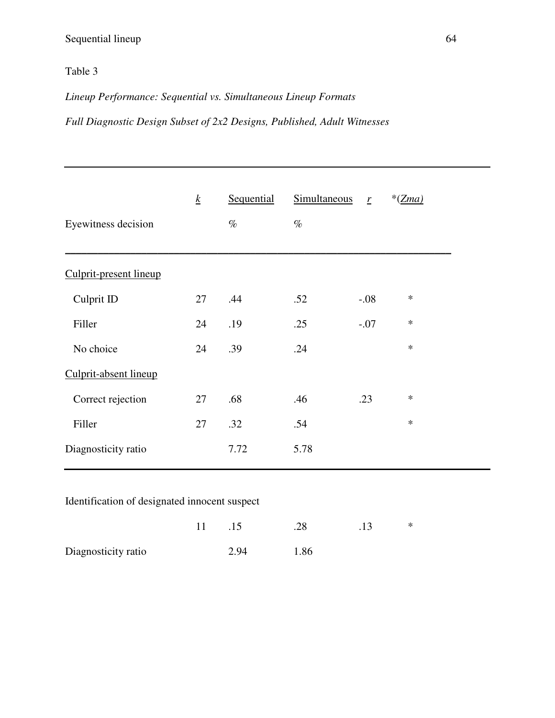# Table 3

*Lineup Performance: Sequential vs. Simultaneous Lineup Formats* 

*Full Diagnostic Design Subset of 2x2 Designs, Published, Adult Witnesses* 

|                        | $\underline{k}$ | Sequential | <b>Simultaneous</b> | $\mathbf{r}$ | $*(Zma)$ |
|------------------------|-----------------|------------|---------------------|--------------|----------|
| Eyewitness decision    |                 | $\%$       | $\%$                |              |          |
| Culprit-present lineup |                 |            |                     |              |          |
|                        |                 |            |                     |              |          |
| Culprit ID             | 27              | .44        | .52                 | $-.08$       | $\ast$   |
| Filler                 | 24              | .19        | .25                 | $-.07$       | $\ast$   |
| No choice              | 24              | .39        | .24                 |              | $\ast$   |
| Culprit-absent lineup  |                 |            |                     |              |          |
| Correct rejection      | 27              | .68        | .46                 | .23          | $\ast$   |
| Filler                 | 27              | .32        | .54                 |              | $\ast$   |
| Diagnosticity ratio    |                 | 7.72       | 5.78                |              |          |

### Identification of designated innocent suspect

|                     | 11 | .15  | .28  | .13 | $\ast$ |
|---------------------|----|------|------|-----|--------|
| Diagnosticity ratio |    | 2.94 | 1.86 |     |        |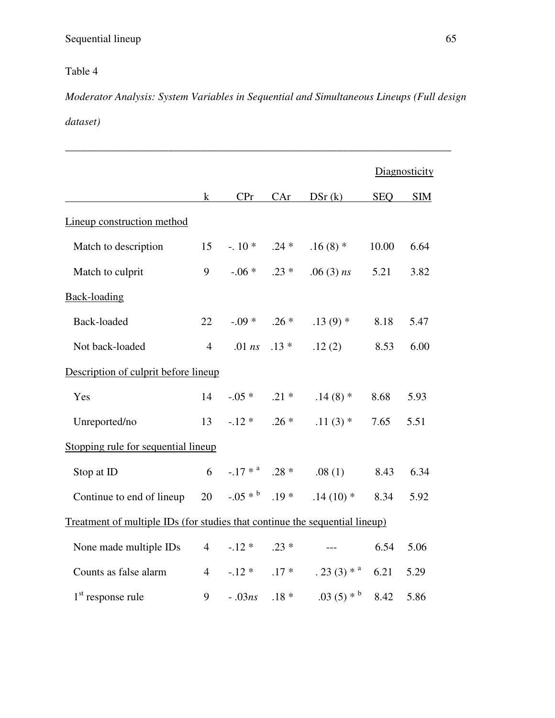# Table 4

*Moderator Analysis: System Variables in Sequential and Simultaneous Lineups (Full design dataset)* 

\_\_\_\_\_\_\_\_\_\_\_\_\_\_\_\_\_\_\_\_\_\_\_\_\_\_\_\_\_\_\_\_\_\_\_\_\_\_\_\_\_\_\_\_\_\_\_\_\_\_\_\_\_\_\_\_\_\_\_\_\_\_\_\_\_\_\_\_\_\_\_

|                                                                             |                |                           |         |                        |            | Diagnosticity |
|-----------------------------------------------------------------------------|----------------|---------------------------|---------|------------------------|------------|---------------|
|                                                                             | $\bf k$        | CPr                       | CAr     | DSr(k)                 | <b>SEQ</b> | <b>SIM</b>    |
| Lineup construction method                                                  |                |                           |         |                        |            |               |
| Match to description                                                        | 15             | $-10^*$ . 24 *            |         | $.16(8)$ *             | 10.00      | 6.64          |
| Match to culprit                                                            | 9              | $-.06*$ .23 *             |         | $.06(3)$ ns            | 5.21       | 3.82          |
| <b>Back-loading</b>                                                         |                |                           |         |                        |            |               |
| Back-loaded                                                                 | 22             | $-0.09*$ .26 *            |         | $.13(9)*$              | 8.18       | 5.47          |
| Not back-loaded                                                             | $\overline{4}$ | $.01$ ns                  | $.13*$  | .12(2)                 | 8.53       | 6.00          |
| Description of culprit before lineup                                        |                |                           |         |                        |            |               |
| Yes                                                                         | 14             | $-0.05*$ .21 *            |         | $.14(8)$ *             | 8.68       | 5.93          |
| Unreported/no                                                               | 13             | $-.12*$ .26 *             |         | $.11(3)$ *             | 7.65       | 5.51          |
| Stopping rule for sequential lineup                                         |                |                           |         |                        |            |               |
| Stop at ID                                                                  | 6              | $-17*$ <sup>a</sup> .28 * |         | .08(1)                 | 8.43       | 6.34          |
| Continue to end of lineup                                                   | 20             | $-0.05*^{b}$ .19 *        |         | $.14(10)*$             | 8.34       | 5.92          |
| Treatment of multiple IDs (for studies that continue the sequential lineup) |                |                           |         |                        |            |               |
| None made multiple IDs                                                      | $\overline{4}$ | $-.12*$ .23 *             |         | $---$                  | 6.54       | 5.06          |
| Counts as false alarm                                                       | $\overline{4}$ | $-12*$                    | $.17*$  | $.23(3)*^{\mathrm{a}}$ | 6.21       | 5.29          |
| $1st$ response rule                                                         | 9              | $-.03ns$                  | $.18 *$ | $.03(5)*^b$            | 8.42       | 5.86          |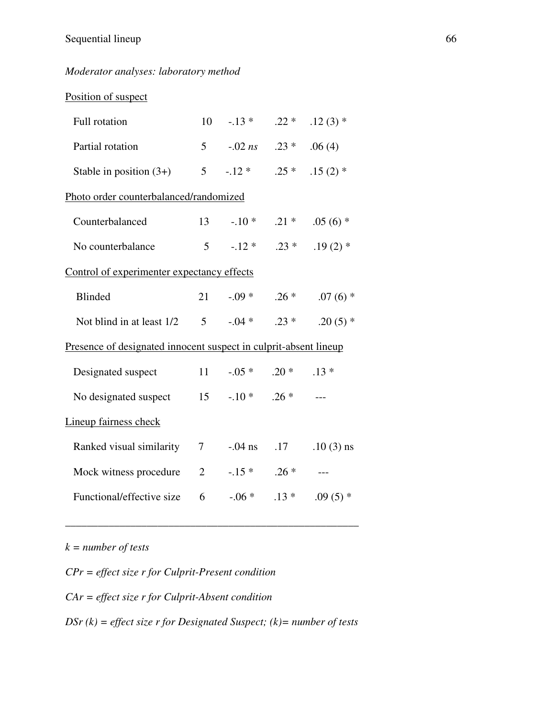### *Moderator analyses: laboratory method*

| Position of suspect                                              |                |                        |                          |             |
|------------------------------------------------------------------|----------------|------------------------|--------------------------|-------------|
| Full rotation                                                    |                | $10-.13*$              | $.22*$                   | $.12(3)$ *  |
| Partial rotation                                                 | 5 <sup>5</sup> |                        | $-0.02 \text{ ns}$ .23 * | .06(4)      |
| Stable in position $(3+)$                                        |                | $5 - 12*$              | $.25*$                   | $.15(2)$ *  |
| Photo order counterbalanced/randomized                           |                |                        |                          |             |
| Counterbalanced                                                  | 13             | $-10*$                 | $.21*$                   | $.05(6)$ *  |
| No counterbalance                                                | 5 <sup>5</sup> | $-12*$                 | $.23*$                   | $.19(2)$ *  |
| Control of experimenter expectancy effects                       |                |                        |                          |             |
| <b>Blinded</b>                                                   | 21             |                        | $-0.09*$ . 26 *          | $.07(6)$ *  |
| Not blind in at least 1/2                                        |                | $5 \t -04* \t 0.23*$   |                          | $.20(5)$ *  |
| Presence of designated innocent suspect in culprit-absent lineup |                |                        |                          |             |
| Designated suspect                                               | 11             | $-0.05*$               | $.20*$                   | $.13*$      |
| No designated suspect                                            |                | $15 \t -10^* \t .26^*$ |                          |             |
| Lineup fairness check                                            |                |                        |                          |             |
| Ranked visual similarity                                         | 7              | $-0.04$ ns             | .17                      | $.10(3)$ ns |
| Mock witness procedure                                           | $\overline{2}$ |                        | $-.15*$ .26 *            |             |
| Functional/effective size                                        | 6              | $-.06*$                | $.13*$                   | .09 $(5)$ * |
|                                                                  |                |                        |                          |             |

*k = number of tests* 

*CPr = effect size r for Culprit-Present condition CAr = effect size r for Culprit-Absent condition* 

*DSr (k) = effect size r for Designated Suspect; (k)= number of tests* 

\_\_\_\_\_\_\_\_\_\_\_\_\_\_\_\_\_\_\_\_\_\_\_\_\_\_\_\_\_\_\_\_\_\_\_\_\_\_\_\_\_\_\_\_\_\_\_\_\_\_\_\_\_\_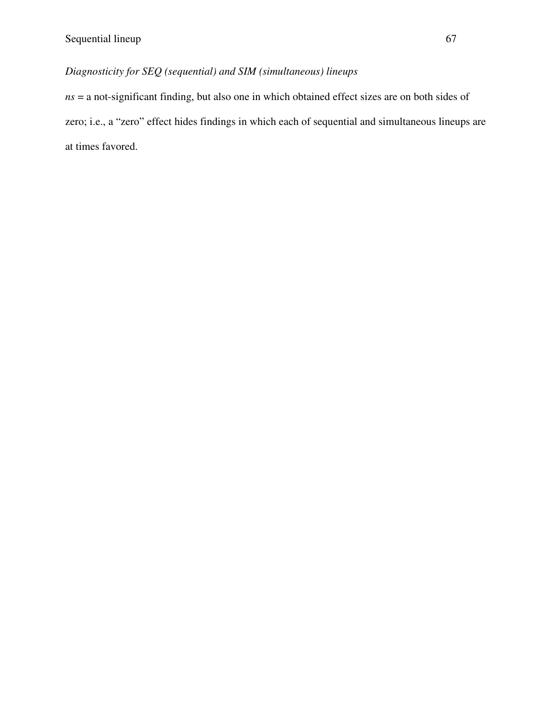## *Diagnosticity for SEQ (sequential) and SIM (simultaneous) lineups*

*ns* = a not-significant finding, but also one in which obtained effect sizes are on both sides of zero; i.e., a "zero" effect hides findings in which each of sequential and simultaneous lineups are at times favored.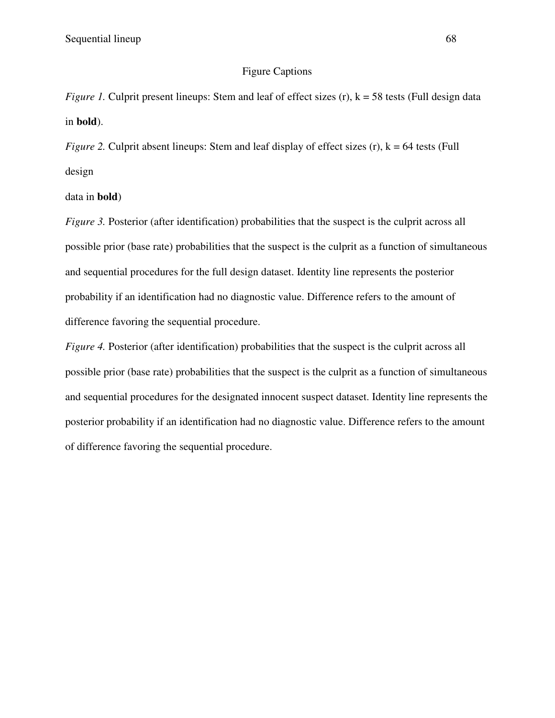#### Figure Captions

*Figure 1.* Culprit present lineups: Stem and leaf of effect sizes (r),  $k = 58$  tests (Full design data in **bold**).

*Figure 2.* Culprit absent lineups: Stem and leaf display of effect sizes  $(r)$ ,  $k = 64$  tests (Full design

data in **bold**)

*Figure 3.* Posterior (after identification) probabilities that the suspect is the culprit across all possible prior (base rate) probabilities that the suspect is the culprit as a function of simultaneous and sequential procedures for the full design dataset. Identity line represents the posterior probability if an identification had no diagnostic value. Difference refers to the amount of difference favoring the sequential procedure.

*Figure 4.* Posterior (after identification) probabilities that the suspect is the culprit across all possible prior (base rate) probabilities that the suspect is the culprit as a function of simultaneous and sequential procedures for the designated innocent suspect dataset. Identity line represents the posterior probability if an identification had no diagnostic value. Difference refers to the amount of difference favoring the sequential procedure.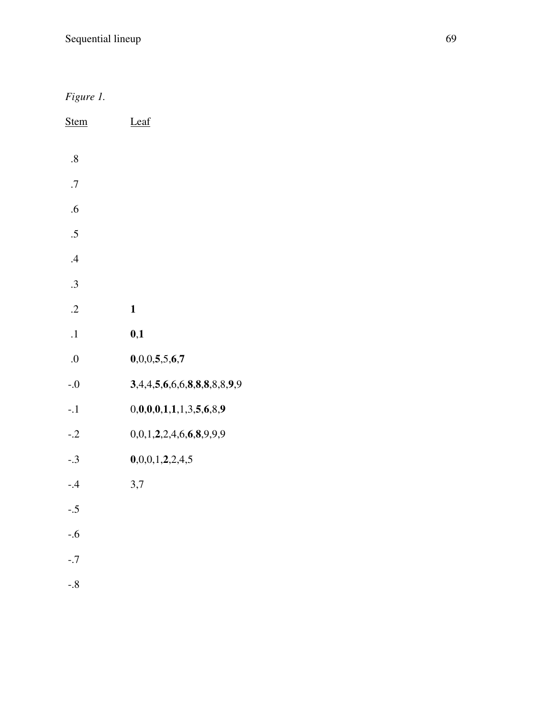*Figure 1.* 

| <b>Stem</b> | Leaf                        |
|-------------|-----------------------------|
| .8          |                             |
| .7          |                             |
| .6          |                             |
| .5          |                             |
| $\cdot$     |                             |
| .3          |                             |
| $\cdot$     | $\mathbf{1}$                |
| $\cdot$ 1   | 0,1                         |
| 0.          | 0,0,0,5,5,6,7               |
| $-0$        | 3,4,4,5,6,6,6,8,8,8,8,8,9,9 |
| $-.1$       | 0,0,0,0,1,1,1,3,5,6,8,9     |
| $-.2$       | 0,0,1,2,2,4,6,6,8,9,9,9     |
| $-.3$       | 0,0,0,1,2,2,4,5             |
| $-0.4$      | 3,7                         |
| $-.5$       |                             |
| $-0.6$      |                             |
| $-.7$       |                             |
| $-0.8$      |                             |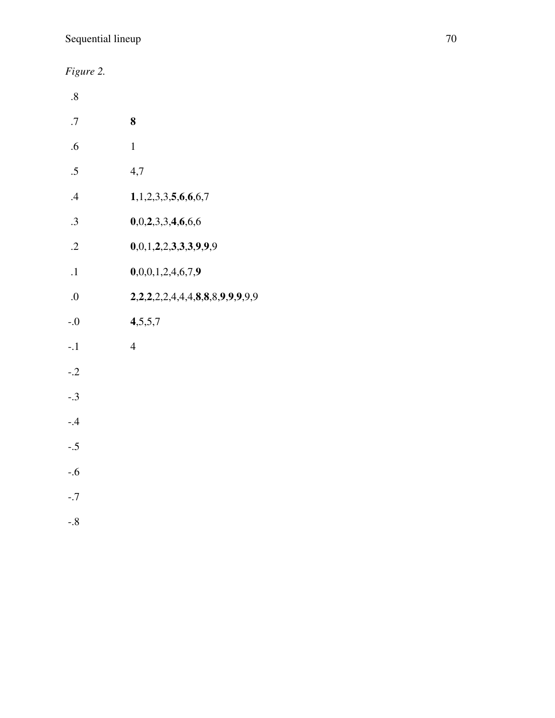*Figure 2.*

| $.8\,$     |                               |
|------------|-------------------------------|
| .7         | 8                             |
| .6         | $\mathbf{1}$                  |
| .5         | 4,7                           |
| .4         | 1, 1, 2, 3, 3, 5, 6, 6, 6, 7  |
| .3         | 0,0,2,3,3,4,6,6,6             |
| $\cdot$ .2 | 0,0,1,2,2,3,3,3,9,9,9         |
| $\cdot$ 1  | 0,0,0,1,2,4,6,7,9             |
| 0.         | 2,2,2,2,4,4,4,8,8,8,9,9,9,9,9 |
| $-0.5$     | 4,5,5,7                       |
| $-.1$      | $\overline{4}$                |
| $-.2$      |                               |
| $-.3$      |                               |
| $-0.4$     |                               |
| $-.5$      |                               |
| $-0.6$     |                               |
| $-.7$      |                               |
| $-0.8$     |                               |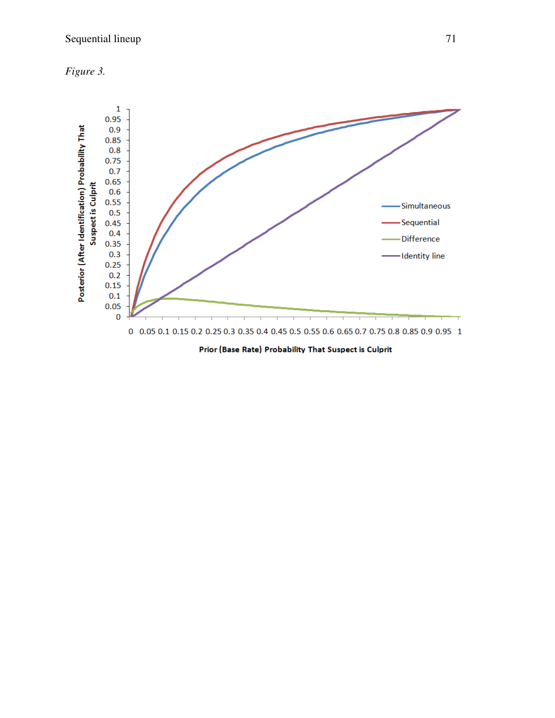



Prior (Base Rate) Probability That Suspect is Culprit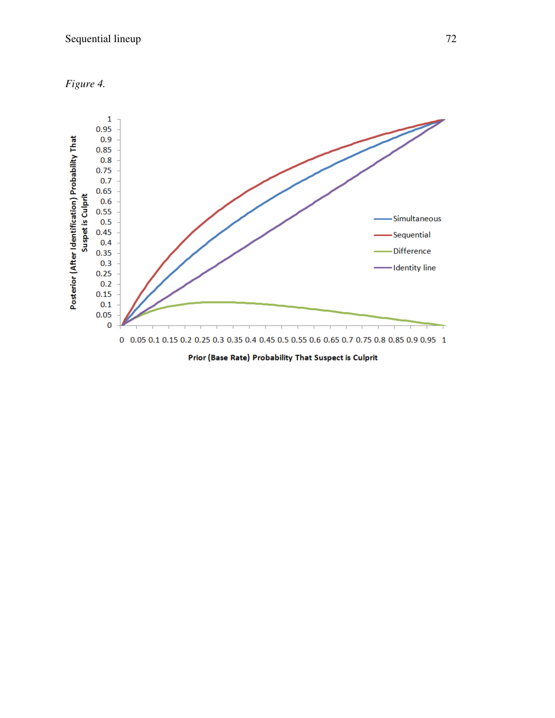



Prior (Base Rate) Probability That Suspect is Culprit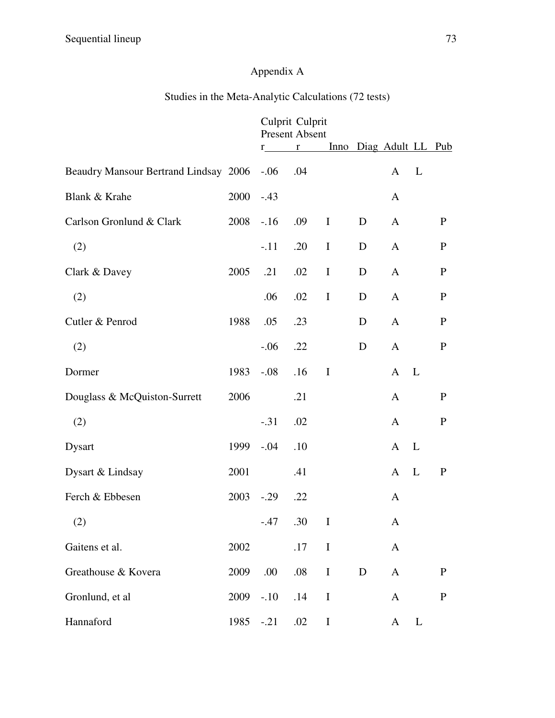## Appendix A

## Studies in the Meta-Analytic Calculations (72 tests)

|                                       |      | Culprit Culprit<br><b>Present Absent</b> |             |             |   |                        |              |              |  |
|---------------------------------------|------|------------------------------------------|-------------|-------------|---|------------------------|--------------|--------------|--|
|                                       |      | $r_{\perp}$                              | $r$ and $r$ |             |   | Inno Diag Adult LL Pub |              |              |  |
| Beaudry Mansour Bertrand Lindsay 2006 |      | $-.06$                                   | .04         |             |   | $\mathbf{A}$           | L            |              |  |
| Blank & Krahe                         | 2000 | $-.43$                                   |             |             |   | A                      |              |              |  |
| Carlson Gronlund & Clark              | 2008 | $-16$                                    | .09         | $\mathbf I$ | D | $\mathbf{A}$           |              | $\mathbf{P}$ |  |
| (2)                                   |      | $-.11$                                   | .20         | $\bf{I}$    | D | $\mathbf{A}$           |              | $\mathbf{P}$ |  |
| Clark & Davey                         | 2005 | .21                                      | .02         | $\bf I$     | D | $\mathbf{A}$           |              | $\mathbf{P}$ |  |
| (2)                                   |      | .06                                      | .02         | $\mathbf I$ | D | $\mathbf{A}$           |              | $\mathbf{P}$ |  |
| Cutler & Penrod                       | 1988 | .05                                      | .23         |             | D | $\mathbf{A}$           |              | $\mathbf{P}$ |  |
| (2)                                   |      | $-.06$                                   | .22         |             | D | $\mathbf{A}$           |              | $\mathbf{P}$ |  |
| Dormer                                | 1983 | $-.08$                                   | .16         | $\mathbf I$ |   | $\mathbf{A}$           | L            |              |  |
| Douglass & McQuiston-Surrett          | 2006 |                                          | .21         |             |   | $\mathbf{A}$           |              | $\mathbf{P}$ |  |
| (2)                                   |      | $-.31$                                   | .02         |             |   | $\mathbf{A}$           |              | $\mathbf{P}$ |  |
| <b>Dysart</b>                         | 1999 | $-.04$                                   | .10         |             |   | $\mathbf{A}$           | L            |              |  |
| Dysart & Lindsay                      | 2001 |                                          | .41         |             |   | $\mathbf{A}$           | L            | $\mathbf{P}$ |  |
| Ferch & Ebbesen                       | 2003 | $-.29$                                   | .22         |             |   | $\mathbf{A}$           |              |              |  |
| (2)                                   |      | $-.47$                                   | .30         | $\bf{I}$    |   | A                      |              |              |  |
| Gaitens et al.                        | 2002 |                                          | .17         | $\bf I$     |   | $\mathbf{A}$           |              |              |  |
| Greathouse & Kovera                   | 2009 | .00                                      | $.08\,$     | $\bf I$     | D | $\mathbf{A}$           |              | ${\bf P}$    |  |
| Gronlund, et al                       | 2009 | $-.10$                                   | .14         | $\bf{I}$    |   | $\mathbf{A}$           |              | ${\bf P}$    |  |
| Hannaford                             | 1985 | $-.21$                                   | .02         | $\bf I$     |   | $\mathbf{A}$           | $\mathbf{L}$ |              |  |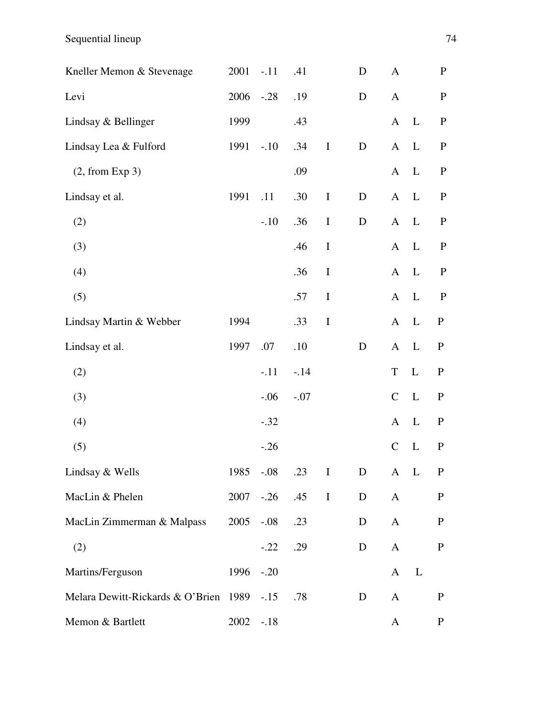Sequential lineup 74

| Kneller Memon & Stevenage             | 2001 | $-.11$ | .41    |             | D           | A             |              | $\mathbf{P}$ |
|---------------------------------------|------|--------|--------|-------------|-------------|---------------|--------------|--------------|
| Levi                                  | 2006 | $-.28$ | .19    |             | D           | $\mathbf{A}$  |              | $\mathbf P$  |
| Lindsay & Bellinger                   | 1999 |        | .43    |             |             | $\mathbf{A}$  | $\mathbf{L}$ | $\mathbf P$  |
| Lindsay Lea & Fulford                 | 1991 | $-.10$ | .34    | $\mathbf I$ | D           | $\mathbf{A}$  | L            | $\mathbf P$  |
| (2, from Exp 3)                       |      |        | .09    |             |             | $\mathbf{A}$  | L            | $\mathbf{P}$ |
| Lindsay et al.                        | 1991 | .11    | .30    | $\bf{I}$    | $\mathbf D$ | $\mathbf{A}$  | $\mathbf{L}$ | $\mathbf P$  |
| (2)                                   |      | $-.10$ | .36    | $\bf I$     | ${\bf D}$   | $\mathbf{A}$  | $\mathbf{L}$ | $\mathbf{P}$ |
| (3)                                   |      |        | .46    | $\bf I$     |             | $\mathbf{A}$  | L            | $\mathbf{P}$ |
| (4)                                   |      |        | .36    | $\mathbf I$ |             | $\mathbf{A}$  | $\mathbf{L}$ | $\mathbf{P}$ |
| (5)                                   |      |        | .57    | $\bf{I}$    |             | $\mathbf{A}$  | $\mathbf{L}$ | $\mathbf{P}$ |
| Lindsay Martin & Webber               | 1994 |        | .33    | $\bf{I}$    |             | $\mathbf{A}$  | L            | $\mathbf{P}$ |
| Lindsay et al.                        | 1997 | .07    | .10    |             | $\mathbf D$ | $\mathbf{A}$  | $\mathbf{L}$ | ${\bf P}$    |
| (2)                                   |      | $-.11$ | $-.14$ |             |             | $\mathbf T$   | L            | ${\bf P}$    |
| (3)                                   |      | $-.06$ | $-.07$ |             |             | $\mathcal{C}$ | L            | ${\bf P}$    |
| (4)                                   |      | $-.32$ |        |             |             | $\mathbf{A}$  | L            | $\mathbf P$  |
| (5)                                   |      | $-.26$ |        |             |             | $\mathbf C$   | $\mathbf{L}$ | $\mathbf{P}$ |
| Lindsay & Wells                       | 1985 | $-.08$ | .23    | $\mathbf I$ | D           | $\mathbf{A}$  | $\mathbf{L}$ | $\mathbf{P}$ |
| MacLin & Phelen                       | 2007 | $-.26$ | .45    | $\bf I$     | $\mathbf D$ | $\mathbf{A}$  |              | $\mathbf P$  |
| MacLin Zimmerman & Malpass            | 2005 | $-.08$ | .23    |             | D           | $\mathbf{A}$  |              | ${\bf P}$    |
| (2)                                   |      | $-.22$ | .29    |             | D           | $\mathbf{A}$  |              | $\mathbf P$  |
| Martins/Ferguson                      | 1996 | $-.20$ |        |             |             | $\mathbf{A}$  | L            |              |
| Melara Dewitt-Rickards & O'Brien 1989 |      | $-.15$ | .78    |             | D           | $\mathbf{A}$  |              | ${\bf P}$    |
| Memon & Bartlett                      | 2002 | $-.18$ |        |             |             | $\mathbf{A}$  |              | ${\bf P}$    |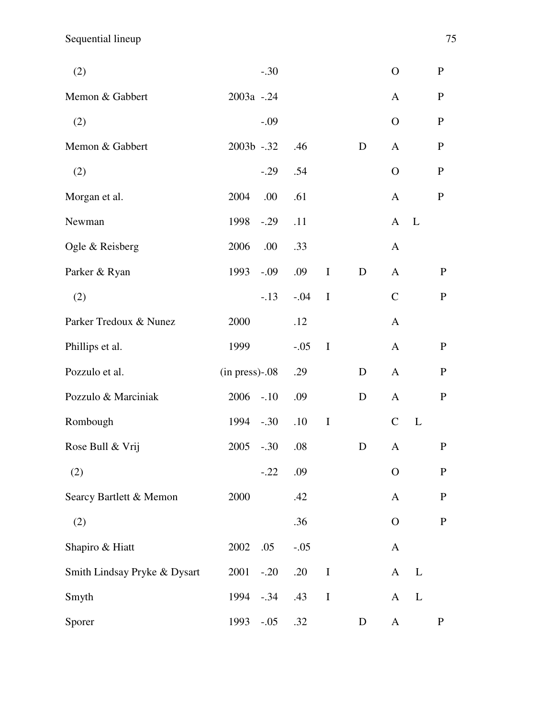| (2)                          |                   | $-.30$ |        |             |             | $\overline{O}$ |              | ${\bf P}$    |
|------------------------------|-------------------|--------|--------|-------------|-------------|----------------|--------------|--------------|
| Memon & Gabbert              | 2003a - .24       |        |        |             |             | A              |              | $\mathbf{P}$ |
| (2)                          |                   | $-.09$ |        |             |             | $\mathbf{O}$   |              | ${\bf P}$    |
| Memon & Gabbert              | 2003b -.32        |        | .46    |             | D           | $\mathbf{A}$   |              | ${\bf P}$    |
| (2)                          |                   | $-.29$ | .54    |             |             | $\overline{O}$ |              | $\mathbf{P}$ |
| Morgan et al.                | 2004              | .00    | .61    |             |             | $\mathbf{A}$   |              | $\mathbf{P}$ |
| Newman                       | 1998              | $-.29$ | .11    |             |             | $\mathbf{A}$   | $\mathbf{L}$ |              |
| Ogle & Reisberg              | 2006              | .00    | .33    |             |             | $\mathbf{A}$   |              |              |
| Parker & Ryan                | 1993              | $-.09$ | .09    | $\mathbf I$ | D           | $\mathbf{A}$   |              | $\mathbf{P}$ |
| (2)                          |                   | $-.13$ | $-.04$ | $\mathbf I$ |             | $\mathcal{C}$  |              | $\mathbf{P}$ |
| Parker Tredoux & Nunez       | 2000              |        | .12    |             |             | $\mathbf{A}$   |              |              |
| Phillips et al.              | 1999              |        | $-.05$ | $\mathbf I$ |             | $\mathbf{A}$   |              | $\mathbf{P}$ |
| Pozzulo et al.               | $(in press)$ -.08 |        | .29    |             | D           | $\mathbf{A}$   |              | $\mathbf{P}$ |
| Pozzulo & Marciniak          | 2006              | $-.10$ | .09    |             | D           | $\mathbf{A}$   |              | $\mathbf{P}$ |
| Rombough                     | 1994              | $-.30$ | .10    | $\mathbf I$ |             | $\mathcal{C}$  | L            |              |
| Rose Bull & Vrij             | 2005              | $-.30$ | .08    |             | D           | A              |              | $\mathbf{P}$ |
| (2)                          |                   | $-.22$ | .09    |             |             | $\mathbf{O}$   |              | $\mathbf{P}$ |
| Searcy Bartlett & Memon      | 2000              |        | .42    |             |             | $\mathbf{A}$   |              | ${\bf P}$    |
| (2)                          |                   |        | .36    |             |             | $\overline{O}$ |              | ${\bf P}$    |
| Shapiro & Hiatt              | 2002              | .05    | $-.05$ |             |             | A              |              |              |
| Smith Lindsay Pryke & Dysart | 2001              | $-.20$ | .20    | $\bf I$     |             | A              | L            |              |
| Smyth                        | 1994              | $-.34$ | .43    | $\bf I$     |             | A              | L            |              |
| Sporer                       | 1993              | $-.05$ | .32    |             | $\mathbf D$ | A              |              | ${\bf P}$    |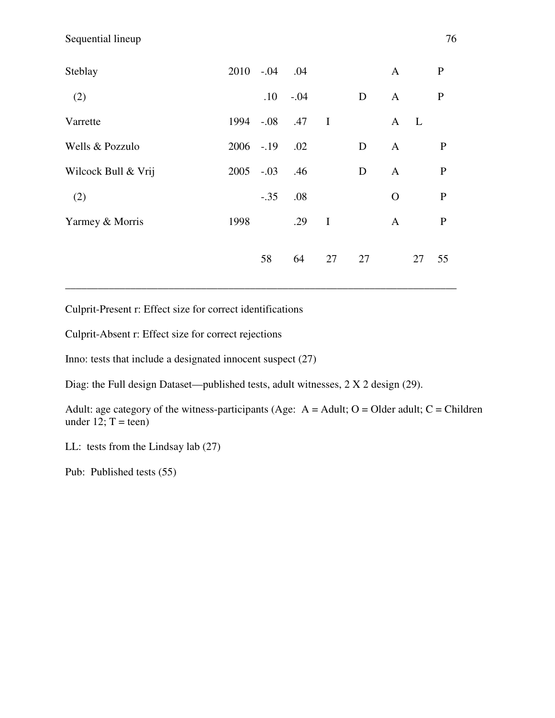| Steblay             |      | 2010 -.04 .04 |           |              |    | $\mathbf{A}$ |              | $\mathbf{P}$ |
|---------------------|------|---------------|-----------|--------------|----|--------------|--------------|--------------|
| (2)                 |      |               | $.10-.04$ |              | D  | $\mathbf{A}$ |              | $\mathbf{P}$ |
| Varrette            | 1994 | $-.08$        | .47       | $\mathbf{I}$ |    | $\mathbf{A}$ | $\mathbf{L}$ |              |
| Wells & Pozzulo     |      | 2006 - 19     | .02       |              | D  | $\mathbf{A}$ |              | $\mathbf{P}$ |
| Wilcock Bull & Vrij |      | $2005 - 03$   | .46       |              | D  | $\mathbf{A}$ |              | $\mathbf{P}$ |
| (2)                 |      | $-.35$        | .08       |              |    | $\Omega$     |              | $\mathbf{P}$ |
| Yarmey & Morris     | 1998 |               | .29       | $\bf{I}$     |    | $\mathbf{A}$ |              | $\mathbf{P}$ |
|                     |      |               |           |              |    |              |              |              |
|                     |      | 58            | 64        | 27           | 27 |              | 27           | 55           |

\_\_\_\_\_\_\_\_\_\_\_\_\_\_\_\_\_\_\_\_\_\_\_\_\_\_\_\_\_\_\_\_\_\_\_\_\_\_\_\_\_\_\_\_\_\_\_\_\_\_\_\_\_\_\_\_\_\_\_\_\_\_\_\_\_\_\_\_\_\_\_\_

Culprit-Present r: Effect size for correct identifications

Culprit-Absent r: Effect size for correct rejections

Inno: tests that include a designated innocent suspect (27)

Diag: the Full design Dataset—published tests, adult witnesses, 2 X 2 design (29).

Adult: age category of the witness-participants (Age:  $A =$  Adult; O = Older adult; C = Children under 12;  $T = \text{teen}$ )

LL: tests from the Lindsay lab (27)

Pub: Published tests (55)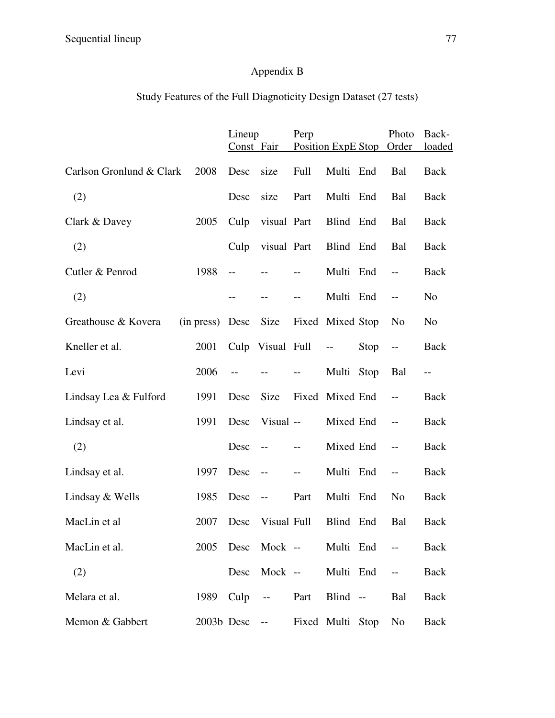## Appendix B

## Study Features of the Full Diagnoticity Design Dataset (27 tests)

|                          |                 | Lineup<br>Const Fair |                                | Perp                                          |                          |      | Photo<br>Position ExpE Stop Order             | Back-<br><u>loaded</u> |
|--------------------------|-----------------|----------------------|--------------------------------|-----------------------------------------------|--------------------------|------|-----------------------------------------------|------------------------|
| Carlson Gronlund & Clark | 2008            | Desc                 | size                           | Full                                          | Multi End                |      | Bal                                           | <b>Back</b>            |
| (2)                      |                 | Desc                 | size                           | Part                                          | Multi End                |      | Bal                                           | <b>Back</b>            |
| Clark & Davey            | 2005            | Culp                 | visual Part                    |                                               | Blind End                |      | Bal                                           | Back                   |
| (2)                      |                 | Culp                 | visual Part                    |                                               | Blind End                |      | Bal                                           | <b>Back</b>            |
| Cutler & Penrod          | 1988            | $-$                  |                                |                                               | Multi End                |      | $-$                                           | <b>Back</b>            |
| (2)                      |                 |                      |                                | $-$                                           | Multi End                |      | $-$                                           | N <sub>0</sub>         |
| Greathouse & Kovera      | (in press) Desc |                      | Size                           |                                               | Fixed Mixed Stop         |      | N <sub>0</sub>                                | N <sub>o</sub>         |
|                          |                 |                      |                                |                                               |                          |      |                                               |                        |
| Kneller et al.           | 2001            |                      | Culp Visual Full               |                                               | $\overline{\phantom{a}}$ | Stop | $--$                                          | <b>Back</b>            |
| Levi                     | 2006            | $-$                  |                                | $-$                                           | Multi Stop               |      | Bal                                           | $-$                    |
| Lindsay Lea & Fulford    | 1991            | Desc                 | Size                           |                                               | Fixed Mixed End          |      | $-$                                           | Back                   |
| Lindsay et al.           | 1991            | Desc                 | Visual --                      |                                               | Mixed End                |      | $-$                                           | Back                   |
| (2)                      |                 | Desc                 | $-$                            |                                               | Mixed End                |      |                                               | <b>Back</b>            |
| Lindsay et al.           | 1997            | Desc                 | $\overline{\phantom{m}}$       | $\mathord{\hspace{1pt}\text{--}\hspace{1pt}}$ | Multi End                |      | $\mathord{\hspace{1pt}\text{--}\hspace{1pt}}$ | Back                   |
| Lindsay & Wells          | 1985            | Desc                 | $\overline{\phantom{m}}$       | Part                                          | Multi End                |      | N <sub>o</sub>                                | <b>Back</b>            |
| MacLin et al             | 2007            | Desc                 | Visual Full                    |                                               | Blind End                |      | Bal                                           | Back                   |
| MacLin et al.            |                 |                      | 2005 Desc Mock -- Multi End -- |                                               |                          |      |                                               | Back                   |
| (2)                      |                 |                      | Desc Mock -- Multi End --      |                                               |                          |      |                                               | Back                   |
| Melara et al.            |                 |                      | 1989 Culp -- Part Blind --     |                                               |                          |      | Bal                                           | Back                   |
| Memon & Gabbert          |                 | 2003b Desc --        |                                |                                               | Fixed Multi Stop         |      | No                                            | Back                   |